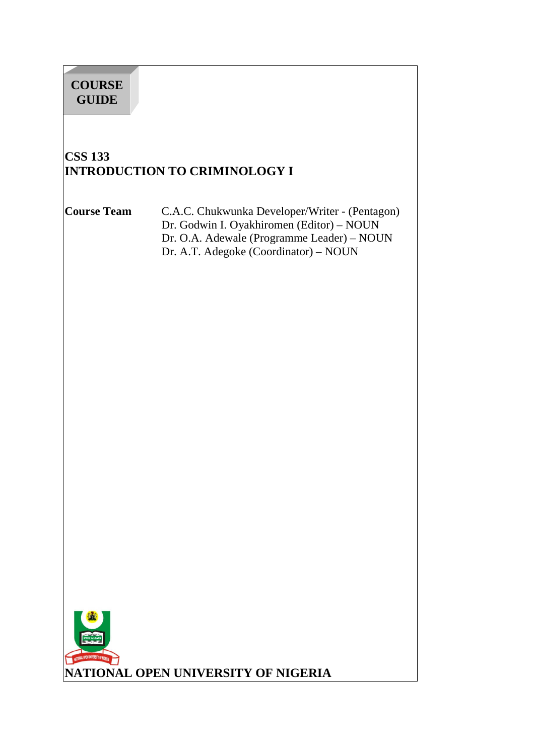# **COURSE GUIDE**

# **CSS 133 INTRODUCTION TO CRIMINOLOGY I**

**Course Team** C.A.C. Chukwunka Developer/Writer - (Pentagon) Dr. Godwin I. Oyakhiromen (Editor) – NOUN Dr. O.A. Adewale (Programme Leader) – NOUN Dr. A.T. Adegoke (Coordinator) – NOUN

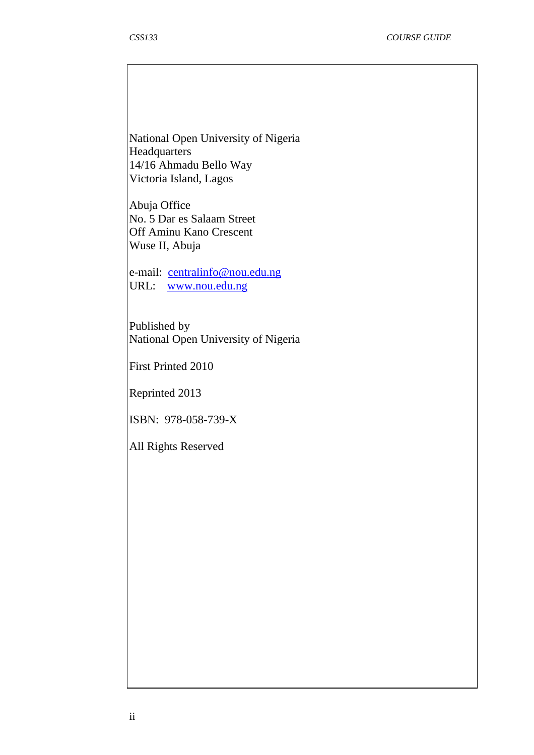National Open University of Nigeria **Headquarters** 14/16 Ahmadu Bello Way Victoria Island, Lagos

Abuja Office No. 5 Dar es Salaam Street Off Aminu Kano Crescent Wuse II, Abuja

e-mail: centralinfo@nou.edu.ng URL: www.nou.edu.ng

Published by National Open University of Nigeria

First Printed 2010

Reprinted 2013

ISBN: 978-058-739-X

All Rights Reserved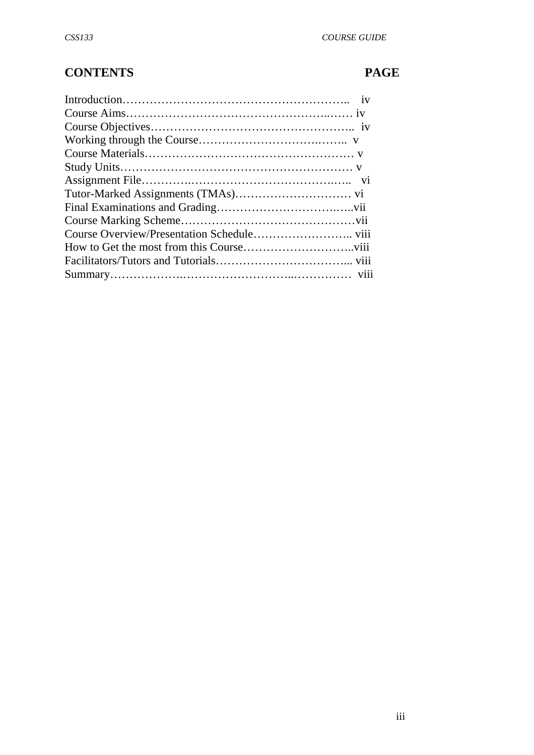# **CONTENTS PAGE**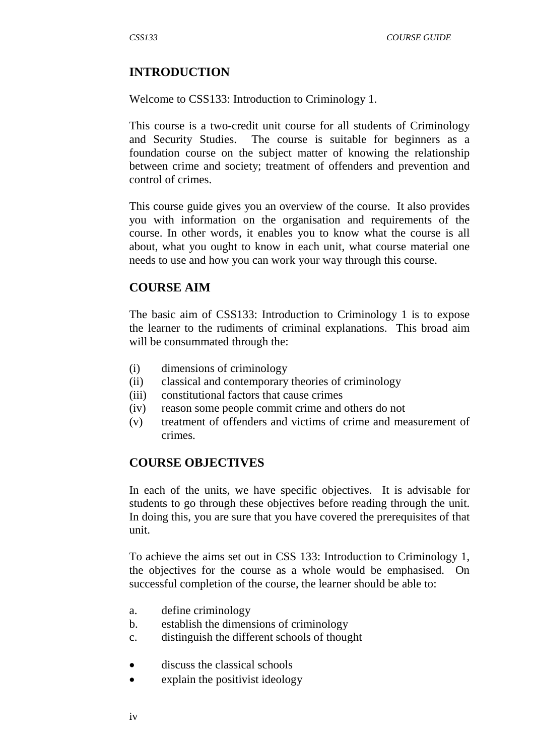# **INTRODUCTION**

Welcome to CSS133: Introduction to Criminology 1.

This course is a two-credit unit course for all students of Criminology and Security Studies. The course is suitable for beginners as a foundation course on the subject matter of knowing the relationship between crime and society; treatment of offenders and prevention and control of crimes.

This course guide gives you an overview of the course. It also provides you with information on the organisation and requirements of the course. In other words, it enables you to know what the course is all about, what you ought to know in each unit, what course material one needs to use and how you can work your way through this course.

## **COURSE AIM**

The basic aim of CSS133: Introduction to Criminology 1 is to expose the learner to the rudiments of criminal explanations. This broad aim will be consummated through the:

- (i) dimensions of criminology
- (ii) classical and contemporary theories of criminology
- (iii) constitutional factors that cause crimes
- (iv) reason some people commit crime and others do not
- (v) treatment of offenders and victims of crime and measurement of crimes.

## **COURSE OBJECTIVES**

In each of the units, we have specific objectives. It is advisable for students to go through these objectives before reading through the unit. In doing this, you are sure that you have covered the prerequisites of that unit.

To achieve the aims set out in CSS 133: Introduction to Criminology 1, the objectives for the course as a whole would be emphasised. On successful completion of the course, the learner should be able to:

- a. define criminology
- b. establish the dimensions of criminology
- c. distinguish the different schools of thought
- discuss the classical schools
- explain the positivist ideology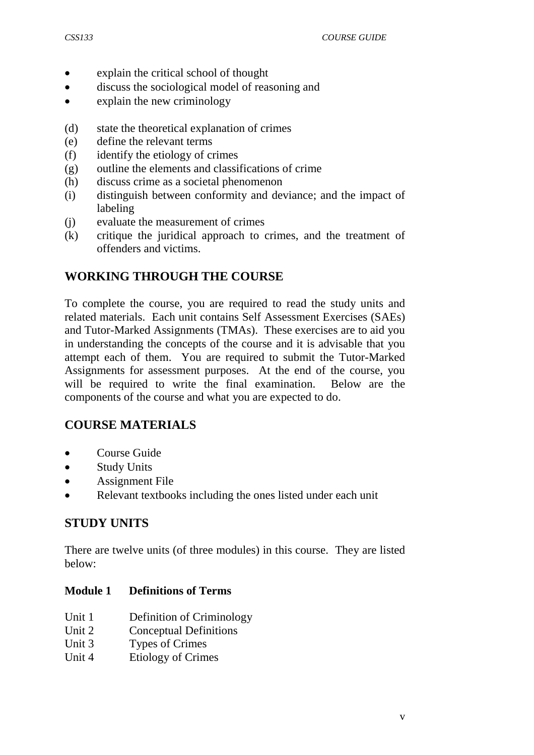- explain the critical school of thought
- discuss the sociological model of reasoning and
- explain the new criminology
- (d) state the theoretical explanation of crimes
- (e) define the relevant terms
- (f) identify the etiology of crimes
- (g) outline the elements and classifications of crime
- (h) discuss crime as a societal phenomenon
- (i) distinguish between conformity and deviance; and the impact of labeling
- (j) evaluate the measurement of crimes
- (k) critique the juridical approach to crimes, and the treatment of offenders and victims.

# **WORKING THROUGH THE COURSE**

To complete the course, you are required to read the study units and related materials. Each unit contains Self Assessment Exercises (SAEs) and Tutor-Marked Assignments (TMAs). These exercises are to aid you in understanding the concepts of the course and it is advisable that you attempt each of them. You are required to submit the Tutor-Marked Assignments for assessment purposes. At the end of the course, you will be required to write the final examination. Below are the components of the course and what you are expected to do.

# **COURSE MATERIALS**

- Course Guide
- Study Units
- Assignment File
- Relevant textbooks including the ones listed under each unit

# **STUDY UNITS**

There are twelve units (of three modules) in this course. They are listed below:

## **Module 1 Definitions of Terms**

- Unit 1 Definition of Criminology
- Unit 2 Conceptual Definitions
- Unit 3 Types of Crimes
- Unit 4 Etiology of Crimes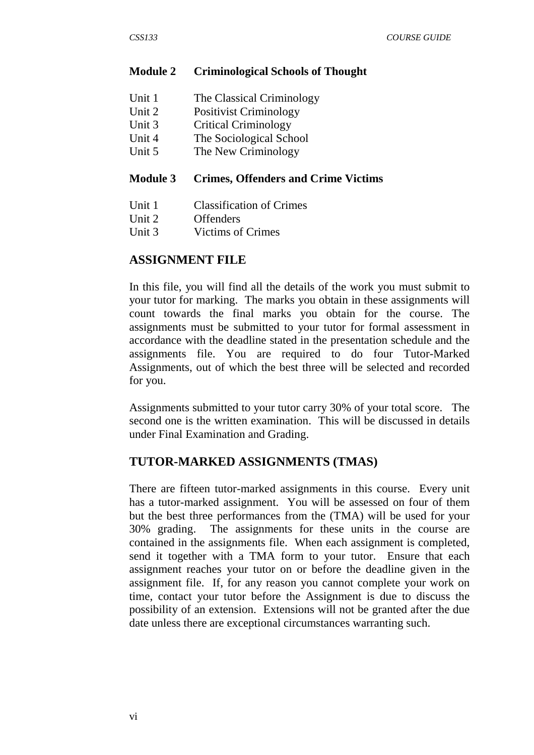#### **Module 2 Criminological Schools of Thought**

| Unit 1          | The Classical Criminology                                                                  |
|-----------------|--------------------------------------------------------------------------------------------|
| Unit 2          | <b>Positivist Criminology</b>                                                              |
| Unit 3          | <b>Critical Criminology</b>                                                                |
| Unit 4          | The Sociological School                                                                    |
| TT . <i>. .</i> | $\mathbf{m}$ $\mathbf{v}$ $\mathbf{v}$ $\mathbf{v}$ $\mathbf{v}$ $\mathbf{v}$ $\mathbf{v}$ |

Unit 5 The New Criminology

#### **Module 3 Crimes, Offenders and Crime Victims**

- Unit 1 Classification of Crimes
- Unit 2 Offenders
- Unit 3 Victims of Crimes

#### **ASSIGNMENT FILE**

In this file, you will find all the details of the work you must submit to your tutor for marking. The marks you obtain in these assignments will count towards the final marks you obtain for the course. The assignments must be submitted to your tutor for formal assessment in accordance with the deadline stated in the presentation schedule and the assignments file. You are required to do four Tutor-Marked Assignments, out of which the best three will be selected and recorded for you.

Assignments submitted to your tutor carry 30% of your total score. The second one is the written examination. This will be discussed in details under Final Examination and Grading.

#### **TUTOR-MARKED ASSIGNMENTS (TMAS)**

There are fifteen tutor-marked assignments in this course. Every unit has a tutor-marked assignment. You will be assessed on four of them but the best three performances from the (TMA) will be used for your 30% grading. The assignments for these units in the course are contained in the assignments file. When each assignment is completed, send it together with a TMA form to your tutor. Ensure that each assignment reaches your tutor on or before the deadline given in the assignment file. If, for any reason you cannot complete your work on time, contact your tutor before the Assignment is due to discuss the possibility of an extension. Extensions will not be granted after the due date unless there are exceptional circumstances warranting such.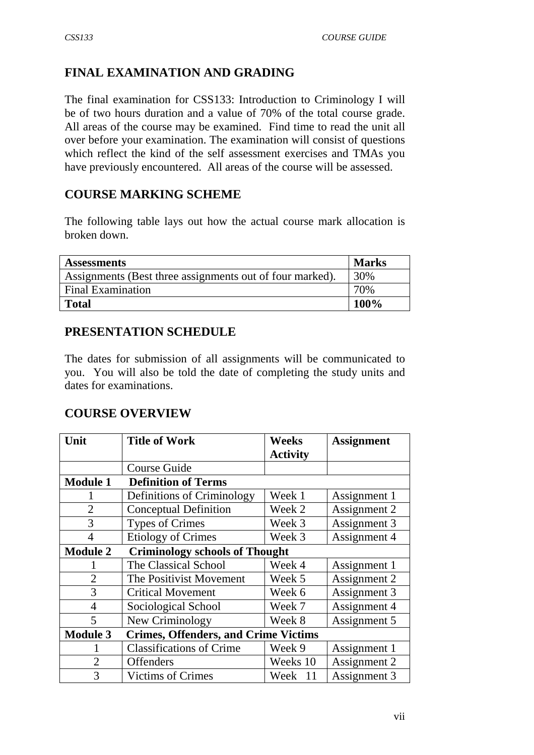# **FINAL EXAMINATION AND GRADING**

The final examination for CSS133: Introduction to Criminology I will be of two hours duration and a value of 70% of the total course grade. All areas of the course may be examined. Find time to read the unit all over before your examination. The examination will consist of questions which reflect the kind of the self assessment exercises and TMAs you have previously encountered. All areas of the course will be assessed.

# **COURSE MARKING SCHEME**

The following table lays out how the actual course mark allocation is broken down.

| <b>Assessments</b>                                       | <b>Marks</b> |
|----------------------------------------------------------|--------------|
| Assignments (Best three assignments out of four marked). | 30%          |
| <b>Final Examination</b>                                 | 70%          |
| <b>Total</b>                                             | 100%         |

# **PRESENTATION SCHEDULE**

The dates for submission of all assignments will be communicated to you. You will also be told the date of completing the study units and dates for examinations.

# **COURSE OVERVIEW**

| Unit            | <b>Title of Work</b>                        | Weeks<br><b>Activity</b> | <b>Assignment</b> |
|-----------------|---------------------------------------------|--------------------------|-------------------|
|                 | Course Guide                                |                          |                   |
| <b>Module 1</b> | <b>Definition of Terms</b>                  |                          |                   |
|                 | Definitions of Criminology                  | Week 1                   | Assignment 1      |
| $\overline{2}$  | <b>Conceptual Definition</b>                | Week 2                   | Assignment 2      |
| 3               | <b>Types of Crimes</b>                      | Week 3                   | Assignment 3      |
| $\overline{4}$  | <b>Etiology of Crimes</b>                   | Week 3                   | Assignment 4      |
| <b>Module 2</b> | <b>Criminology schools of Thought</b>       |                          |                   |
| I.              | The Classical School                        | Week 4                   | Assignment 1      |
| $\overline{2}$  | The Positivist Movement                     | Week 5                   | Assignment 2      |
| 3               | <b>Critical Movement</b>                    | Week 6                   | Assignment 3      |
| $\overline{4}$  | Sociological School                         | Week 7                   | Assignment 4      |
| 5               | New Criminology                             | Week 8                   | Assignment 5      |
| <b>Module 3</b> | <b>Crimes, Offenders, and Crime Victims</b> |                          |                   |
|                 | <b>Classifications of Crime</b>             | Week 9                   | Assignment 1      |
| $\overline{2}$  | <b>Offenders</b>                            | Weeks 10                 | Assignment 2      |
| 3               | <b>Victims of Crimes</b>                    | Week 11                  | Assignment 3      |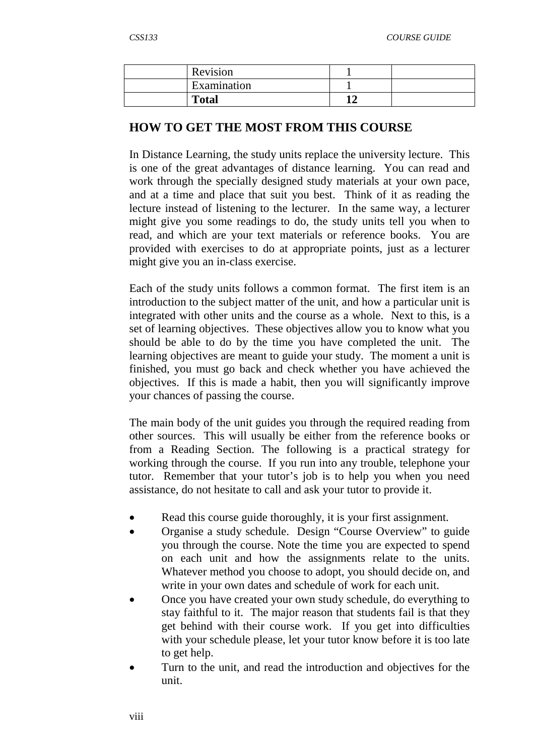| Revision     |    |  |
|--------------|----|--|
| Examination  |    |  |
| <b>Total</b> | 14 |  |

## **HOW TO GET THE MOST FROM THIS COURSE**

In Distance Learning, the study units replace the university lecture. This is one of the great advantages of distance learning. You can read and work through the specially designed study materials at your own pace, and at a time and place that suit you best. Think of it as reading the lecture instead of listening to the lecturer. In the same way, a lecturer might give you some readings to do, the study units tell you when to read, and which are your text materials or reference books. You are provided with exercises to do at appropriate points, just as a lecturer might give you an in-class exercise.

Each of the study units follows a common format. The first item is an introduction to the subject matter of the unit, and how a particular unit is integrated with other units and the course as a whole. Next to this, is a set of learning objectives. These objectives allow you to know what you should be able to do by the time you have completed the unit. The learning objectives are meant to guide your study. The moment a unit is finished, you must go back and check whether you have achieved the objectives. If this is made a habit, then you will significantly improve your chances of passing the course.

The main body of the unit guides you through the required reading from other sources. This will usually be either from the reference books or from a Reading Section. The following is a practical strategy for working through the course. If you run into any trouble, telephone your tutor. Remember that your tutor's job is to help you when you need assistance, do not hesitate to call and ask your tutor to provide it.

- Read this course guide thoroughly, it is your first assignment.
- Organise a study schedule. Design "Course Overview" to guide you through the course. Note the time you are expected to spend on each unit and how the assignments relate to the units. Whatever method you choose to adopt, you should decide on, and write in your own dates and schedule of work for each unit.
- Once you have created your own study schedule, do everything to stay faithful to it. The major reason that students fail is that they get behind with their course work. If you get into difficulties with your schedule please, let your tutor know before it is too late to get help.
- Turn to the unit, and read the introduction and objectives for the unit.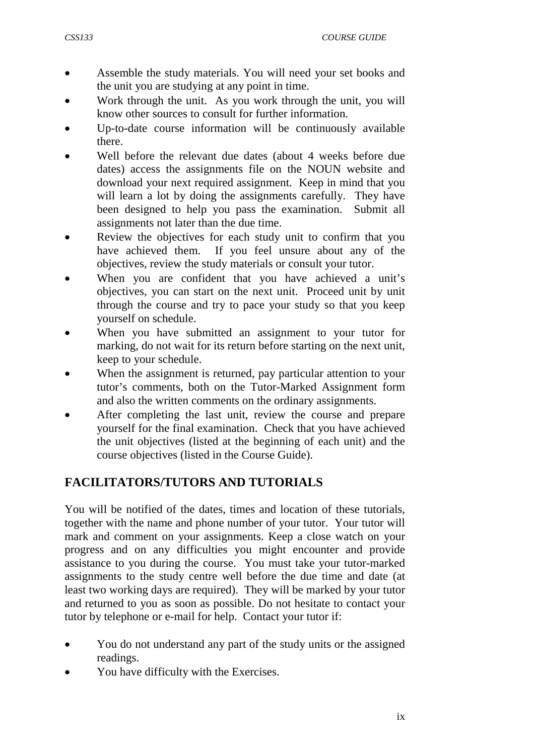- Assemble the study materials. You will need your set books and the unit you are studying at any point in time.
- Work through the unit. As you work through the unit, you will know other sources to consult for further information.
- Up-to-date course information will be continuously available there.
- Well before the relevant due dates (about 4 weeks before due dates) access the assignments file on the NOUN website and download your next required assignment. Keep in mind that you will learn a lot by doing the assignments carefully. They have been designed to help you pass the examination. Submit all assignments not later than the due time.
- Review the objectives for each study unit to confirm that you have achieved them. If you feel unsure about any of the objectives, review the study materials or consult your tutor.
- When you are confident that you have achieved a unit's objectives, you can start on the next unit. Proceed unit by unit through the course and try to pace your study so that you keep yourself on schedule.
- When you have submitted an assignment to your tutor for marking, do not wait for its return before starting on the next unit, keep to your schedule.
- When the assignment is returned, pay particular attention to your tutor's comments, both on the Tutor-Marked Assignment form and also the written comments on the ordinary assignments.
- After completing the last unit, review the course and prepare yourself for the final examination. Check that you have achieved the unit objectives (listed at the beginning of each unit) and the course objectives (listed in the Course Guide).

# **FACILITATORS/TUTORS AND TUTORIALS**

You will be notified of the dates, times and location of these tutorials, together with the name and phone number of your tutor. Your tutor will mark and comment on your assignments. Keep a close watch on your progress and on any difficulties you might encounter and provide assistance to you during the course. You must take your tutor-marked assignments to the study centre well before the due time and date (at least two working days are required). They will be marked by your tutor and returned to you as soon as possible. Do not hesitate to contact your tutor by telephone or e-mail for help. Contact your tutor if:

- You do not understand any part of the study units or the assigned readings.
- You have difficulty with the Exercises.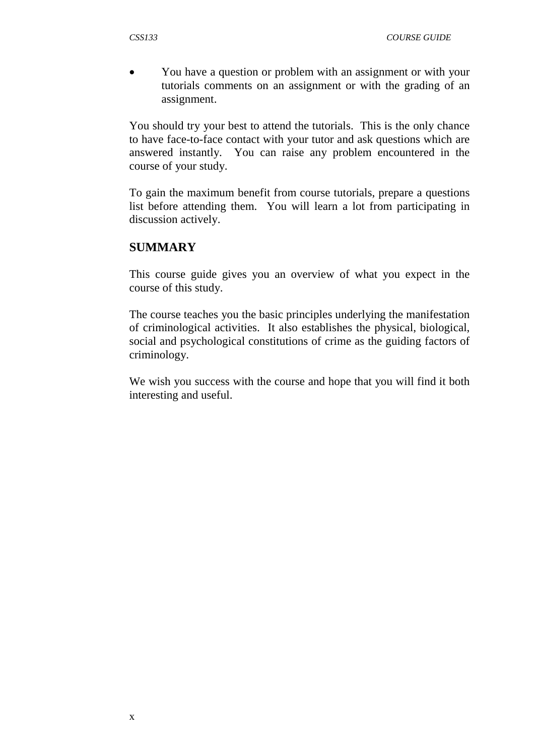• You have a question or problem with an assignment or with your tutorials comments on an assignment or with the grading of an assignment.

You should try your best to attend the tutorials. This is the only chance to have face-to-face contact with your tutor and ask questions which are answered instantly. You can raise any problem encountered in the course of your study.

To gain the maximum benefit from course tutorials, prepare a questions list before attending them. You will learn a lot from participating in discussion actively.

#### **SUMMARY**

This course guide gives you an overview of what you expect in the course of this study.

The course teaches you the basic principles underlying the manifestation of criminological activities. It also establishes the physical, biological, social and psychological constitutions of crime as the guiding factors of criminology.

We wish you success with the course and hope that you will find it both interesting and useful.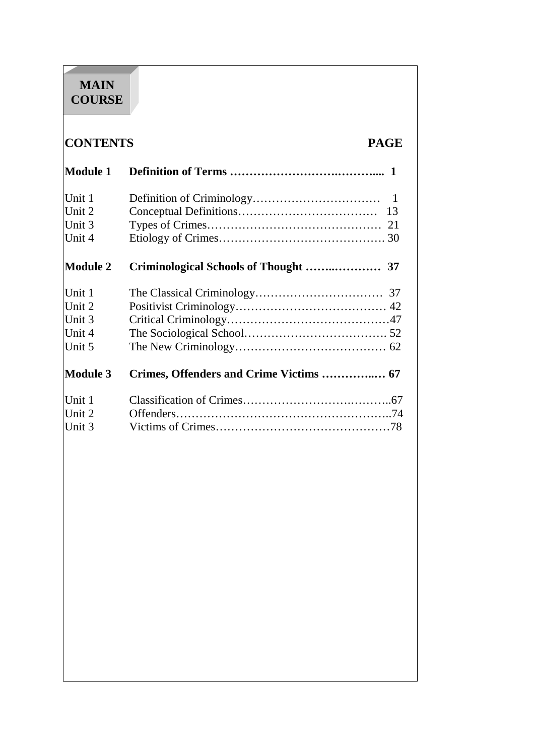# **MAIN COURSE**

# **CONTENTS PAGE**

| <b>Module 1</b> |                                       |  |
|-----------------|---------------------------------------|--|
| Unit 1          |                                       |  |
| Unit 2          | 13                                    |  |
| Unit 3          |                                       |  |
| Unit 4          |                                       |  |
| <b>Module 2</b> | Criminological Schools of Thought  37 |  |
| Unit 1          |                                       |  |
| Unit 2          |                                       |  |
| Unit 3          |                                       |  |
| Unit 4          |                                       |  |
| Unit 5          |                                       |  |
| <b>Module 3</b> |                                       |  |
| Unit 1          |                                       |  |
| Unit 2          |                                       |  |
| Unit 3          |                                       |  |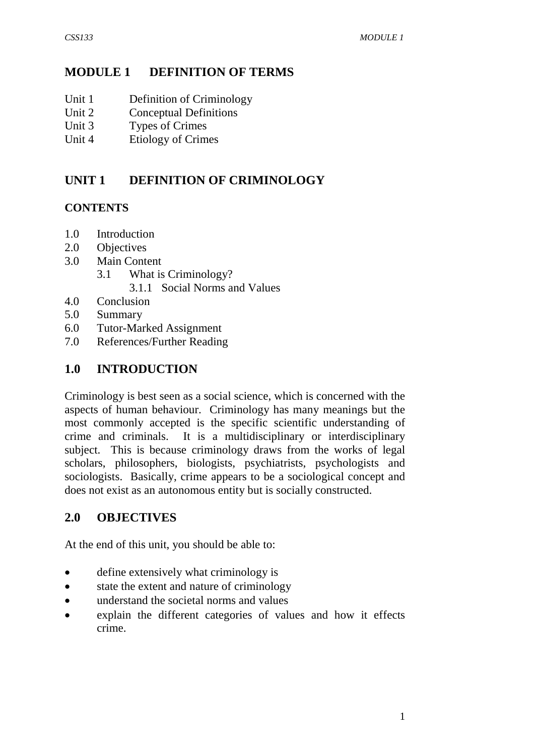# **MODULE 1 DEFINITION OF TERMS**

- Unit 1 Definition of Criminology
- Unit 2 Conceptual Definitions
- Unit 3 Types of Crimes
- Unit 4 Etiology of Crimes

# **UNIT 1 DEFINITION OF CRIMINOLOGY**

# **CONTENTS**

- 1.0 Introduction
- 2.0 Objectives
- 3.0 Main Content
	- 3.1 What is Criminology?
		- 3.1.1 Social Norms and Values
- 4.0 Conclusion
- 5.0 Summary
- 6.0 Tutor-Marked Assignment
- 7.0 References/Further Reading

# **1.0 INTRODUCTION**

Criminology is best seen as a social science, which is concerned with the aspects of human behaviour. Criminology has many meanings but the most commonly accepted is the specific scientific understanding of crime and criminals. It is a multidisciplinary or interdisciplinary subject. This is because criminology draws from the works of legal scholars, philosophers, biologists, psychiatrists, psychologists and sociologists. Basically, crime appears to be a sociological concept and does not exist as an autonomous entity but is socially constructed.

# **2.0 OBJECTIVES**

At the end of this unit, you should be able to:

- define extensively what criminology is
- state the extent and nature of criminology
- understand the societal norms and values
- explain the different categories of values and how it effects crime.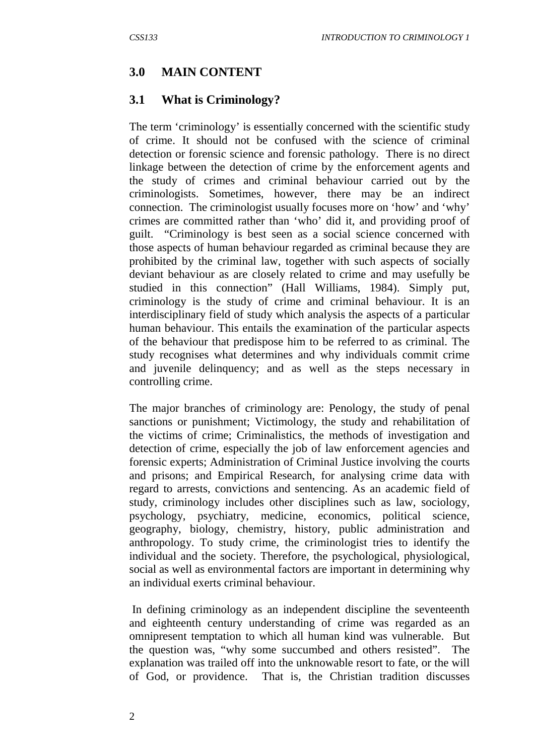## **3.0 MAIN CONTENT**

#### **3.1 What is Criminology?**

The term 'criminology' is essentially concerned with the scientific study of crime. It should not be confused with the science of criminal detection or forensic science and forensic pathology. There is no direct linkage between the detection of crime by the enforcement agents and the study of crimes and criminal behaviour carried out by the criminologists. Sometimes, however, there may be an indirect connection. The criminologist usually focuses more on 'how' and 'why' crimes are committed rather than 'who' did it, and providing proof of guilt. "Criminology is best seen as a social science concerned with those aspects of human behaviour regarded as criminal because they are prohibited by the criminal law, together with such aspects of socially deviant behaviour as are closely related to crime and may usefully be studied in this connection" (Hall Williams, 1984). Simply put, criminology is the study of crime and criminal behaviour. It is an interdisciplinary field of study which analysis the aspects of a particular human behaviour. This entails the examination of the particular aspects of the behaviour that predispose him to be referred to as criminal. The study recognises what determines and why individuals commit crime and juvenile delinquency; and as well as the steps necessary in controlling crime.

The major branches of criminology are: Penology, the study of penal sanctions or punishment; Victimology, the study and rehabilitation of the victims of crime; Criminalistics, the methods of investigation and detection of crime, especially the job of law enforcement agencies and forensic experts; Administration of Criminal Justice involving the courts and prisons; and Empirical Research, for analysing crime data with regard to arrests, convictions and sentencing. As an academic field of study, criminology includes other disciplines such as law, sociology, psychology, psychiatry, medicine, economics, political science, geography, biology, chemistry, history, public administration and anthropology. To study crime, the criminologist tries to identify the individual and the society. Therefore, the psychological, physiological, social as well as environmental factors are important in determining why an individual exerts criminal behaviour.

 In defining criminology as an independent discipline the seventeenth and eighteenth century understanding of crime was regarded as an omnipresent temptation to which all human kind was vulnerable. But the question was, "why some succumbed and others resisted". The explanation was trailed off into the unknowable resort to fate, or the will of God, or providence. That is, the Christian tradition discusses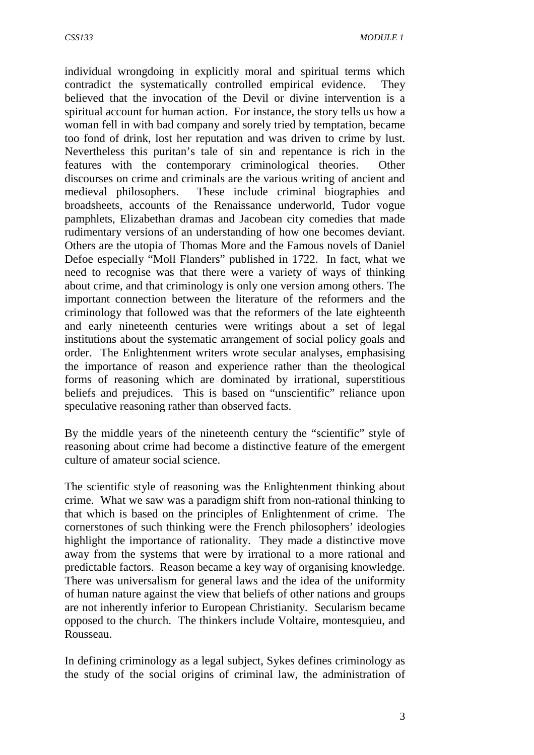individual wrongdoing in explicitly moral and spiritual terms which contradict the systematically controlled empirical evidence. They believed that the invocation of the Devil or divine intervention is a spiritual account for human action. For instance, the story tells us how a woman fell in with bad company and sorely tried by temptation, became too fond of drink, lost her reputation and was driven to crime by lust. Nevertheless this puritan's tale of sin and repentance is rich in the features with the contemporary criminological theories. Other discourses on crime and criminals are the various writing of ancient and medieval philosophers. These include criminal biographies and broadsheets, accounts of the Renaissance underworld, Tudor vogue pamphlets, Elizabethan dramas and Jacobean city comedies that made rudimentary versions of an understanding of how one becomes deviant. Others are the utopia of Thomas More and the Famous novels of Daniel Defoe especially "Moll Flanders" published in 1722. In fact, what we need to recognise was that there were a variety of ways of thinking about crime, and that criminology is only one version among others. The important connection between the literature of the reformers and the criminology that followed was that the reformers of the late eighteenth and early nineteenth centuries were writings about a set of legal institutions about the systematic arrangement of social policy goals and order. The Enlightenment writers wrote secular analyses, emphasising the importance of reason and experience rather than the theological forms of reasoning which are dominated by irrational, superstitious beliefs and prejudices. This is based on "unscientific" reliance upon speculative reasoning rather than observed facts.

By the middle years of the nineteenth century the "scientific" style of reasoning about crime had become a distinctive feature of the emergent culture of amateur social science.

The scientific style of reasoning was the Enlightenment thinking about crime. What we saw was a paradigm shift from non-rational thinking to that which is based on the principles of Enlightenment of crime. The cornerstones of such thinking were the French philosophers' ideologies highlight the importance of rationality. They made a distinctive move away from the systems that were by irrational to a more rational and predictable factors. Reason became a key way of organising knowledge. There was universalism for general laws and the idea of the uniformity of human nature against the view that beliefs of other nations and groups are not inherently inferior to European Christianity. Secularism became opposed to the church. The thinkers include Voltaire, montesquieu, and Rousseau.

In defining criminology as a legal subject, Sykes defines criminology as the study of the social origins of criminal law, the administration of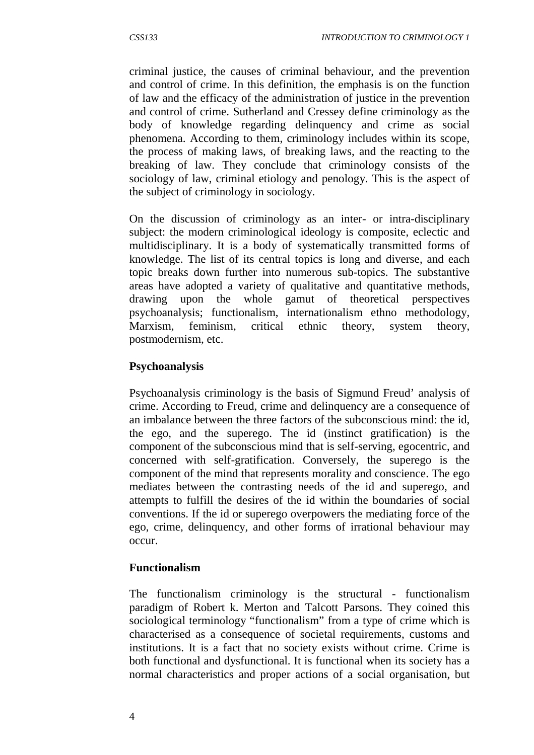criminal justice, the causes of criminal behaviour, and the prevention and control of crime. In this definition, the emphasis is on the function of law and the efficacy of the administration of justice in the prevention and control of crime. Sutherland and Cressey define criminology as the body of knowledge regarding delinquency and crime as social phenomena. According to them, criminology includes within its scope, the process of making laws, of breaking laws, and the reacting to the breaking of law. They conclude that criminology consists of the sociology of law, criminal etiology and penology. This is the aspect of the subject of criminology in sociology.

On the discussion of criminology as an inter- or intra-disciplinary subject: the modern criminological ideology is composite, eclectic and multidisciplinary. It is a body of systematically transmitted forms of knowledge. The list of its central topics is long and diverse, and each topic breaks down further into numerous sub-topics. The substantive areas have adopted a variety of qualitative and quantitative methods, drawing upon the whole gamut of theoretical perspectives psychoanalysis; functionalism, internationalism ethno methodology, Marxism, feminism, critical ethnic theory, system theory, postmodernism, etc.

# **Psychoanalysis**

Psychoanalysis criminology is the basis of Sigmund Freud' analysis of crime. According to Freud, crime and delinquency are a consequence of an imbalance between the three factors of the subconscious mind: the id, the ego, and the superego. The id (instinct gratification) is the component of the subconscious mind that is self-serving, egocentric, and concerned with self-gratification. Conversely, the superego is the component of the mind that represents morality and conscience. The ego mediates between the contrasting needs of the id and superego, and attempts to fulfill the desires of the id within the boundaries of social conventions. If the id or superego overpowers the mediating force of the ego, crime, delinquency, and other forms of irrational behaviour may occur.

## **Functionalism**

The functionalism criminology is the structural - functionalism paradigm of Robert k. Merton and Talcott Parsons. They coined this sociological terminology "functionalism" from a type of crime which is characterised as a consequence of societal requirements, customs and institutions. It is a fact that no society exists without crime. Crime is both functional and dysfunctional. It is functional when its society has a normal characteristics and proper actions of a social organisation, but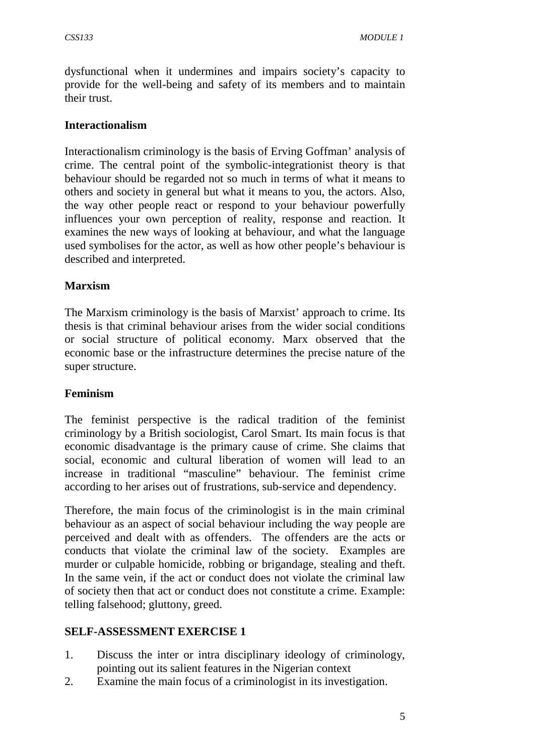dysfunctional when it undermines and impairs society's capacity to provide for the well-being and safety of its members and to maintain their trust.

## **Interactionalism**

Interactionalism criminology is the basis of Erving Goffman' analysis of crime. The central point of the symbolic-integrationist theory is that behaviour should be regarded not so much in terms of what it means to others and society in general but what it means to you, the actors. Also, the way other people react or respond to your behaviour powerfully influences your own perception of reality, response and reaction. It examines the new ways of looking at behaviour, and what the language used symbolises for the actor, as well as how other people's behaviour is described and interpreted.

# **Marxism**

The Marxism criminology is the basis of Marxist' approach to crime. Its thesis is that criminal behaviour arises from the wider social conditions or social structure of political economy. Marx observed that the economic base or the infrastructure determines the precise nature of the super structure.

## **Feminism**

The feminist perspective is the radical tradition of the feminist criminology by a British sociologist, Carol Smart. Its main focus is that economic disadvantage is the primary cause of crime. She claims that social, economic and cultural liberation of women will lead to an increase in traditional "masculine" behaviour. The feminist crime according to her arises out of frustrations, sub-service and dependency.

Therefore, the main focus of the criminologist is in the main criminal behaviour as an aspect of social behaviour including the way people are perceived and dealt with as offenders. The offenders are the acts or conducts that violate the criminal law of the society. Examples are murder or culpable homicide, robbing or brigandage, stealing and theft. In the same vein, if the act or conduct does not violate the criminal law of society then that act or conduct does not constitute a crime. Example: telling falsehood; gluttony, greed.

## **SELF-ASSESSMENT EXERCISE 1**

- 1. Discuss the inter or intra disciplinary ideology of criminology, pointing out its salient features in the Nigerian context
- 2. Examine the main focus of a criminologist in its investigation.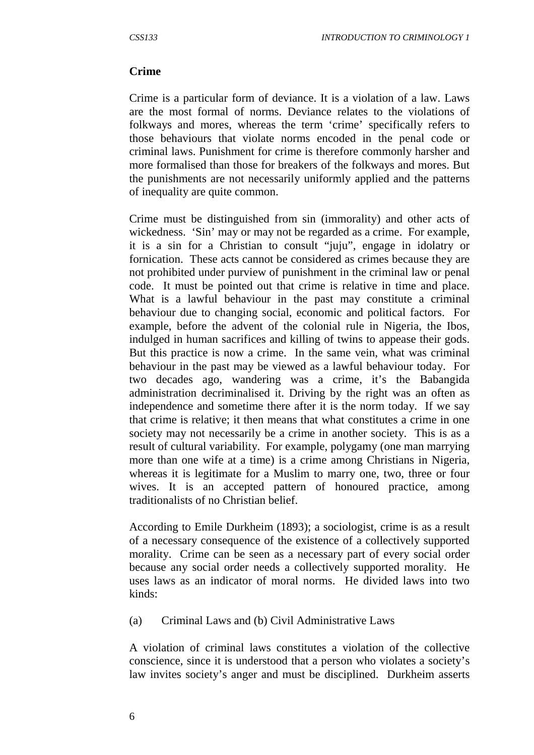# **Crime**

Crime is a particular form of deviance. It is a violation of a law. Laws are the most formal of norms. Deviance relates to the violations of folkways and mores, whereas the term 'crime' specifically refers to those behaviours that violate norms encoded in the penal code or criminal laws. Punishment for crime is therefore commonly harsher and more formalised than those for breakers of the folkways and mores. But the punishments are not necessarily uniformly applied and the patterns of inequality are quite common.

Crime must be distinguished from sin (immorality) and other acts of wickedness. 'Sin' may or may not be regarded as a crime. For example, it is a sin for a Christian to consult "juju", engage in idolatry or fornication. These acts cannot be considered as crimes because they are not prohibited under purview of punishment in the criminal law or penal code. It must be pointed out that crime is relative in time and place. What is a lawful behaviour in the past may constitute a criminal behaviour due to changing social, economic and political factors. For example, before the advent of the colonial rule in Nigeria, the Ibos, indulged in human sacrifices and killing of twins to appease their gods. But this practice is now a crime. In the same vein, what was criminal behaviour in the past may be viewed as a lawful behaviour today. For two decades ago, wandering was a crime, it's the Babangida administration decriminalised it. Driving by the right was an often as independence and sometime there after it is the norm today. If we say that crime is relative; it then means that what constitutes a crime in one society may not necessarily be a crime in another society. This is as a result of cultural variability. For example, polygamy (one man marrying more than one wife at a time) is a crime among Christians in Nigeria, whereas it is legitimate for a Muslim to marry one, two, three or four wives. It is an accepted pattern of honoured practice, among traditionalists of no Christian belief.

According to Emile Durkheim (1893); a sociologist, crime is as a result of a necessary consequence of the existence of a collectively supported morality. Crime can be seen as a necessary part of every social order because any social order needs a collectively supported morality. He uses laws as an indicator of moral norms. He divided laws into two kinds:

(a) Criminal Laws and (b) Civil Administrative Laws

A violation of criminal laws constitutes a violation of the collective conscience, since it is understood that a person who violates a society's law invites society's anger and must be disciplined. Durkheim asserts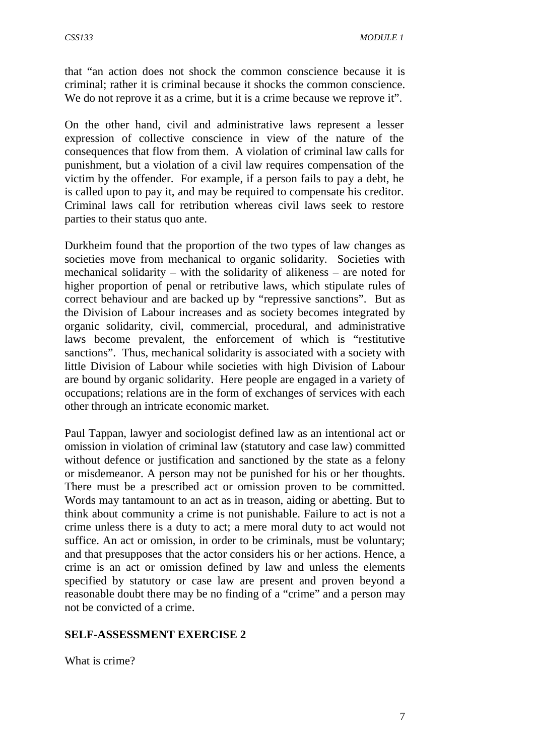that "an action does not shock the common conscience because it is criminal; rather it is criminal because it shocks the common conscience. We do not reprove it as a crime, but it is a crime because we reprove it".

On the other hand, civil and administrative laws represent a lesser expression of collective conscience in view of the nature of the consequences that flow from them. A violation of criminal law calls for punishment, but a violation of a civil law requires compensation of the victim by the offender. For example, if a person fails to pay a debt, he is called upon to pay it, and may be required to compensate his creditor. Criminal laws call for retribution whereas civil laws seek to restore parties to their status quo ante.

Durkheim found that the proportion of the two types of law changes as societies move from mechanical to organic solidarity. Societies with mechanical solidarity – with the solidarity of alikeness – are noted for higher proportion of penal or retributive laws, which stipulate rules of correct behaviour and are backed up by "repressive sanctions". But as the Division of Labour increases and as society becomes integrated by organic solidarity, civil, commercial, procedural, and administrative laws become prevalent, the enforcement of which is "restitutive sanctions". Thus, mechanical solidarity is associated with a society with little Division of Labour while societies with high Division of Labour are bound by organic solidarity. Here people are engaged in a variety of occupations; relations are in the form of exchanges of services with each other through an intricate economic market.

Paul Tappan, lawyer and sociologist defined law as an intentional act or omission in violation of criminal law (statutory and case law) committed without defence or justification and sanctioned by the state as a felony or misdemeanor. A person may not be punished for his or her thoughts. There must be a prescribed act or omission proven to be committed. Words may tantamount to an act as in treason, aiding or abetting. But to think about community a crime is not punishable. Failure to act is not a crime unless there is a duty to act; a mere moral duty to act would not suffice. An act or omission, in order to be criminals, must be voluntary; and that presupposes that the actor considers his or her actions. Hence, a crime is an act or omission defined by law and unless the elements specified by statutory or case law are present and proven beyond a reasonable doubt there may be no finding of a "crime" and a person may not be convicted of a crime.

## **SELF-ASSESSMENT EXERCISE 2**

What is crime?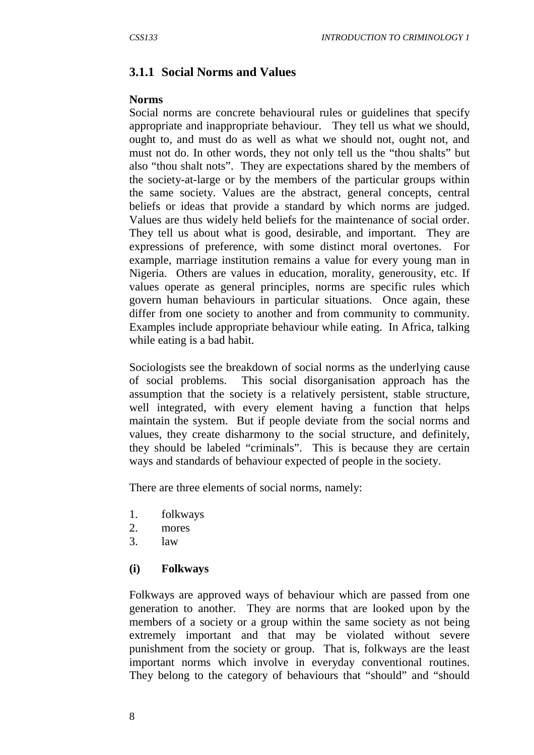## **3.1.1 Social Norms and Values**

#### **Norms**

Social norms are concrete behavioural rules or guidelines that specify appropriate and inappropriate behaviour. They tell us what we should, ought to, and must do as well as what we should not, ought not, and must not do. In other words, they not only tell us the "thou shalts" but also "thou shalt nots". They are expectations shared by the members of the society-at-large or by the members of the particular groups within the same society. Values are the abstract, general concepts, central beliefs or ideas that provide a standard by which norms are judged. Values are thus widely held beliefs for the maintenance of social order. They tell us about what is good, desirable, and important. They are expressions of preference, with some distinct moral overtones. For example, marriage institution remains a value for every young man in Nigeria. Others are values in education, morality, generousity, etc. If values operate as general principles, norms are specific rules which govern human behaviours in particular situations. Once again, these differ from one society to another and from community to community. Examples include appropriate behaviour while eating. In Africa, talking while eating is a bad habit.

Sociologists see the breakdown of social norms as the underlying cause of social problems. This social disorganisation approach has the assumption that the society is a relatively persistent, stable structure, well integrated, with every element having a function that helps maintain the system. But if people deviate from the social norms and values, they create disharmony to the social structure, and definitely, they should be labeled "criminals". This is because they are certain ways and standards of behaviour expected of people in the society.

There are three elements of social norms, namely:

- 1. folkways
- 2. mores
- 3. law

#### **(i) Folkways**

Folkways are approved ways of behaviour which are passed from one generation to another. They are norms that are looked upon by the members of a society or a group within the same society as not being extremely important and that may be violated without severe punishment from the society or group. That is, folkways are the least important norms which involve in everyday conventional routines. They belong to the category of behaviours that "should" and "should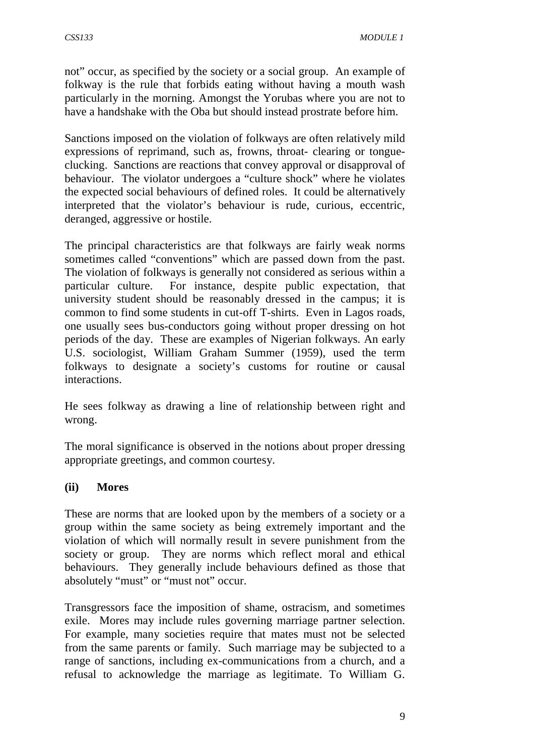not" occur, as specified by the society or a social group. An example of folkway is the rule that forbids eating without having a mouth wash particularly in the morning. Amongst the Yorubas where you are not to have a handshake with the Oba but should instead prostrate before him.

Sanctions imposed on the violation of folkways are often relatively mild expressions of reprimand, such as, frowns, throat- clearing or tongueclucking. Sanctions are reactions that convey approval or disapproval of behaviour. The violator undergoes a "culture shock" where he violates the expected social behaviours of defined roles. It could be alternatively interpreted that the violator's behaviour is rude, curious, eccentric, deranged, aggressive or hostile.

The principal characteristics are that folkways are fairly weak norms sometimes called "conventions" which are passed down from the past. The violation of folkways is generally not considered as serious within a particular culture. For instance, despite public expectation, that university student should be reasonably dressed in the campus; it is common to find some students in cut-off T-shirts. Even in Lagos roads, one usually sees bus-conductors going without proper dressing on hot periods of the day. These are examples of Nigerian folkways. An early U.S. sociologist, William Graham Summer (1959), used the term folkways to designate a society's customs for routine or causal interactions.

He sees folkway as drawing a line of relationship between right and wrong.

The moral significance is observed in the notions about proper dressing appropriate greetings, and common courtesy.

## **(ii) Mores**

These are norms that are looked upon by the members of a society or a group within the same society as being extremely important and the violation of which will normally result in severe punishment from the society or group. They are norms which reflect moral and ethical behaviours. They generally include behaviours defined as those that absolutely "must" or "must not" occur.

Transgressors face the imposition of shame, ostracism, and sometimes exile. Mores may include rules governing marriage partner selection. For example, many societies require that mates must not be selected from the same parents or family. Such marriage may be subjected to a range of sanctions, including ex-communications from a church, and a refusal to acknowledge the marriage as legitimate. To William G.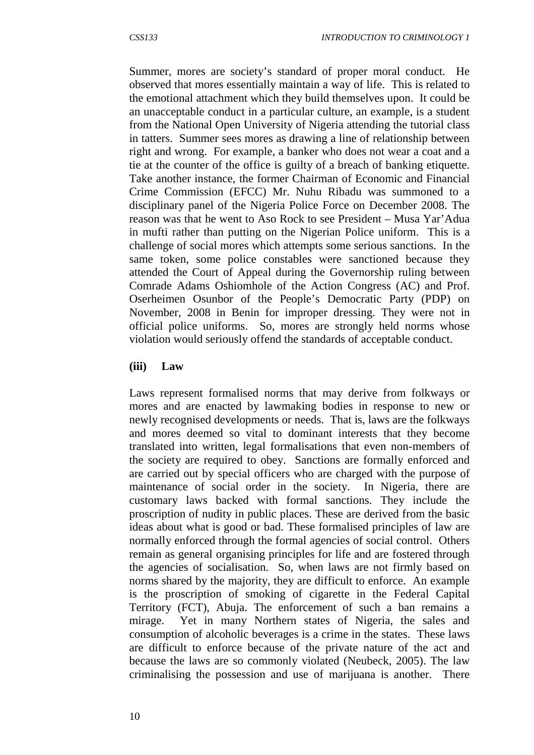Summer, mores are society's standard of proper moral conduct. He observed that mores essentially maintain a way of life. This is related to the emotional attachment which they build themselves upon. It could be an unacceptable conduct in a particular culture, an example, is a student from the National Open University of Nigeria attending the tutorial class in tatters. Summer sees mores as drawing a line of relationship between right and wrong. For example, a banker who does not wear a coat and a tie at the counter of the office is guilty of a breach of banking etiquette. Take another instance, the former Chairman of Economic and Financial Crime Commission (EFCC) Mr. Nuhu Ribadu was summoned to a disciplinary panel of the Nigeria Police Force on December 2008. The reason was that he went to Aso Rock to see President – Musa Yar'Adua in mufti rather than putting on the Nigerian Police uniform. This is a challenge of social mores which attempts some serious sanctions. In the same token, some police constables were sanctioned because they attended the Court of Appeal during the Governorship ruling between Comrade Adams Oshiomhole of the Action Congress (AC) and Prof. Oserheimen Osunbor of the People's Democratic Party (PDP) on November, 2008 in Benin for improper dressing. They were not in official police uniforms. So, mores are strongly held norms whose violation would seriously offend the standards of acceptable conduct.

#### **(iii) Law**

Laws represent formalised norms that may derive from folkways or mores and are enacted by lawmaking bodies in response to new or newly recognised developments or needs. That is, laws are the folkways and mores deemed so vital to dominant interests that they become translated into written, legal formalisations that even non-members of the society are required to obey. Sanctions are formally enforced and are carried out by special officers who are charged with the purpose of maintenance of social order in the society. In Nigeria, there are customary laws backed with formal sanctions. They include the proscription of nudity in public places. These are derived from the basic ideas about what is good or bad. These formalised principles of law are normally enforced through the formal agencies of social control. Others remain as general organising principles for life and are fostered through the agencies of socialisation. So, when laws are not firmly based on norms shared by the majority, they are difficult to enforce. An example is the proscription of smoking of cigarette in the Federal Capital Territory (FCT), Abuja. The enforcement of such a ban remains a mirage. Yet in many Northern states of Nigeria, the sales and consumption of alcoholic beverages is a crime in the states. These laws are difficult to enforce because of the private nature of the act and because the laws are so commonly violated (Neubeck, 2005). The law criminalising the possession and use of marijuana is another. There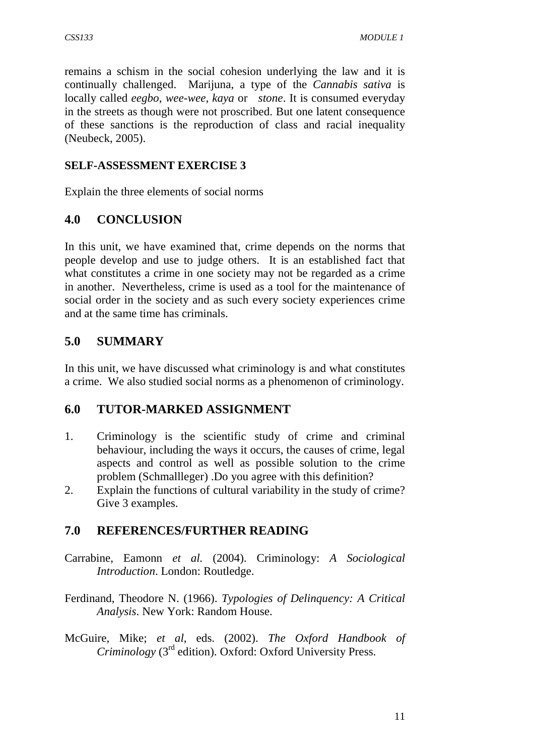remains a schism in the social cohesion underlying the law and it is continually challenged. Marijuna, a type of the *Cannabis sativa* is locally called *eegbo, wee-wee, kaya* or *stone*. It is consumed everyday in the streets as though were not proscribed. But one latent consequence of these sanctions is the reproduction of class and racial inequality (Neubeck, 2005).

# **SELF-ASSESSMENT EXERCISE 3**

Explain the three elements of social norms

# **4.0 CONCLUSION**

In this unit, we have examined that, crime depends on the norms that people develop and use to judge others. It is an established fact that what constitutes a crime in one society may not be regarded as a crime in another. Nevertheless, crime is used as a tool for the maintenance of social order in the society and as such every society experiences crime and at the same time has criminals.

# **5.0 SUMMARY**

In this unit, we have discussed what criminology is and what constitutes a crime. We also studied social norms as a phenomenon of criminology.

# **6.0 TUTOR-MARKED ASSIGNMENT**

- 1. Criminology is the scientific study of crime and criminal behaviour, including the ways it occurs, the causes of crime, legal aspects and control as well as possible solution to the crime problem (Schmallleger) .Do you agree with this definition?
- 2. Explain the functions of cultural variability in the study of crime? Give 3 examples.

# **7.0 REFERENCES/FURTHER READING**

- Carrabine, Eamonn *et al.* (2004). Criminology: *A Sociological Introduction*. London: Routledge.
- Ferdinand, Theodore N. (1966). *Typologies of Delinquency: A Critical Analysis*. New York: Random House.
- McGuire, Mike; *et al*, eds. (2002). *The Oxford Handbook of Criminology* (3rd edition). Oxford: Oxford University Press.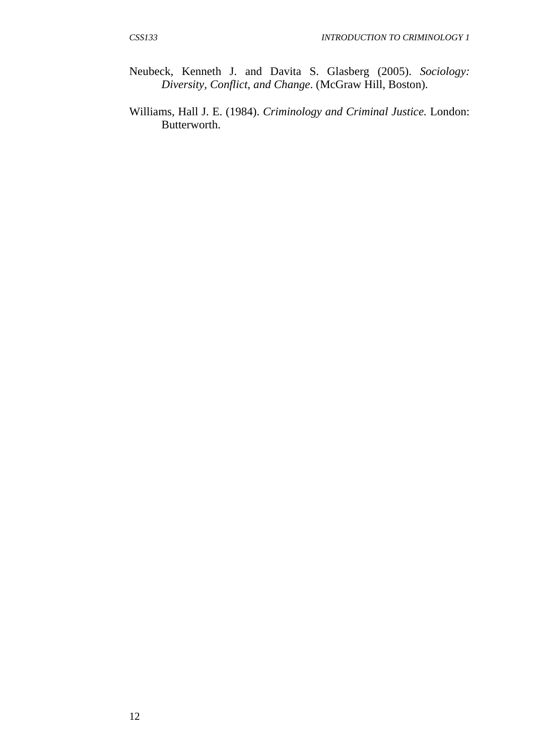- Neubeck, Kenneth J. and Davita S. Glasberg (2005). *Sociology: Diversity, Conflict, and Change*. (McGraw Hill, Boston).
- Williams, Hall J. E. (1984). *Criminology and Criminal Justice.* London: Butterworth.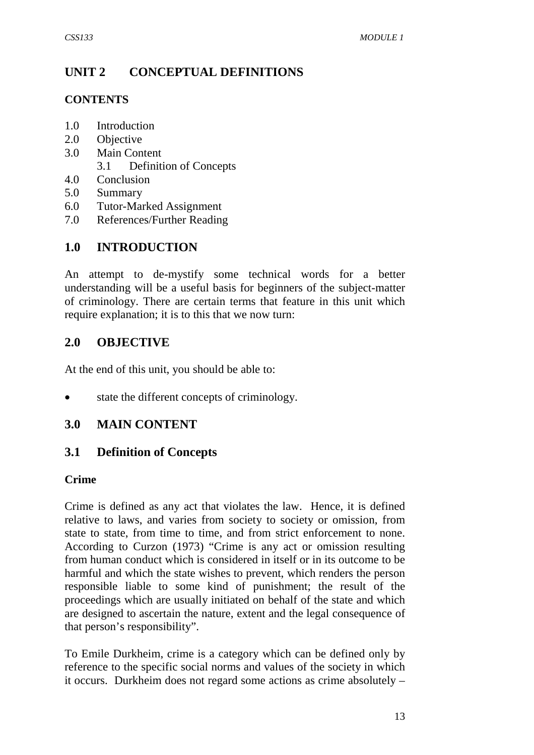# **UNIT 2 CONCEPTUAL DEFINITIONS**

## **CONTENTS**

- 1.0 Introduction
- 2.0 Objective
- 3.0 Main Content
	- 3.1 Definition of Concepts
- 4.0 Conclusion
- 5.0 Summary
- 6.0 Tutor-Marked Assignment
- 7.0 References/Further Reading

# **1.0 INTRODUCTION**

An attempt to de-mystify some technical words for a better understanding will be a useful basis for beginners of the subject-matter of criminology. There are certain terms that feature in this unit which require explanation; it is to this that we now turn:

# **2.0 OBJECTIVE**

At the end of this unit, you should be able to:

state the different concepts of criminology.

# **3.0 MAIN CONTENT**

# **3.1 Definition of Concepts**

## **Crime**

Crime is defined as any act that violates the law. Hence, it is defined relative to laws, and varies from society to society or omission, from state to state, from time to time, and from strict enforcement to none. According to Curzon (1973) "Crime is any act or omission resulting from human conduct which is considered in itself or in its outcome to be harmful and which the state wishes to prevent, which renders the person responsible liable to some kind of punishment; the result of the proceedings which are usually initiated on behalf of the state and which are designed to ascertain the nature, extent and the legal consequence of that person's responsibility".

To Emile Durkheim, crime is a category which can be defined only by reference to the specific social norms and values of the society in which it occurs. Durkheim does not regard some actions as crime absolutely –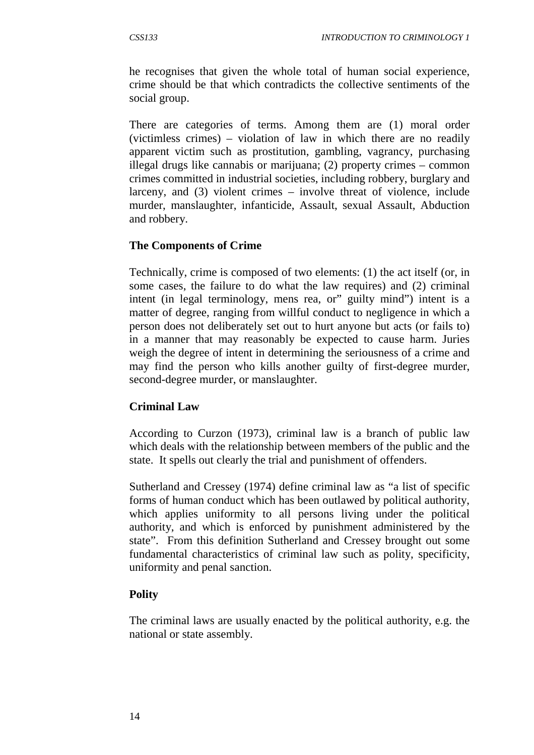he recognises that given the whole total of human social experience, crime should be that which contradicts the collective sentiments of the social group.

There are categories of terms. Among them are (1) moral order (victimless crimes) – violation of law in which there are no readily apparent victim such as prostitution, gambling, vagrancy, purchasing illegal drugs like cannabis or marijuana; (2) property crimes – common crimes committed in industrial societies, including robbery, burglary and larceny, and (3) violent crimes – involve threat of violence, include murder, manslaughter, infanticide, Assault, sexual Assault, Abduction and robbery.

## **The Components of Crime**

Technically, crime is composed of two elements: (1) the act itself (or, in some cases, the failure to do what the law requires) and (2) criminal intent (in legal terminology, mens rea, or" guilty mind") intent is a matter of degree, ranging from willful conduct to negligence in which a person does not deliberately set out to hurt anyone but acts (or fails to) in a manner that may reasonably be expected to cause harm. Juries weigh the degree of intent in determining the seriousness of a crime and may find the person who kills another guilty of first-degree murder, second-degree murder, or manslaughter.

## **Criminal Law**

According to Curzon (1973), criminal law is a branch of public law which deals with the relationship between members of the public and the state. It spells out clearly the trial and punishment of offenders.

Sutherland and Cressey (1974) define criminal law as "a list of specific forms of human conduct which has been outlawed by political authority, which applies uniformity to all persons living under the political authority, and which is enforced by punishment administered by the state". From this definition Sutherland and Cressey brought out some fundamental characteristics of criminal law such as polity, specificity, uniformity and penal sanction.

## **Polity**

The criminal laws are usually enacted by the political authority, e.g. the national or state assembly.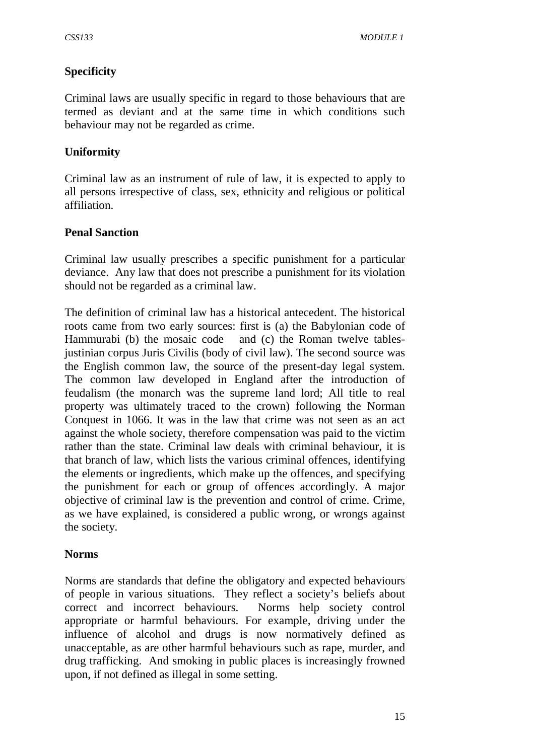# **Specificity**

Criminal laws are usually specific in regard to those behaviours that are termed as deviant and at the same time in which conditions such behaviour may not be regarded as crime.

# **Uniformity**

Criminal law as an instrument of rule of law, it is expected to apply to all persons irrespective of class, sex, ethnicity and religious or political affiliation.

## **Penal Sanction**

Criminal law usually prescribes a specific punishment for a particular deviance. Any law that does not prescribe a punishment for its violation should not be regarded as a criminal law.

The definition of criminal law has a historical antecedent. The historical roots came from two early sources: first is (a) the Babylonian code of Hammurabi (b) the mosaic code and (c) the Roman twelve tablesjustinian corpus Juris Civilis (body of civil law). The second source was the English common law, the source of the present-day legal system. The common law developed in England after the introduction of feudalism (the monarch was the supreme land lord; All title to real property was ultimately traced to the crown) following the Norman Conquest in 1066. It was in the law that crime was not seen as an act against the whole society, therefore compensation was paid to the victim rather than the state. Criminal law deals with criminal behaviour, it is that branch of law, which lists the various criminal offences, identifying the elements or ingredients, which make up the offences, and specifying the punishment for each or group of offences accordingly. A major objective of criminal law is the prevention and control of crime. Crime, as we have explained, is considered a public wrong, or wrongs against the society.

## **Norms**

Norms are standards that define the obligatory and expected behaviours of people in various situations. They reflect a society's beliefs about correct and incorrect behaviours. Norms help society control appropriate or harmful behaviours. For example, driving under the influence of alcohol and drugs is now normatively defined as unacceptable, as are other harmful behaviours such as rape, murder, and drug trafficking. And smoking in public places is increasingly frowned upon, if not defined as illegal in some setting.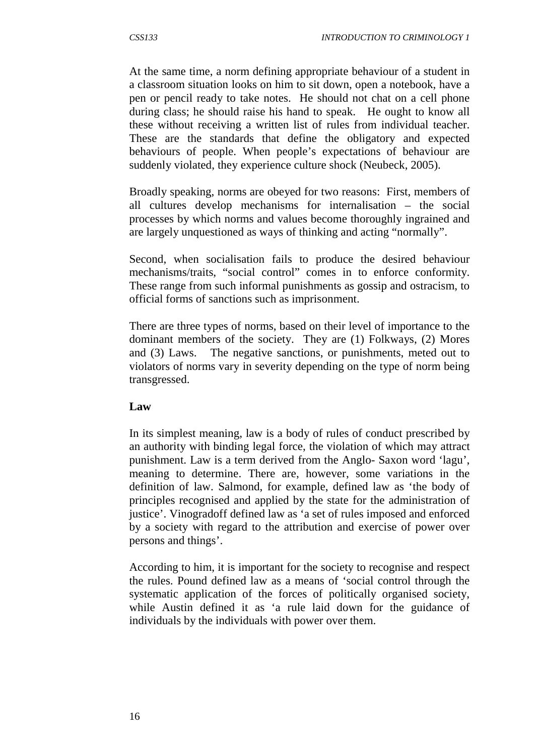At the same time, a norm defining appropriate behaviour of a student in a classroom situation looks on him to sit down, open a notebook, have a pen or pencil ready to take notes. He should not chat on a cell phone during class; he should raise his hand to speak. He ought to know all these without receiving a written list of rules from individual teacher. These are the standards that define the obligatory and expected behaviours of people. When people's expectations of behaviour are suddenly violated, they experience culture shock (Neubeck, 2005).

Broadly speaking, norms are obeyed for two reasons: First, members of all cultures develop mechanisms for internalisation – the social processes by which norms and values become thoroughly ingrained and are largely unquestioned as ways of thinking and acting "normally".

Second, when socialisation fails to produce the desired behaviour mechanisms/traits, "social control" comes in to enforce conformity. These range from such informal punishments as gossip and ostracism, to official forms of sanctions such as imprisonment.

There are three types of norms, based on their level of importance to the dominant members of the society. They are (1) Folkways, (2) Mores and (3) Laws. The negative sanctions, or punishments, meted out to violators of norms vary in severity depending on the type of norm being transgressed.

## **Law**

In its simplest meaning, law is a body of rules of conduct prescribed by an authority with binding legal force, the violation of which may attract punishment. Law is a term derived from the Anglo- Saxon word 'lagu', meaning to determine. There are, however, some variations in the definition of law. Salmond, for example, defined law as 'the body of principles recognised and applied by the state for the administration of justice'. Vinogradoff defined law as 'a set of rules imposed and enforced by a society with regard to the attribution and exercise of power over persons and things'.

According to him, it is important for the society to recognise and respect the rules. Pound defined law as a means of 'social control through the systematic application of the forces of politically organised society, while Austin defined it as 'a rule laid down for the guidance of individuals by the individuals with power over them.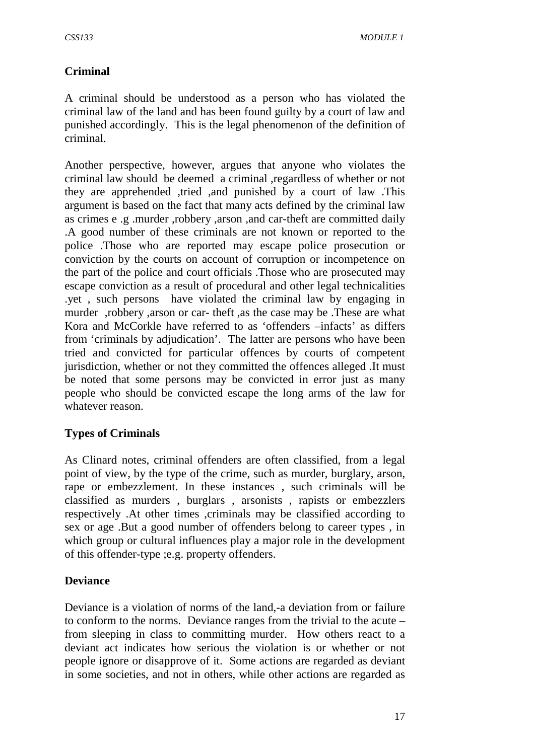# **Criminal**

A criminal should be understood as a person who has violated the criminal law of the land and has been found guilty by a court of law and punished accordingly. This is the legal phenomenon of the definition of criminal.

Another perspective, however, argues that anyone who violates the criminal law should be deemed a criminal ,regardless of whether or not they are apprehended ,tried ,and punished by a court of law .This argument is based on the fact that many acts defined by the criminal law as crimes e .g .murder ,robbery ,arson ,and car-theft are committed daily .A good number of these criminals are not known or reported to the police .Those who are reported may escape police prosecution or conviction by the courts on account of corruption or incompetence on the part of the police and court officials .Those who are prosecuted may escape conviction as a result of procedural and other legal technicalities .yet , such persons have violated the criminal law by engaging in murder ,robbery ,arson or car- theft ,as the case may be .These are what Kora and McCorkle have referred to as 'offenders –infacts' as differs from 'criminals by adjudication'. The latter are persons who have been tried and convicted for particular offences by courts of competent jurisdiction, whether or not they committed the offences alleged .It must be noted that some persons may be convicted in error just as many people who should be convicted escape the long arms of the law for whatever reason.

# **Types of Criminals**

As Clinard notes, criminal offenders are often classified, from a legal point of view, by the type of the crime, such as murder, burglary, arson, rape or embezzlement. In these instances , such criminals will be classified as murders , burglars , arsonists , rapists or embezzlers respectively .At other times ,criminals may be classified according to sex or age .But a good number of offenders belong to career types , in which group or cultural influences play a major role in the development of this offender-type ;e.g. property offenders.

# **Deviance**

Deviance is a violation of norms of the land,-a deviation from or failure to conform to the norms. Deviance ranges from the trivial to the acute – from sleeping in class to committing murder. How others react to a deviant act indicates how serious the violation is or whether or not people ignore or disapprove of it. Some actions are regarded as deviant in some societies, and not in others, while other actions are regarded as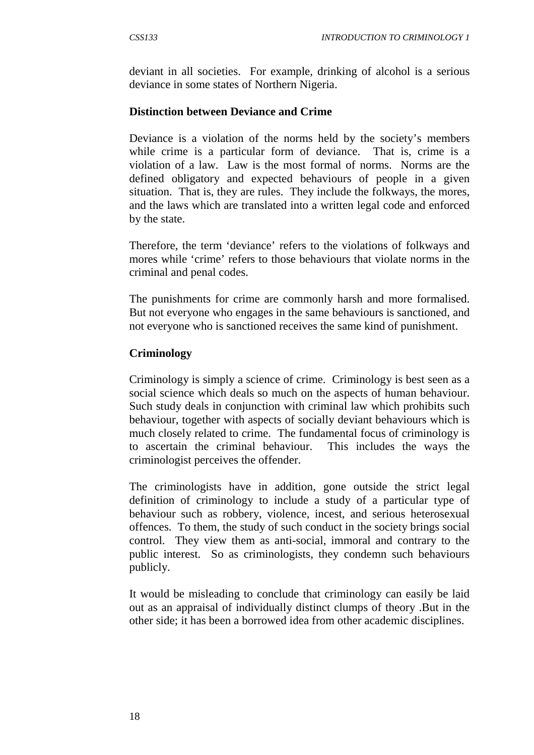deviant in all societies. For example, drinking of alcohol is a serious deviance in some states of Northern Nigeria.

# **Distinction between Deviance and Crime**

Deviance is a violation of the norms held by the society's members while crime is a particular form of deviance. That is, crime is a violation of a law. Law is the most formal of norms. Norms are the defined obligatory and expected behaviours of people in a given situation. That is, they are rules. They include the folkways, the mores, and the laws which are translated into a written legal code and enforced by the state.

Therefore, the term 'deviance' refers to the violations of folkways and mores while 'crime' refers to those behaviours that violate norms in the criminal and penal codes.

The punishments for crime are commonly harsh and more formalised. But not everyone who engages in the same behaviours is sanctioned, and not everyone who is sanctioned receives the same kind of punishment.

# **Criminology**

Criminology is simply a science of crime. Criminology is best seen as a social science which deals so much on the aspects of human behaviour. Such study deals in conjunction with criminal law which prohibits such behaviour, together with aspects of socially deviant behaviours which is much closely related to crime. The fundamental focus of criminology is to ascertain the criminal behaviour. This includes the ways the criminologist perceives the offender.

The criminologists have in addition, gone outside the strict legal definition of criminology to include a study of a particular type of behaviour such as robbery, violence, incest, and serious heterosexual offences. To them, the study of such conduct in the society brings social control. They view them as anti-social, immoral and contrary to the public interest. So as criminologists, they condemn such behaviours publicly.

It would be misleading to conclude that criminology can easily be laid out as an appraisal of individually distinct clumps of theory .But in the other side; it has been a borrowed idea from other academic disciplines.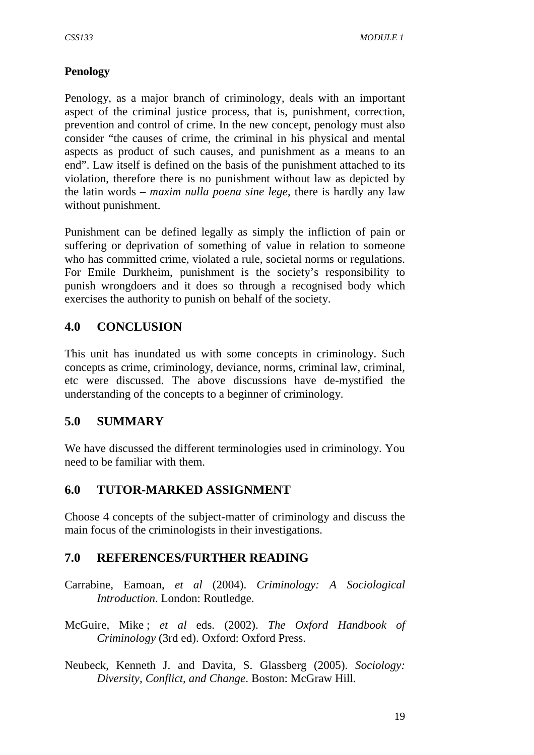# **Penology**

Penology, as a major branch of criminology, deals with an important aspect of the criminal justice process, that is, punishment, correction, prevention and control of crime. In the new concept, penology must also consider "the causes of crime, the criminal in his physical and mental aspects as product of such causes, and punishment as a means to an end". Law itself is defined on the basis of the punishment attached to its violation, therefore there is no punishment without law as depicted by the latin words – *maxim nulla poena sine lege*, there is hardly any law without punishment.

Punishment can be defined legally as simply the infliction of pain or suffering or deprivation of something of value in relation to someone who has committed crime, violated a rule, societal norms or regulations. For Emile Durkheim, punishment is the society's responsibility to punish wrongdoers and it does so through a recognised body which exercises the authority to punish on behalf of the society.

# **4.0 CONCLUSION**

This unit has inundated us with some concepts in criminology. Such concepts as crime, criminology, deviance, norms, criminal law, criminal, etc were discussed. The above discussions have de-mystified the understanding of the concepts to a beginner of criminology.

# **5.0 SUMMARY**

We have discussed the different terminologies used in criminology. You need to be familiar with them.

# **6.0 TUTOR-MARKED ASSIGNMENT**

Choose 4 concepts of the subject-matter of criminology and discuss the main focus of the criminologists in their investigations.

# **7.0 REFERENCES/FURTHER READING**

- Carrabine, Eamoan, *et al* (2004). *Criminology: A Sociological Introduction*. London: Routledge.
- McGuire, Mike ; *et al* eds. (2002). *The Oxford Handbook of Criminology* (3rd ed). Oxford: Oxford Press.
- Neubeck, Kenneth J. and Davita, S. Glassberg (2005). *Sociology: Diversity, Conflict, and Change*. Boston: McGraw Hill.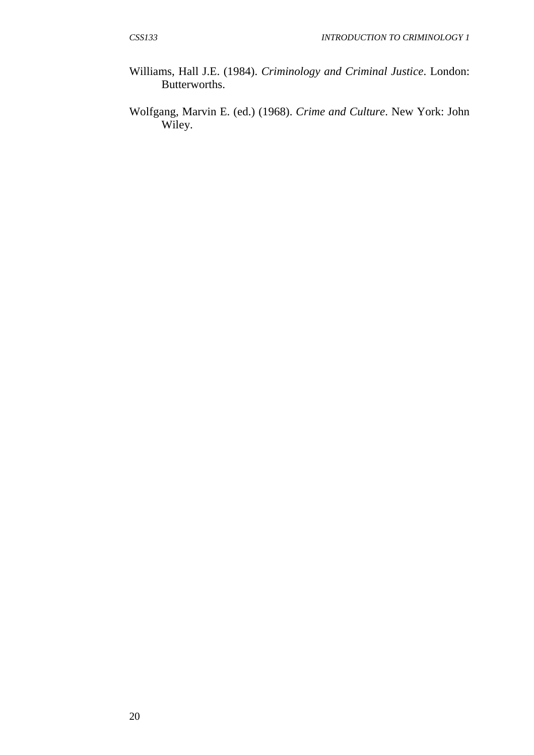- Williams, Hall J.E. (1984). *Criminology and Criminal Justice*. London: Butterworths.
- Wolfgang, Marvin E. (ed.) (1968). *Crime and Culture*. New York: John Wiley.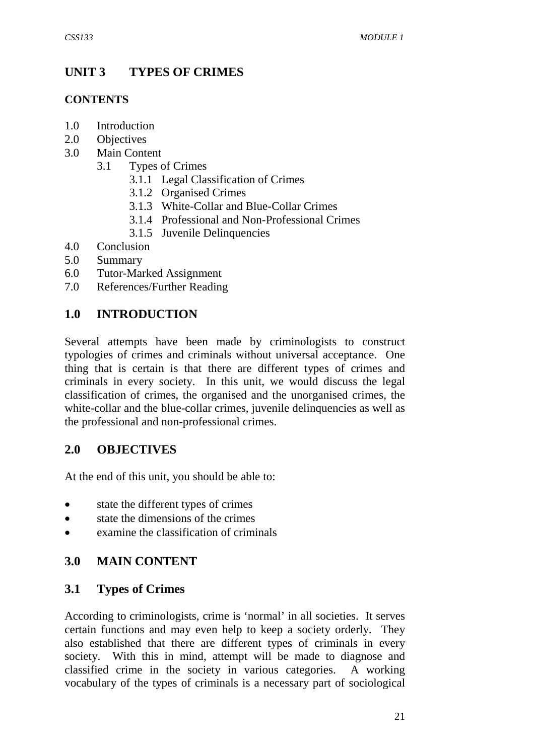# **UNIT 3 TYPES OF CRIMES**

# **CONTENTS**

- 1.0 Introduction
- 2.0 Objectives
- 3.0 Main Content
	- 3.1 Types of Crimes
		- 3.1.1 Legal Classification of Crimes
		- 3.1.2 Organised Crimes
		- 3.1.3 White-Collar and Blue-Collar Crimes
		- 3.1.4 Professional and Non-Professional Crimes
		- 3.1.5 Juvenile Delinquencies
- 4.0 Conclusion
- 5.0 Summary
- 6.0 Tutor-Marked Assignment
- 7.0 References/Further Reading

# **1.0 INTRODUCTION**

Several attempts have been made by criminologists to construct typologies of crimes and criminals without universal acceptance. One thing that is certain is that there are different types of crimes and criminals in every society. In this unit, we would discuss the legal classification of crimes, the organised and the unorganised crimes, the white-collar and the blue-collar crimes, juvenile delinquencies as well as the professional and non-professional crimes.

# **2.0 OBJECTIVES**

At the end of this unit, you should be able to:

- state the different types of crimes
- state the dimensions of the crimes
- examine the classification of criminals

# **3.0 MAIN CONTENT**

# **3.1 Types of Crimes**

According to criminologists, crime is 'normal' in all societies. It serves certain functions and may even help to keep a society orderly. They also established that there are different types of criminals in every society. With this in mind, attempt will be made to diagnose and classified crime in the society in various categories. A working vocabulary of the types of criminals is a necessary part of sociological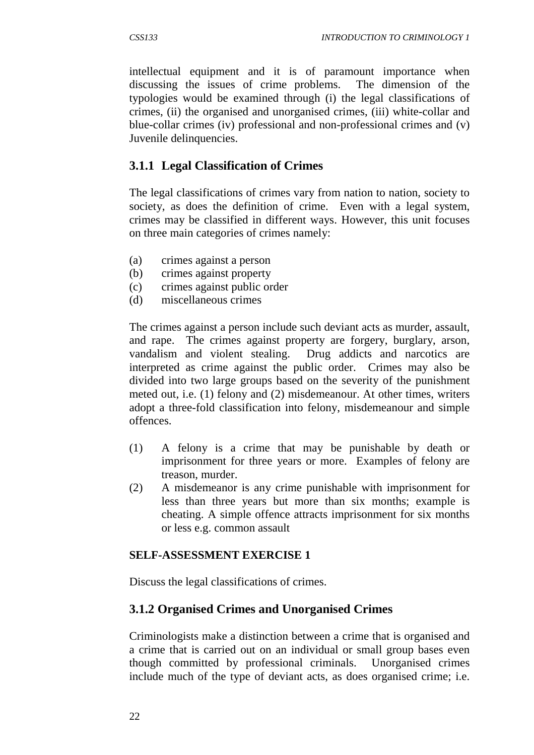intellectual equipment and it is of paramount importance when discussing the issues of crime problems. The dimension of the typologies would be examined through (i) the legal classifications of crimes, (ii) the organised and unorganised crimes, (iii) white-collar and blue-collar crimes (iv) professional and non-professional crimes and (v) Juvenile delinquencies.

# **3.1.1 Legal Classification of Crimes**

The legal classifications of crimes vary from nation to nation, society to society, as does the definition of crime. Even with a legal system, crimes may be classified in different ways. However, this unit focuses on three main categories of crimes namely:

- (a) crimes against a person
- (b) crimes against property
- (c) crimes against public order
- (d) miscellaneous crimes

The crimes against a person include such deviant acts as murder, assault, and rape. The crimes against property are forgery, burglary, arson, vandalism and violent stealing. Drug addicts and narcotics are interpreted as crime against the public order. Crimes may also be divided into two large groups based on the severity of the punishment meted out, i.e. (1) felony and (2) misdemeanour. At other times, writers adopt a three-fold classification into felony, misdemeanour and simple offences.

- (1) A felony is a crime that may be punishable by death or imprisonment for three years or more. Examples of felony are treason, murder.
- (2) A misdemeanor is any crime punishable with imprisonment for less than three years but more than six months; example is cheating. A simple offence attracts imprisonment for six months or less e.g. common assault

## **SELF-ASSESSMENT EXERCISE 1**

Discuss the legal classifications of crimes.

## **3.1.2 Organised Crimes and Unorganised Crimes**

Criminologists make a distinction between a crime that is organised and a crime that is carried out on an individual or small group bases even though committed by professional criminals. Unorganised crimes include much of the type of deviant acts, as does organised crime; i.e.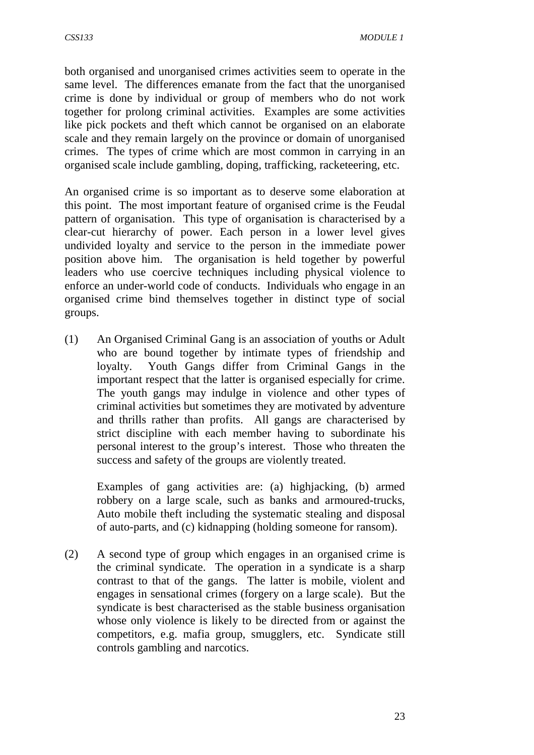both organised and unorganised crimes activities seem to operate in the same level. The differences emanate from the fact that the unorganised crime is done by individual or group of members who do not work together for prolong criminal activities. Examples are some activities like pick pockets and theft which cannot be organised on an elaborate scale and they remain largely on the province or domain of unorganised crimes. The types of crime which are most common in carrying in an organised scale include gambling, doping, trafficking, racketeering, etc.

An organised crime is so important as to deserve some elaboration at this point. The most important feature of organised crime is the Feudal pattern of organisation. This type of organisation is characterised by a clear-cut hierarchy of power. Each person in a lower level gives undivided loyalty and service to the person in the immediate power position above him. The organisation is held together by powerful leaders who use coercive techniques including physical violence to enforce an under-world code of conducts. Individuals who engage in an organised crime bind themselves together in distinct type of social groups.

(1) An Organised Criminal Gang is an association of youths or Adult who are bound together by intimate types of friendship and loyalty. Youth Gangs differ from Criminal Gangs in the important respect that the latter is organised especially for crime. The youth gangs may indulge in violence and other types of criminal activities but sometimes they are motivated by adventure and thrills rather than profits. All gangs are characterised by strict discipline with each member having to subordinate his personal interest to the group's interest. Those who threaten the success and safety of the groups are violently treated.

Examples of gang activities are: (a) highjacking, (b) armed robbery on a large scale, such as banks and armoured-trucks, Auto mobile theft including the systematic stealing and disposal of auto-parts, and (c) kidnapping (holding someone for ransom).

(2) A second type of group which engages in an organised crime is the criminal syndicate. The operation in a syndicate is a sharp contrast to that of the gangs. The latter is mobile, violent and engages in sensational crimes (forgery on a large scale). But the syndicate is best characterised as the stable business organisation whose only violence is likely to be directed from or against the competitors, e.g. mafia group, smugglers, etc. Syndicate still controls gambling and narcotics.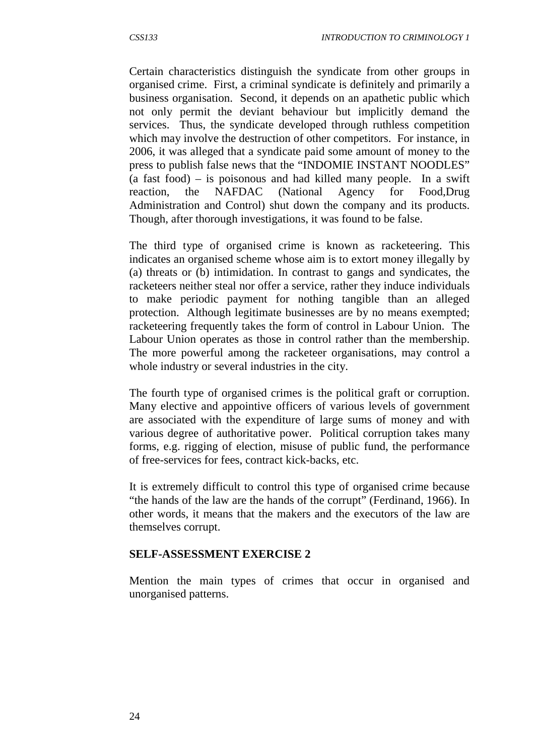Certain characteristics distinguish the syndicate from other groups in organised crime. First, a criminal syndicate is definitely and primarily a business organisation. Second, it depends on an apathetic public which not only permit the deviant behaviour but implicitly demand the services. Thus, the syndicate developed through ruthless competition which may involve the destruction of other competitors. For instance, in 2006, it was alleged that a syndicate paid some amount of money to the press to publish false news that the "INDOMIE INSTANT NOODLES" (a fast food) – is poisonous and had killed many people. In a swift reaction, the NAFDAC (National Agency for Food,Drug Administration and Control) shut down the company and its products. Though, after thorough investigations, it was found to be false.

The third type of organised crime is known as racketeering. This indicates an organised scheme whose aim is to extort money illegally by (a) threats or (b) intimidation. In contrast to gangs and syndicates, the racketeers neither steal nor offer a service, rather they induce individuals to make periodic payment for nothing tangible than an alleged protection. Although legitimate businesses are by no means exempted; racketeering frequently takes the form of control in Labour Union. The Labour Union operates as those in control rather than the membership. The more powerful among the racketeer organisations, may control a whole industry or several industries in the city.

The fourth type of organised crimes is the political graft or corruption. Many elective and appointive officers of various levels of government are associated with the expenditure of large sums of money and with various degree of authoritative power. Political corruption takes many forms, e.g. rigging of election, misuse of public fund, the performance of free-services for fees, contract kick-backs, etc.

It is extremely difficult to control this type of organised crime because "the hands of the law are the hands of the corrupt" (Ferdinand, 1966). In other words, it means that the makers and the executors of the law are themselves corrupt.

## **SELF-ASSESSMENT EXERCISE 2**

Mention the main types of crimes that occur in organised and unorganised patterns.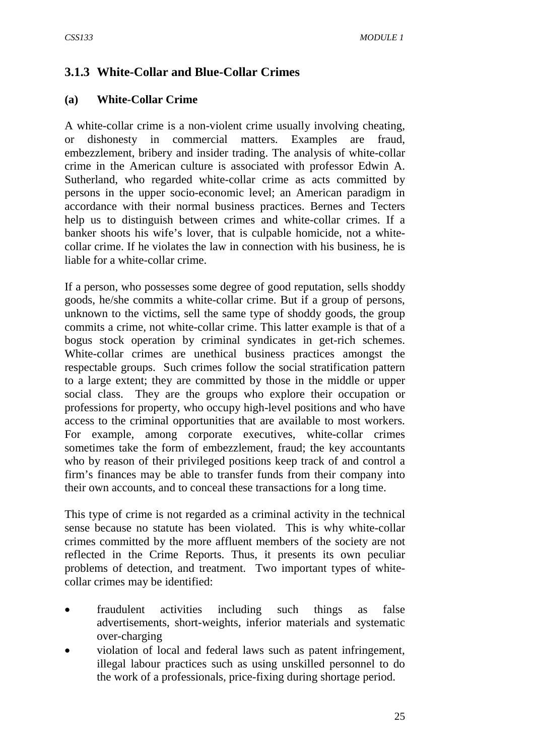# **3.1.3 White-Collar and Blue-Collar Crimes**

#### **(a) White-Collar Crime**

A white-collar crime is a non-violent crime usually involving cheating, or dishonesty in commercial matters. Examples are fraud, embezzlement, bribery and insider trading. The analysis of white-collar crime in the American culture is associated with professor Edwin A. Sutherland, who regarded white-collar crime as acts committed by persons in the upper socio-economic level; an American paradigm in accordance with their normal business practices. Bernes and Tecters help us to distinguish between crimes and white-collar crimes. If a banker shoots his wife's lover, that is culpable homicide, not a whitecollar crime. If he violates the law in connection with his business, he is liable for a white-collar crime.

If a person, who possesses some degree of good reputation, sells shoddy goods, he/she commits a white-collar crime. But if a group of persons, unknown to the victims, sell the same type of shoddy goods, the group commits a crime, not white-collar crime. This latter example is that of a bogus stock operation by criminal syndicates in get-rich schemes. White-collar crimes are unethical business practices amongst the respectable groups. Such crimes follow the social stratification pattern to a large extent; they are committed by those in the middle or upper social class. They are the groups who explore their occupation or professions for property, who occupy high-level positions and who have access to the criminal opportunities that are available to most workers. For example, among corporate executives, white-collar crimes sometimes take the form of embezzlement, fraud; the key accountants who by reason of their privileged positions keep track of and control a firm's finances may be able to transfer funds from their company into their own accounts, and to conceal these transactions for a long time.

This type of crime is not regarded as a criminal activity in the technical sense because no statute has been violated. This is why white-collar crimes committed by the more affluent members of the society are not reflected in the Crime Reports. Thus, it presents its own peculiar problems of detection, and treatment. Two important types of whitecollar crimes may be identified:

- fraudulent activities including such things as false advertisements, short-weights, inferior materials and systematic over-charging
- violation of local and federal laws such as patent infringement, illegal labour practices such as using unskilled personnel to do the work of a professionals, price-fixing during shortage period.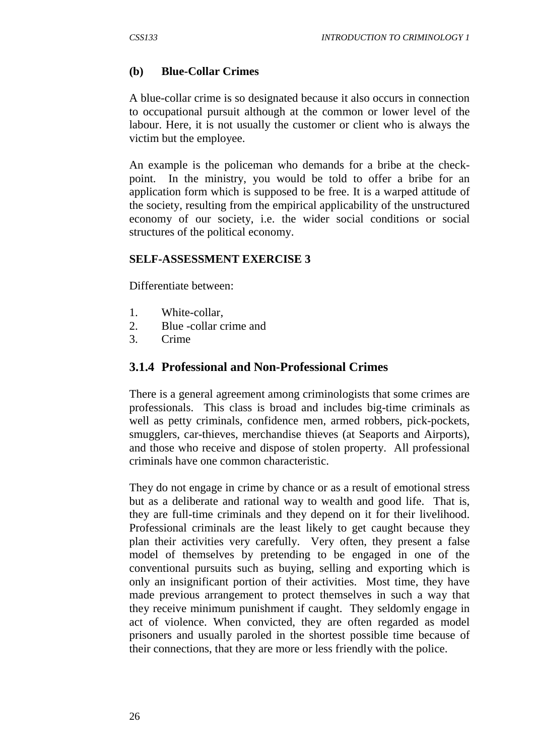### **(b) Blue-Collar Crimes**

A blue-collar crime is so designated because it also occurs in connection to occupational pursuit although at the common or lower level of the labour. Here, it is not usually the customer or client who is always the victim but the employee.

An example is the policeman who demands for a bribe at the checkpoint. In the ministry, you would be told to offer a bribe for an application form which is supposed to be free. It is a warped attitude of the society, resulting from the empirical applicability of the unstructured economy of our society, i.e. the wider social conditions or social structures of the political economy.

#### **SELF-ASSESSMENT EXERCISE 3**

Differentiate between:

- 1. White-collar,
- 2. Blue -collar crime and
- 3. Crime

### **3.1.4 Professional and Non-Professional Crimes**

There is a general agreement among criminologists that some crimes are professionals. This class is broad and includes big-time criminals as well as petty criminals, confidence men, armed robbers, pick-pockets, smugglers, car-thieves, merchandise thieves (at Seaports and Airports), and those who receive and dispose of stolen property. All professional criminals have one common characteristic.

They do not engage in crime by chance or as a result of emotional stress but as a deliberate and rational way to wealth and good life. That is, they are full-time criminals and they depend on it for their livelihood. Professional criminals are the least likely to get caught because they plan their activities very carefully. Very often, they present a false model of themselves by pretending to be engaged in one of the conventional pursuits such as buying, selling and exporting which is only an insignificant portion of their activities. Most time, they have made previous arrangement to protect themselves in such a way that they receive minimum punishment if caught. They seldomly engage in act of violence. When convicted, they are often regarded as model prisoners and usually paroled in the shortest possible time because of their connections, that they are more or less friendly with the police.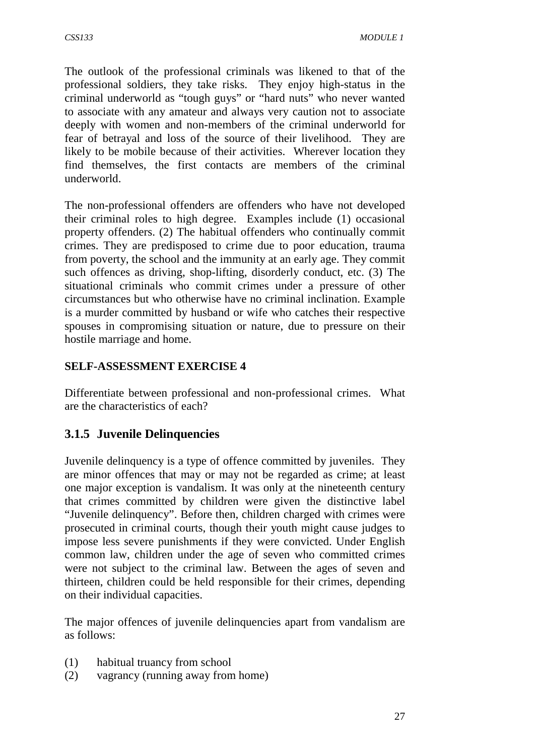The outlook of the professional criminals was likened to that of the professional soldiers, they take risks. They enjoy high-status in the criminal underworld as "tough guys" or "hard nuts" who never wanted to associate with any amateur and always very caution not to associate deeply with women and non-members of the criminal underworld for fear of betrayal and loss of the source of their livelihood. They are likely to be mobile because of their activities. Wherever location they find themselves, the first contacts are members of the criminal underworld.

The non-professional offenders are offenders who have not developed their criminal roles to high degree. Examples include (1) occasional property offenders. (2) The habitual offenders who continually commit crimes. They are predisposed to crime due to poor education, trauma from poverty, the school and the immunity at an early age. They commit such offences as driving, shop-lifting, disorderly conduct, etc. (3) The situational criminals who commit crimes under a pressure of other circumstances but who otherwise have no criminal inclination. Example is a murder committed by husband or wife who catches their respective spouses in compromising situation or nature, due to pressure on their hostile marriage and home.

## **SELF-ASSESSMENT EXERCISE 4**

Differentiate between professional and non-professional crimes. What are the characteristics of each?

# **3.1.5 Juvenile Delinquencies**

Juvenile delinquency is a type of offence committed by juveniles. They are minor offences that may or may not be regarded as crime; at least one major exception is vandalism. It was only at the nineteenth century that crimes committed by children were given the distinctive label "Juvenile delinquency". Before then, children charged with crimes were prosecuted in criminal courts, though their youth might cause judges to impose less severe punishments if they were convicted. Under English common law, children under the age of seven who committed crimes were not subject to the criminal law. Between the ages of seven and thirteen, children could be held responsible for their crimes, depending on their individual capacities.

The major offences of juvenile delinquencies apart from vandalism are as follows:

- (1) habitual truancy from school
- (2) vagrancy (running away from home)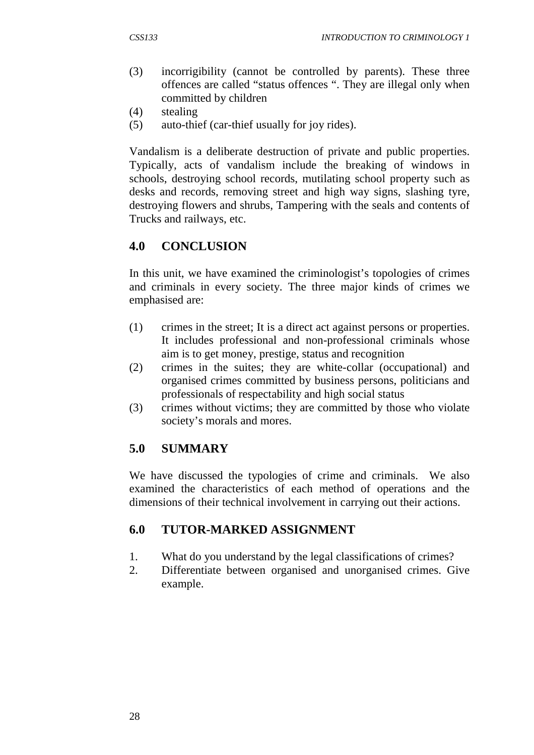- (3) incorrigibility (cannot be controlled by parents). These three offences are called "status offences ". They are illegal only when committed by children
- (4) stealing
- (5) auto-thief (car-thief usually for joy rides).

Vandalism is a deliberate destruction of private and public properties. Typically, acts of vandalism include the breaking of windows in schools, destroying school records, mutilating school property such as desks and records, removing street and high way signs, slashing tyre, destroying flowers and shrubs, Tampering with the seals and contents of Trucks and railways, etc.

## **4.0 CONCLUSION**

In this unit, we have examined the criminologist's topologies of crimes and criminals in every society. The three major kinds of crimes we emphasised are:

- (1) crimes in the street; It is a direct act against persons or properties. It includes professional and non-professional criminals whose aim is to get money, prestige, status and recognition
- (2) crimes in the suites; they are white-collar (occupational) and organised crimes committed by business persons, politicians and professionals of respectability and high social status
- (3) crimes without victims; they are committed by those who violate society's morals and mores.

### **5.0 SUMMARY**

We have discussed the typologies of crime and criminals. We also examined the characteristics of each method of operations and the dimensions of their technical involvement in carrying out their actions.

### **6.0 TUTOR-MARKED ASSIGNMENT**

- 1. What do you understand by the legal classifications of crimes?
- 2. Differentiate between organised and unorganised crimes. Give example.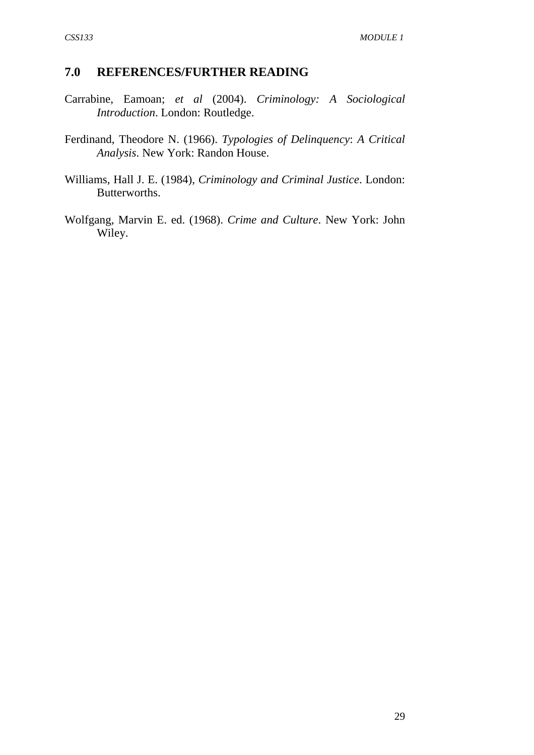### **7.0 REFERENCES/FURTHER READING**

- Carrabine, Eamoan; *et al* (2004). *Criminology: A Sociological Introduction*. London: Routledge.
- Ferdinand, Theodore N. (1966). *Typologies of Delinquency*: *A Critical Analysis*. New York: Randon House.
- Williams, Hall J. E. (1984), *Criminology and Criminal Justice*. London: Butterworths.
- Wolfgang, Marvin E. ed. (1968). *Crime and Culture*. New York: John Wiley.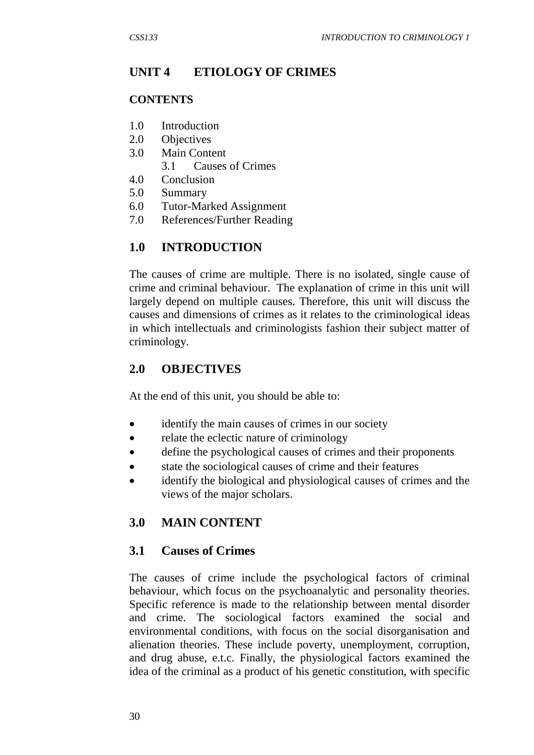# **UNIT 4 ETIOLOGY OF CRIMES**

### **CONTENTS**

- 1.0 Introduction
- 2.0 Objectives
- 3.0 Main Content
	- 3.1 Causes of Crimes
- 4.0 Conclusion
- 5.0 Summary
- 6.0 Tutor-Marked Assignment
- 7.0 References/Further Reading

# **1.0 INTRODUCTION**

The causes of crime are multiple. There is no isolated, single cause of crime and criminal behaviour. The explanation of crime in this unit will largely depend on multiple causes. Therefore, this unit will discuss the causes and dimensions of crimes as it relates to the criminological ideas in which intellectuals and criminologists fashion their subject matter of criminology.

# **2.0 OBJECTIVES**

At the end of this unit, you should be able to:

- identify the main causes of crimes in our society
- relate the eclectic nature of criminology
- define the psychological causes of crimes and their proponents
- state the sociological causes of crime and their features
- identify the biological and physiological causes of crimes and the views of the major scholars.

# **3.0 MAIN CONTENT**

### **3.1 Causes of Crimes**

The causes of crime include the psychological factors of criminal behaviour, which focus on the psychoanalytic and personality theories. Specific reference is made to the relationship between mental disorder and crime. The sociological factors examined the social and environmental conditions, with focus on the social disorganisation and alienation theories. These include poverty, unemployment, corruption, and drug abuse, e.t.c. Finally, the physiological factors examined the idea of the criminal as a product of his genetic constitution, with specific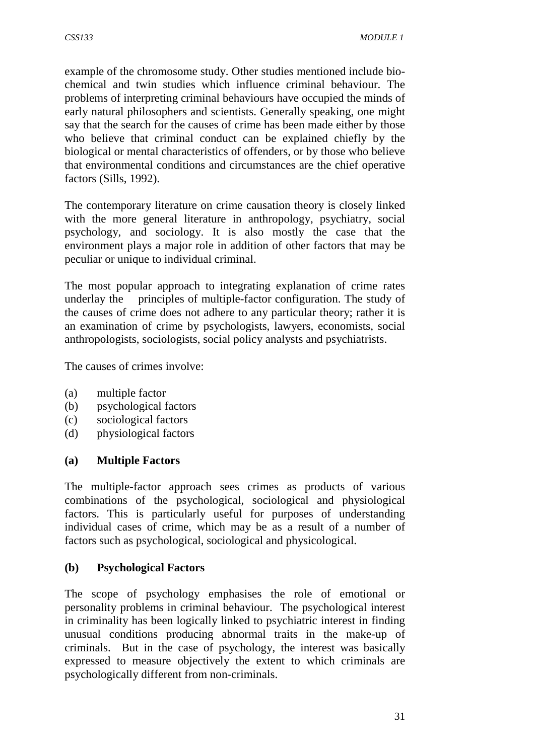example of the chromosome study. Other studies mentioned include biochemical and twin studies which influence criminal behaviour. The problems of interpreting criminal behaviours have occupied the minds of early natural philosophers and scientists. Generally speaking, one might say that the search for the causes of crime has been made either by those who believe that criminal conduct can be explained chiefly by the biological or mental characteristics of offenders, or by those who believe that environmental conditions and circumstances are the chief operative factors (Sills, 1992).

The contemporary literature on crime causation theory is closely linked with the more general literature in anthropology, psychiatry, social psychology, and sociology. It is also mostly the case that the environment plays a major role in addition of other factors that may be peculiar or unique to individual criminal.

The most popular approach to integrating explanation of crime rates underlay the principles of multiple-factor configuration. The study of the causes of crime does not adhere to any particular theory; rather it is an examination of crime by psychologists, lawyers, economists, social anthropologists, sociologists, social policy analysts and psychiatrists.

The causes of crimes involve:

- (a) multiple factor
- (b) psychological factors
- (c) sociological factors
- (d) physiological factors

#### **(a) Multiple Factors**

The multiple-factor approach sees crimes as products of various combinations of the psychological, sociological and physiological factors. This is particularly useful for purposes of understanding individual cases of crime, which may be as a result of a number of factors such as psychological, sociological and physicological.

#### **(b) Psychological Factors**

The scope of psychology emphasises the role of emotional or personality problems in criminal behaviour. The psychological interest in criminality has been logically linked to psychiatric interest in finding unusual conditions producing abnormal traits in the make-up of criminals. But in the case of psychology, the interest was basically expressed to measure objectively the extent to which criminals are psychologically different from non-criminals.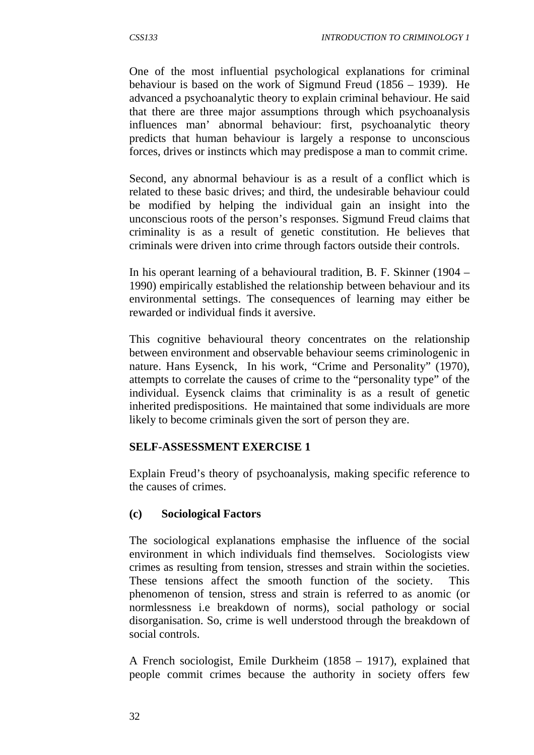One of the most influential psychological explanations for criminal behaviour is based on the work of Sigmund Freud (1856 – 1939). He advanced a psychoanalytic theory to explain criminal behaviour. He said that there are three major assumptions through which psychoanalysis influences man' abnormal behaviour: first, psychoanalytic theory predicts that human behaviour is largely a response to unconscious forces, drives or instincts which may predispose a man to commit crime.

Second, any abnormal behaviour is as a result of a conflict which is related to these basic drives; and third, the undesirable behaviour could be modified by helping the individual gain an insight into the unconscious roots of the person's responses. Sigmund Freud claims that criminality is as a result of genetic constitution. He believes that criminals were driven into crime through factors outside their controls.

In his operant learning of a behavioural tradition, B. F. Skinner (1904 – 1990) empirically established the relationship between behaviour and its environmental settings. The consequences of learning may either be rewarded or individual finds it aversive.

This cognitive behavioural theory concentrates on the relationship between environment and observable behaviour seems criminologenic in nature. Hans Eysenck, In his work, "Crime and Personality" (1970), attempts to correlate the causes of crime to the "personality type" of the individual. Eysenck claims that criminality is as a result of genetic inherited predispositions. He maintained that some individuals are more likely to become criminals given the sort of person they are.

#### **SELF-ASSESSMENT EXERCISE 1**

Explain Freud's theory of psychoanalysis, making specific reference to the causes of crimes.

#### **(c) Sociological Factors**

The sociological explanations emphasise the influence of the social environment in which individuals find themselves. Sociologists view crimes as resulting from tension, stresses and strain within the societies. These tensions affect the smooth function of the society. This phenomenon of tension, stress and strain is referred to as anomic (or normlessness i.e breakdown of norms), social pathology or social disorganisation. So, crime is well understood through the breakdown of social controls.

A French sociologist, Emile Durkheim (1858 – 1917), explained that people commit crimes because the authority in society offers few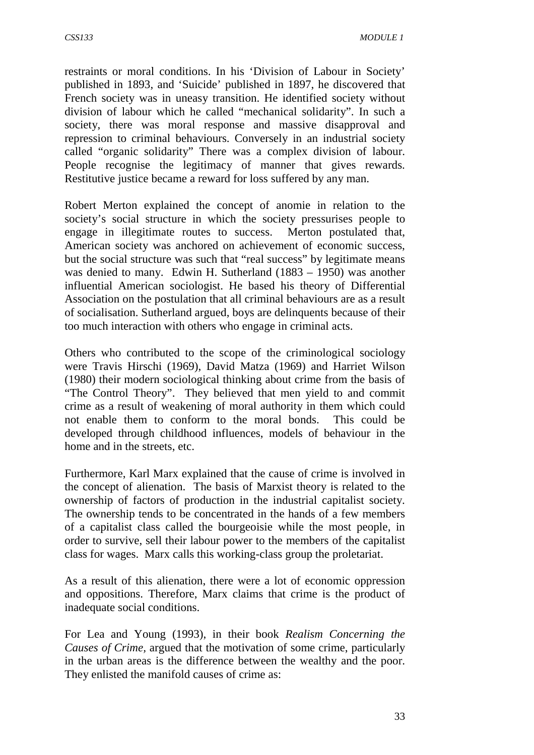restraints or moral conditions. In his 'Division of Labour in Society' published in 1893, and 'Suicide' published in 1897, he discovered that French society was in uneasy transition. He identified society without division of labour which he called "mechanical solidarity". In such a society, there was moral response and massive disapproval and repression to criminal behaviours. Conversely in an industrial society called "organic solidarity" There was a complex division of labour. People recognise the legitimacy of manner that gives rewards. Restitutive justice became a reward for loss suffered by any man.

Robert Merton explained the concept of anomie in relation to the society's social structure in which the society pressurises people to engage in illegitimate routes to success. Merton postulated that, American society was anchored on achievement of economic success, but the social structure was such that "real success" by legitimate means was denied to many. Edwin H. Sutherland (1883 – 1950) was another influential American sociologist. He based his theory of Differential Association on the postulation that all criminal behaviours are as a result of socialisation. Sutherland argued, boys are delinquents because of their too much interaction with others who engage in criminal acts.

Others who contributed to the scope of the criminological sociology were Travis Hirschi (1969), David Matza (1969) and Harriet Wilson (1980) their modern sociological thinking about crime from the basis of "The Control Theory". They believed that men yield to and commit crime as a result of weakening of moral authority in them which could not enable them to conform to the moral bonds. This could be developed through childhood influences, models of behaviour in the home and in the streets, etc.

Furthermore, Karl Marx explained that the cause of crime is involved in the concept of alienation. The basis of Marxist theory is related to the ownership of factors of production in the industrial capitalist society. The ownership tends to be concentrated in the hands of a few members of a capitalist class called the bourgeoisie while the most people, in order to survive, sell their labour power to the members of the capitalist class for wages. Marx calls this working-class group the proletariat.

As a result of this alienation, there were a lot of economic oppression and oppositions. Therefore, Marx claims that crime is the product of inadequate social conditions.

For Lea and Young (1993), in their book *Realism Concerning the Causes of Crime,* argued that the motivation of some crime, particularly in the urban areas is the difference between the wealthy and the poor. They enlisted the manifold causes of crime as: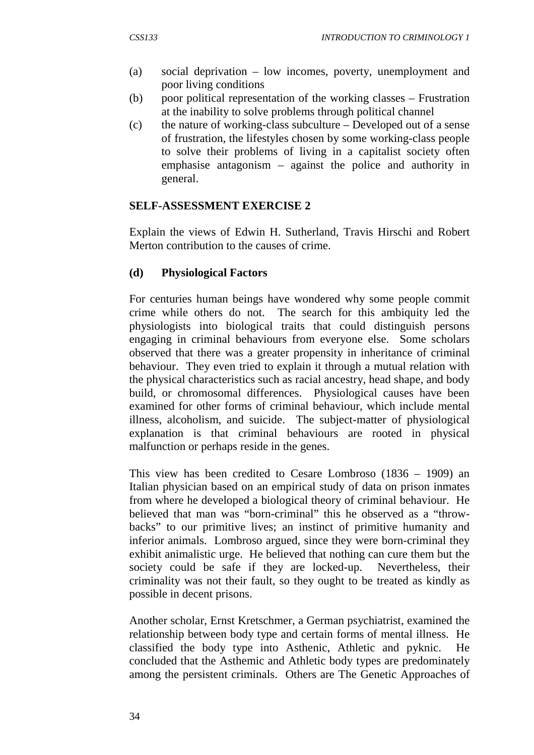- (a) social deprivation low incomes, poverty, unemployment and poor living conditions
- (b) poor political representation of the working classes Frustration at the inability to solve problems through political channel
- (c) the nature of working-class subculture Developed out of a sense of frustration, the lifestyles chosen by some working-class people to solve their problems of living in a capitalist society often emphasise antagonism – against the police and authority in general.

#### **SELF-ASSESSMENT EXERCISE 2**

Explain the views of Edwin H. Sutherland, Travis Hirschi and Robert Merton contribution to the causes of crime.

### **(d) Physiological Factors**

For centuries human beings have wondered why some people commit crime while others do not. The search for this ambiquity led the physiologists into biological traits that could distinguish persons engaging in criminal behaviours from everyone else. Some scholars observed that there was a greater propensity in inheritance of criminal behaviour. They even tried to explain it through a mutual relation with the physical characteristics such as racial ancestry, head shape, and body build, or chromosomal differences. Physiological causes have been examined for other forms of criminal behaviour, which include mental illness, alcoholism, and suicide. The subject-matter of physiological explanation is that criminal behaviours are rooted in physical malfunction or perhaps reside in the genes.

This view has been credited to Cesare Lombroso (1836 – 1909) an Italian physician based on an empirical study of data on prison inmates from where he developed a biological theory of criminal behaviour. He believed that man was "born-criminal" this he observed as a "throwbacks" to our primitive lives; an instinct of primitive humanity and inferior animals. Lombroso argued, since they were born-criminal they exhibit animalistic urge. He believed that nothing can cure them but the society could be safe if they are locked-up. Nevertheless, their criminality was not their fault, so they ought to be treated as kindly as possible in decent prisons.

Another scholar, Ernst Kretschmer, a German psychiatrist, examined the relationship between body type and certain forms of mental illness. He classified the body type into Asthenic, Athletic and pyknic. He concluded that the Asthemic and Athletic body types are predominately among the persistent criminals. Others are The Genetic Approaches of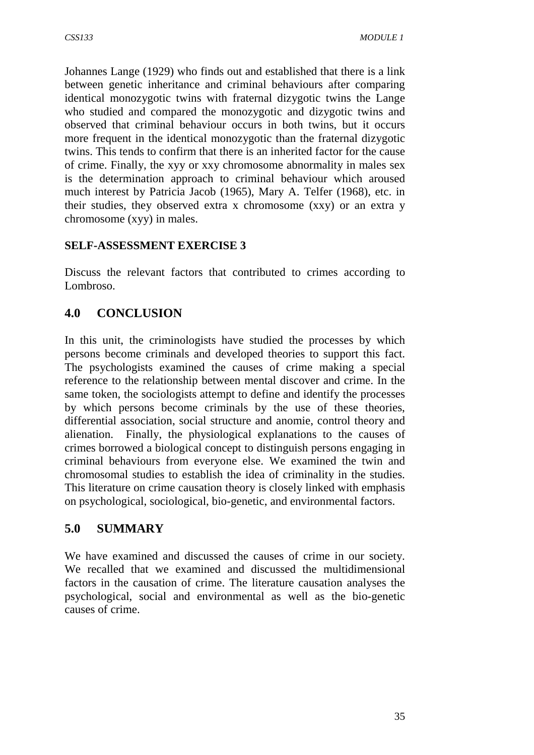Johannes Lange (1929) who finds out and established that there is a link between genetic inheritance and criminal behaviours after comparing identical monozygotic twins with fraternal dizygotic twins the Lange who studied and compared the monozygotic and dizygotic twins and observed that criminal behaviour occurs in both twins, but it occurs more frequent in the identical monozygotic than the fraternal dizygotic twins. This tends to confirm that there is an inherited factor for the cause of crime. Finally, the xyy or xxy chromosome abnormality in males sex is the determination approach to criminal behaviour which aroused much interest by Patricia Jacob (1965), Mary A. Telfer (1968), etc. in their studies, they observed extra x chromosome (xxy) or an extra y chromosome (xyy) in males.

## **SELF-ASSESSMENT EXERCISE 3**

Discuss the relevant factors that contributed to crimes according to Lombroso.

# **4.0 CONCLUSION**

In this unit, the criminologists have studied the processes by which persons become criminals and developed theories to support this fact. The psychologists examined the causes of crime making a special reference to the relationship between mental discover and crime. In the same token, the sociologists attempt to define and identify the processes by which persons become criminals by the use of these theories, differential association, social structure and anomie, control theory and alienation. Finally, the physiological explanations to the causes of crimes borrowed a biological concept to distinguish persons engaging in criminal behaviours from everyone else. We examined the twin and chromosomal studies to establish the idea of criminality in the studies. This literature on crime causation theory is closely linked with emphasis on psychological, sociological, bio-genetic, and environmental factors.

# **5.0 SUMMARY**

We have examined and discussed the causes of crime in our society. We recalled that we examined and discussed the multidimensional factors in the causation of crime. The literature causation analyses the psychological, social and environmental as well as the bio-genetic causes of crime.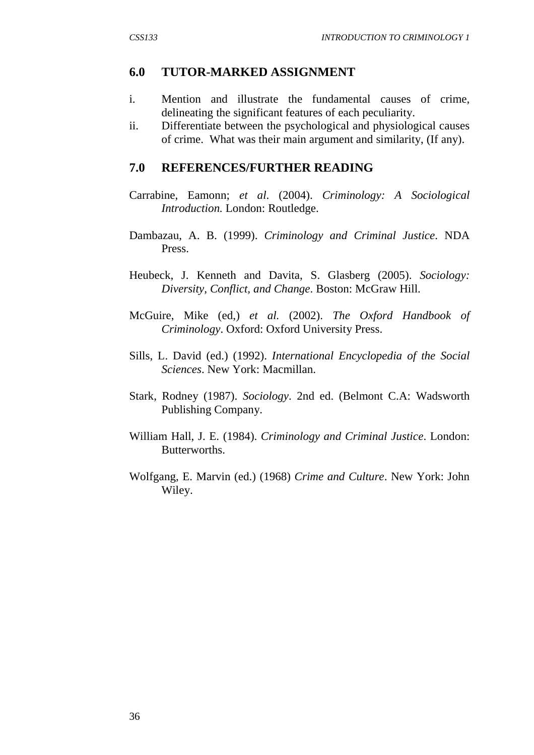### **6.0 TUTOR-MARKED ASSIGNMENT**

- i. Mention and illustrate the fundamental causes of crime, delineating the significant features of each peculiarity.
- ii. Differentiate between the psychological and physiological causes of crime. What was their main argument and similarity, (If any).

#### **7.0 REFERENCES/FURTHER READING**

- Carrabine, Eamonn; *et al*. (2004). *Criminology: A Sociological Introduction.* London: Routledge.
- Dambazau, A. B. (1999). *Criminology and Criminal Justice*. NDA Press.
- Heubeck, J. Kenneth and Davita, S. Glasberg (2005). *Sociology: Diversity, Conflict, and Change*. Boston: McGraw Hill.
- McGuire, Mike (ed,) *et al.* (2002). *The Oxford Handbook of Criminology*. Oxford: Oxford University Press.
- Sills, L. David (ed.) (1992). *International Encyclopedia of the Social Sciences*. New York: Macmillan.
- Stark, Rodney (1987). *Sociology*. 2nd ed. (Belmont C.A: Wadsworth Publishing Company.
- William Hall, J. E. (1984). *Criminology and Criminal Justice*. London: Butterworths.
- Wolfgang, E. Marvin (ed.) (1968) *Crime and Culture*. New York: John Wiley.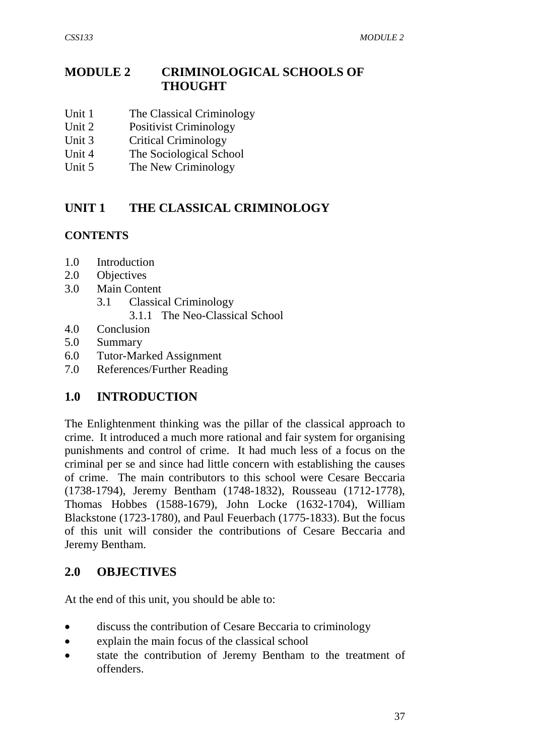# **MODULE 2 CRIMINOLOGICAL SCHOOLS OF THOUGHT**

- Unit 1 The Classical Criminology
- Unit 2 Positivist Criminology
- Unit 3 Critical Criminology
- Unit 4 The Sociological School
- Unit 5 The New Criminology

# **UNIT 1 THE CLASSICAL CRIMINOLOGY**

### **CONTENTS**

- 1.0 Introduction
- 2.0 Objectives
- 3.0 Main Content
	- 3.1 Classical Criminology
		- 3.1.1 The Neo-Classical School
- 4.0 Conclusion
- 5.0 Summary
- 6.0 Tutor-Marked Assignment
- 7.0 References/Further Reading

# **1.0 INTRODUCTION**

The Enlightenment thinking was the pillar of the classical approach to crime. It introduced a much more rational and fair system for organising punishments and control of crime. It had much less of a focus on the criminal per se and since had little concern with establishing the causes of crime. The main contributors to this school were Cesare Beccaria (1738-1794), Jeremy Bentham (1748-1832), Rousseau (1712-1778), Thomas Hobbes (1588-1679), John Locke (1632-1704), William Blackstone (1723-1780), and Paul Feuerbach (1775-1833). But the focus of this unit will consider the contributions of Cesare Beccaria and Jeremy Bentham.

# **2.0 OBJECTIVES**

At the end of this unit, you should be able to:

- discuss the contribution of Cesare Beccaria to criminology
- explain the main focus of the classical school
- state the contribution of Jeremy Bentham to the treatment of offenders.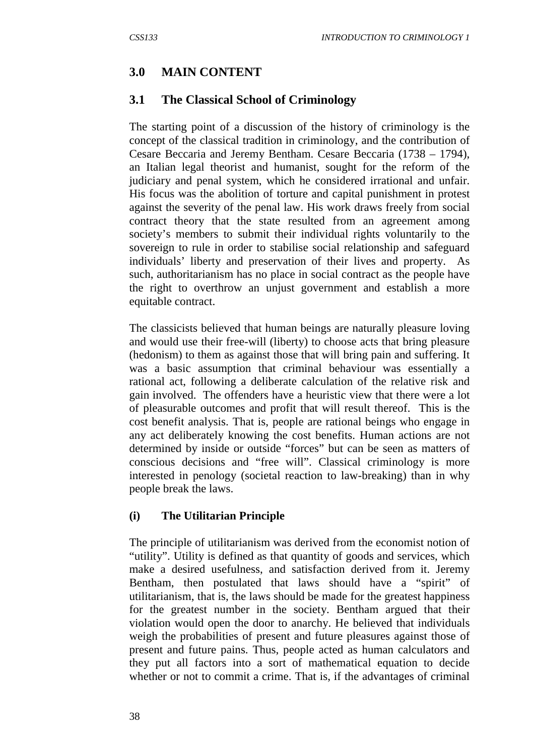## **3.0 MAIN CONTENT**

### **3.1 The Classical School of Criminology**

The starting point of a discussion of the history of criminology is the concept of the classical tradition in criminology, and the contribution of Cesare Beccaria and Jeremy Bentham. Cesare Beccaria (1738 – 1794), an Italian legal theorist and humanist, sought for the reform of the judiciary and penal system, which he considered irrational and unfair. His focus was the abolition of torture and capital punishment in protest against the severity of the penal law. His work draws freely from social contract theory that the state resulted from an agreement among society's members to submit their individual rights voluntarily to the sovereign to rule in order to stabilise social relationship and safeguard individuals' liberty and preservation of their lives and property. As such, authoritarianism has no place in social contract as the people have the right to overthrow an unjust government and establish a more equitable contract.

The classicists believed that human beings are naturally pleasure loving and would use their free-will (liberty) to choose acts that bring pleasure (hedonism) to them as against those that will bring pain and suffering. It was a basic assumption that criminal behaviour was essentially a rational act, following a deliberate calculation of the relative risk and gain involved. The offenders have a heuristic view that there were a lot of pleasurable outcomes and profit that will result thereof. This is the cost benefit analysis. That is, people are rational beings who engage in any act deliberately knowing the cost benefits. Human actions are not determined by inside or outside "forces" but can be seen as matters of conscious decisions and "free will". Classical criminology is more interested in penology (societal reaction to law-breaking) than in why people break the laws.

#### **(i) The Utilitarian Principle**

The principle of utilitarianism was derived from the economist notion of "utility". Utility is defined as that quantity of goods and services, which make a desired usefulness, and satisfaction derived from it. Jeremy Bentham, then postulated that laws should have a "spirit" of utilitarianism, that is, the laws should be made for the greatest happiness for the greatest number in the society. Bentham argued that their violation would open the door to anarchy. He believed that individuals weigh the probabilities of present and future pleasures against those of present and future pains. Thus, people acted as human calculators and they put all factors into a sort of mathematical equation to decide whether or not to commit a crime. That is, if the advantages of criminal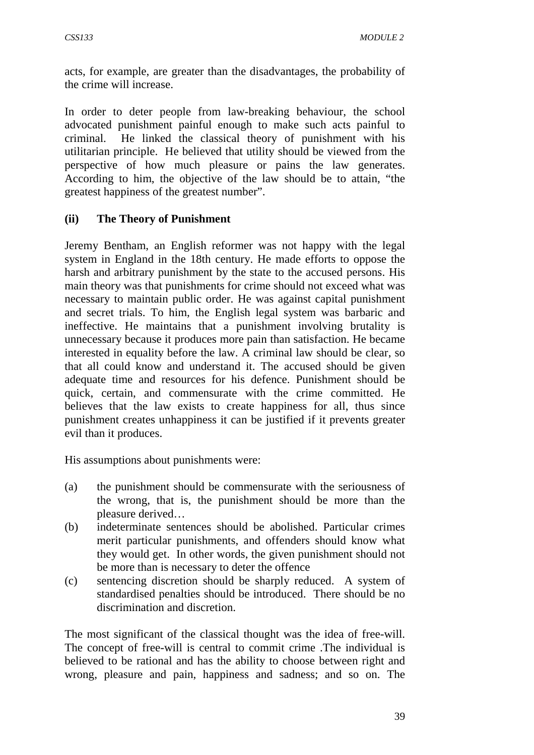acts, for example, are greater than the disadvantages, the probability of the crime will increase.

In order to deter people from law-breaking behaviour, the school advocated punishment painful enough to make such acts painful to criminal. He linked the classical theory of punishment with his utilitarian principle. He believed that utility should be viewed from the perspective of how much pleasure or pains the law generates. According to him, the objective of the law should be to attain, "the greatest happiness of the greatest number".

### **(ii) The Theory of Punishment**

Jeremy Bentham, an English reformer was not happy with the legal system in England in the 18th century. He made efforts to oppose the harsh and arbitrary punishment by the state to the accused persons. His main theory was that punishments for crime should not exceed what was necessary to maintain public order. He was against capital punishment and secret trials. To him, the English legal system was barbaric and ineffective. He maintains that a punishment involving brutality is unnecessary because it produces more pain than satisfaction. He became interested in equality before the law. A criminal law should be clear, so that all could know and understand it. The accused should be given adequate time and resources for his defence. Punishment should be quick, certain, and commensurate with the crime committed. He believes that the law exists to create happiness for all, thus since punishment creates unhappiness it can be justified if it prevents greater evil than it produces.

His assumptions about punishments were:

- (a) the punishment should be commensurate with the seriousness of the wrong, that is, the punishment should be more than the pleasure derived…
- (b) indeterminate sentences should be abolished. Particular crimes merit particular punishments, and offenders should know what they would get. In other words, the given punishment should not be more than is necessary to deter the offence
- (c) sentencing discretion should be sharply reduced. A system of standardised penalties should be introduced. There should be no discrimination and discretion.

The most significant of the classical thought was the idea of free-will. The concept of free-will is central to commit crime .The individual is believed to be rational and has the ability to choose between right and wrong, pleasure and pain, happiness and sadness; and so on. The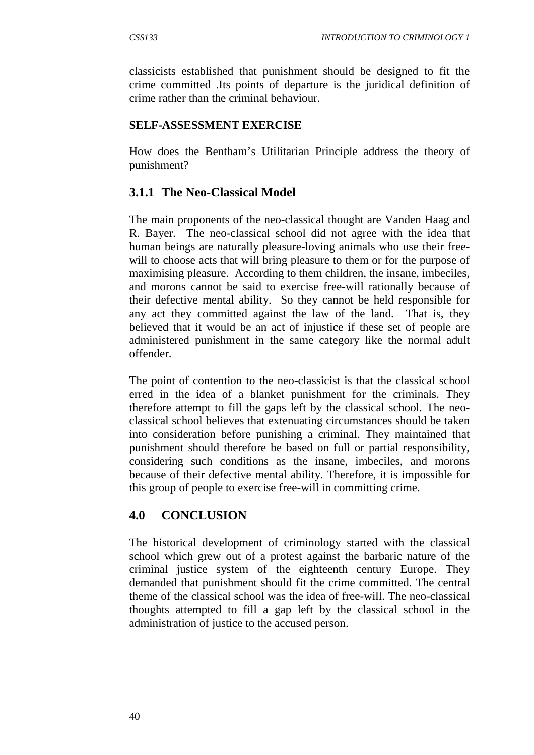classicists established that punishment should be designed to fit the crime committed .Its points of departure is the juridical definition of crime rather than the criminal behaviour.

#### **SELF-ASSESSMENT EXERCISE**

How does the Bentham's Utilitarian Principle address the theory of punishment?

## **3.1.1 The Neo-Classical Model**

The main proponents of the neo-classical thought are Vanden Haag and R. Bayer. The neo-classical school did not agree with the idea that human beings are naturally pleasure-loving animals who use their freewill to choose acts that will bring pleasure to them or for the purpose of maximising pleasure. According to them children, the insane, imbeciles, and morons cannot be said to exercise free-will rationally because of their defective mental ability. So they cannot be held responsible for any act they committed against the law of the land. That is, they believed that it would be an act of injustice if these set of people are administered punishment in the same category like the normal adult offender.

The point of contention to the neo-classicist is that the classical school erred in the idea of a blanket punishment for the criminals. They therefore attempt to fill the gaps left by the classical school. The neoclassical school believes that extenuating circumstances should be taken into consideration before punishing a criminal. They maintained that punishment should therefore be based on full or partial responsibility, considering such conditions as the insane, imbeciles, and morons because of their defective mental ability. Therefore, it is impossible for this group of people to exercise free-will in committing crime.

### **4.0 CONCLUSION**

The historical development of criminology started with the classical school which grew out of a protest against the barbaric nature of the criminal justice system of the eighteenth century Europe. They demanded that punishment should fit the crime committed. The central theme of the classical school was the idea of free-will. The neo-classical thoughts attempted to fill a gap left by the classical school in the administration of justice to the accused person.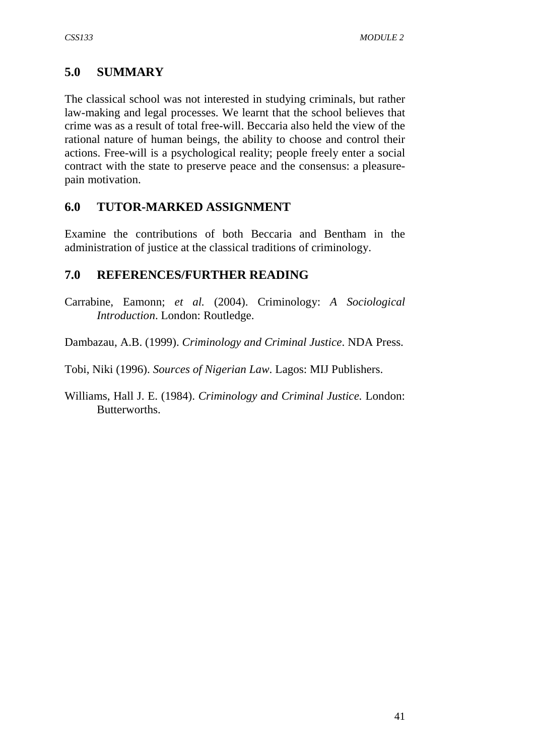# **5.0 SUMMARY**

The classical school was not interested in studying criminals, but rather law-making and legal processes. We learnt that the school believes that crime was as a result of total free-will. Beccaria also held the view of the rational nature of human beings, the ability to choose and control their actions. Free-will is a psychological reality; people freely enter a social contract with the state to preserve peace and the consensus: a pleasurepain motivation.

# **6.0 TUTOR-MARKED ASSIGNMENT**

Examine the contributions of both Beccaria and Bentham in the administration of justice at the classical traditions of criminology.

# **7.0 REFERENCES/FURTHER READING**

- Carrabine, Eamonn; *et al.* (2004). Criminology: *A Sociological Introduction*. London: Routledge.
- Dambazau, A.B. (1999). *Criminology and Criminal Justice*. NDA Press.
- Tobi, Niki (1996). *Sources of Nigerian Law*. Lagos: MIJ Publishers.
- Williams, Hall J. E. (1984). *Criminology and Criminal Justice.* London: Butterworths.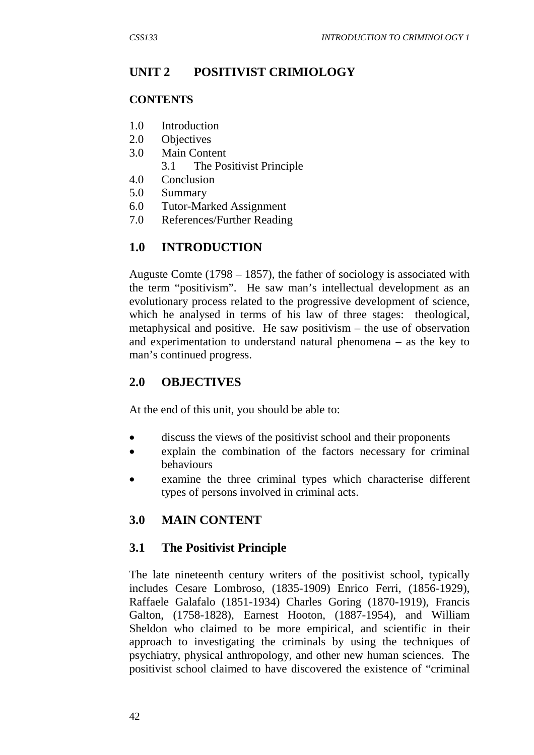# **UNIT 2 POSITIVIST CRIMIOLOGY**

#### **CONTENTS**

- 1.0 Introduction
- 2.0 Objectives
- 3.0 Main Content
	- 3.1 The Positivist Principle
- 4.0 Conclusion
- 5.0 Summary
- 6.0 Tutor-Marked Assignment
- 7.0 References/Further Reading

# **1.0 INTRODUCTION**

Auguste Comte (1798 – 1857), the father of sociology is associated with the term "positivism". He saw man's intellectual development as an evolutionary process related to the progressive development of science, which he analysed in terms of his law of three stages: theological, metaphysical and positive. He saw positivism – the use of observation and experimentation to understand natural phenomena – as the key to man's continued progress.

# **2.0 OBJECTIVES**

At the end of this unit, you should be able to:

- discuss the views of the positivist school and their proponents
- explain the combination of the factors necessary for criminal behaviours
- examine the three criminal types which characterise different types of persons involved in criminal acts.

# **3.0 MAIN CONTENT**

### **3.1 The Positivist Principle**

The late nineteenth century writers of the positivist school, typically includes Cesare Lombroso, (1835-1909) Enrico Ferri, (1856-1929), Raffaele Galafalo (1851-1934) Charles Goring (1870-1919), Francis Galton, (1758-1828), Earnest Hooton, (1887-1954), and William Sheldon who claimed to be more empirical, and scientific in their approach to investigating the criminals by using the techniques of psychiatry, physical anthropology, and other new human sciences. The positivist school claimed to have discovered the existence of "criminal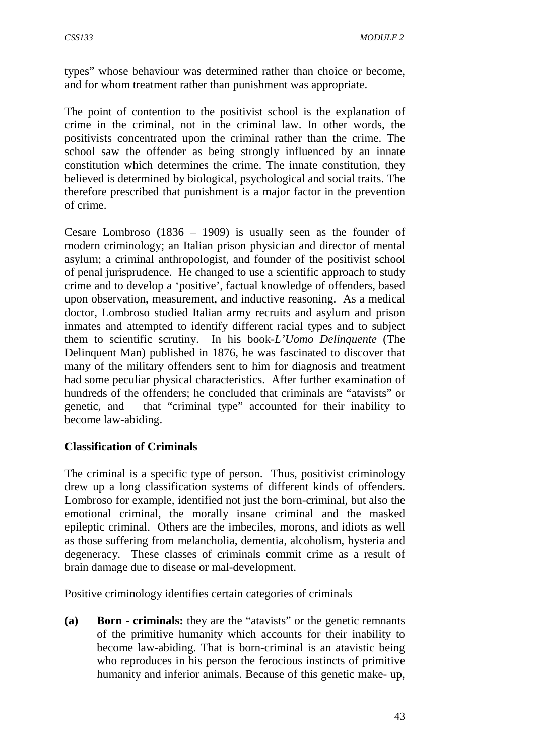types" whose behaviour was determined rather than choice or become, and for whom treatment rather than punishment was appropriate.

The point of contention to the positivist school is the explanation of crime in the criminal, not in the criminal law. In other words, the positivists concentrated upon the criminal rather than the crime. The school saw the offender as being strongly influenced by an innate constitution which determines the crime. The innate constitution, they believed is determined by biological, psychological and social traits. The therefore prescribed that punishment is a major factor in the prevention of crime.

Cesare Lombroso (1836 – 1909) is usually seen as the founder of modern criminology; an Italian prison physician and director of mental asylum; a criminal anthropologist, and founder of the positivist school of penal jurisprudence. He changed to use a scientific approach to study crime and to develop a 'positive', factual knowledge of offenders, based upon observation, measurement, and inductive reasoning. As a medical doctor, Lombroso studied Italian army recruits and asylum and prison inmates and attempted to identify different racial types and to subject them to scientific scrutiny. In his book-*L'Uomo Delinquente* (The Delinquent Man) published in 1876, he was fascinated to discover that many of the military offenders sent to him for diagnosis and treatment had some peculiar physical characteristics. After further examination of hundreds of the offenders; he concluded that criminals are "atavists" or genetic, and that "criminal type" accounted for their inability to become law-abiding.

#### **Classification of Criminals**

The criminal is a specific type of person. Thus, positivist criminology drew up a long classification systems of different kinds of offenders. Lombroso for example, identified not just the born-criminal, but also the emotional criminal, the morally insane criminal and the masked epileptic criminal. Others are the imbeciles, morons, and idiots as well as those suffering from melancholia, dementia, alcoholism, hysteria and degeneracy. These classes of criminals commit crime as a result of brain damage due to disease or mal-development.

Positive criminology identifies certain categories of criminals

**(a) Born - criminals:** they are the "atavists" or the genetic remnants of the primitive humanity which accounts for their inability to become law-abiding. That is born-criminal is an atavistic being who reproduces in his person the ferocious instincts of primitive humanity and inferior animals. Because of this genetic make- up,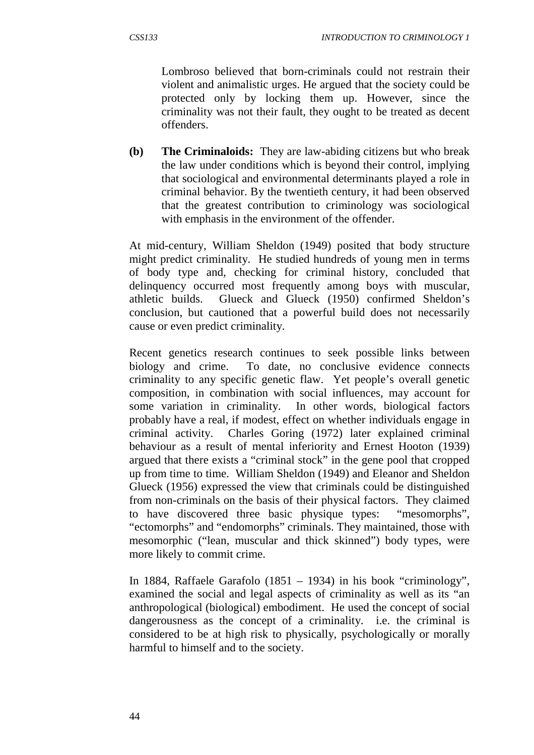Lombroso believed that born-criminals could not restrain their violent and animalistic urges. He argued that the society could be protected only by locking them up. However, since the criminality was not their fault, they ought to be treated as decent offenders.

**(b) The Criminaloids:** They are law-abiding citizens but who break the law under conditions which is beyond their control, implying that sociological and environmental determinants played a role in criminal behavior. By the twentieth century, it had been observed that the greatest contribution to criminology was sociological with emphasis in the environment of the offender.

At mid-century, William Sheldon (1949) posited that body structure might predict criminality. He studied hundreds of young men in terms of body type and, checking for criminal history, concluded that delinquency occurred most frequently among boys with muscular, athletic builds. Glueck and Glueck (1950) confirmed Sheldon's conclusion, but cautioned that a powerful build does not necessarily cause or even predict criminality.

Recent genetics research continues to seek possible links between biology and crime. To date, no conclusive evidence connects criminality to any specific genetic flaw. Yet people's overall genetic composition, in combination with social influences, may account for some variation in criminality. In other words, biological factors probably have a real, if modest, effect on whether individuals engage in criminal activity. Charles Goring (1972) later explained criminal behaviour as a result of mental inferiority and Ernest Hooton (1939) argued that there exists a "criminal stock" in the gene pool that cropped up from time to time. William Sheldon (1949) and Eleanor and Sheldon Glueck (1956) expressed the view that criminals could be distinguished from non-criminals on the basis of their physical factors. They claimed to have discovered three basic physique types: "mesomorphs", "ectomorphs" and "endomorphs" criminals. They maintained, those with mesomorphic ("lean, muscular and thick skinned") body types, were more likely to commit crime.

In 1884, Raffaele Garafolo (1851 – 1934) in his book "criminology", examined the social and legal aspects of criminality as well as its "an anthropological (biological) embodiment. He used the concept of social dangerousness as the concept of a criminality. i.e. the criminal is considered to be at high risk to physically, psychologically or morally harmful to himself and to the society.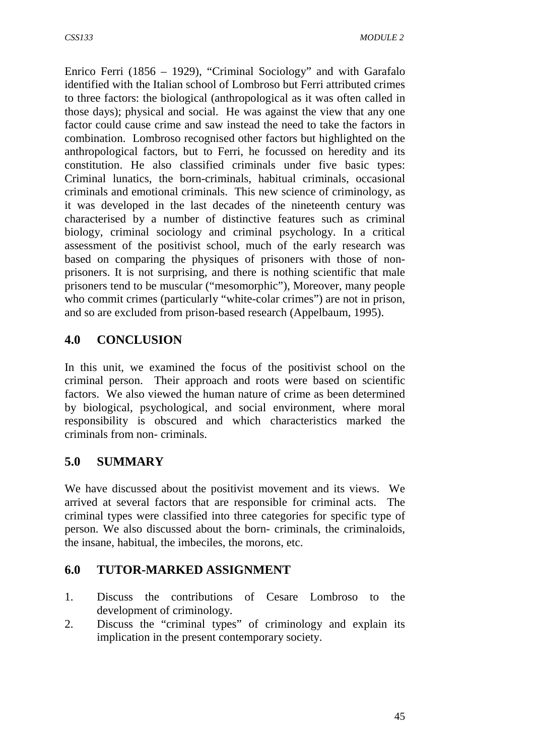Enrico Ferri (1856 – 1929), "Criminal Sociology" and with Garafalo identified with the Italian school of Lombroso but Ferri attributed crimes to three factors: the biological (anthropological as it was often called in those days); physical and social. He was against the view that any one factor could cause crime and saw instead the need to take the factors in combination. Lombroso recognised other factors but highlighted on the anthropological factors, but to Ferri, he focussed on heredity and its constitution. He also classified criminals under five basic types: Criminal lunatics, the born-criminals, habitual criminals, occasional criminals and emotional criminals. This new science of criminology, as it was developed in the last decades of the nineteenth century was characterised by a number of distinctive features such as criminal biology, criminal sociology and criminal psychology. In a critical assessment of the positivist school, much of the early research was based on comparing the physiques of prisoners with those of nonprisoners. It is not surprising, and there is nothing scientific that male prisoners tend to be muscular ("mesomorphic"), Moreover, many people who commit crimes (particularly "white-colar crimes") are not in prison, and so are excluded from prison-based research (Appelbaum, 1995).

# **4.0 CONCLUSION**

In this unit, we examined the focus of the positivist school on the criminal person. Their approach and roots were based on scientific factors. We also viewed the human nature of crime as been determined by biological, psychological, and social environment, where moral responsibility is obscured and which characteristics marked the criminals from non- criminals.

# **5.0 SUMMARY**

We have discussed about the positivist movement and its views. We arrived at several factors that are responsible for criminal acts. The criminal types were classified into three categories for specific type of person. We also discussed about the born- criminals, the criminaloids, the insane, habitual, the imbeciles, the morons, etc.

# **6.0 TUTOR-MARKED ASSIGNMENT**

- 1. Discuss the contributions of Cesare Lombroso to the development of criminology.
- 2. Discuss the "criminal types" of criminology and explain its implication in the present contemporary society.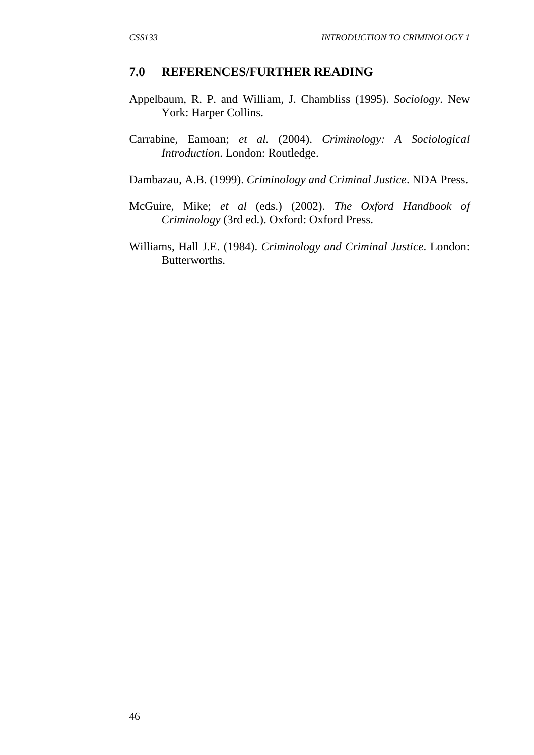#### **7.0 REFERENCES/FURTHER READING**

- Appelbaum, R. P. and William, J. Chambliss (1995). *Sociology*. New York: Harper Collins.
- Carrabine, Eamoan; *et al.* (2004). *Criminology: A Sociological Introduction*. London: Routledge.
- Dambazau, A.B. (1999). *Criminology and Criminal Justice*. NDA Press.
- McGuire, Mike; *et al* (eds.) (2002). *The Oxford Handbook of Criminology* (3rd ed.). Oxford: Oxford Press.
- Williams, Hall J.E. (1984). *Criminology and Criminal Justice*. London: Butterworths.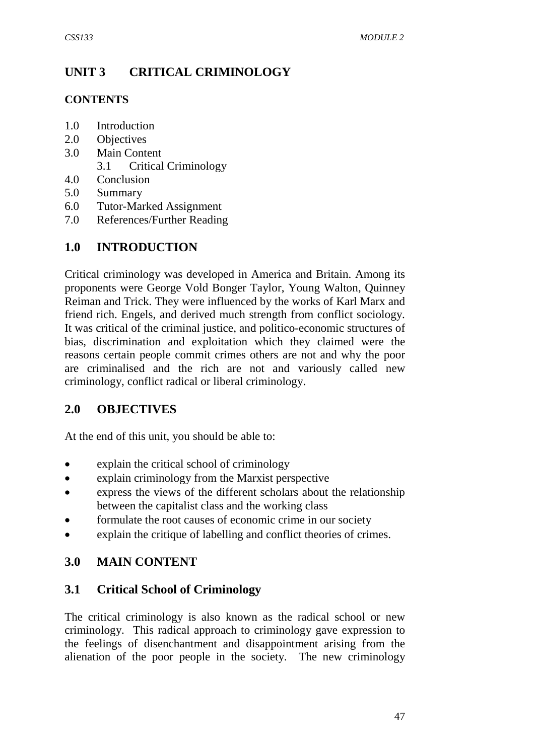# **UNIT 3 CRITICAL CRIMINOLOGY**

### **CONTENTS**

- 1.0 Introduction
- 2.0 Objectives
- 3.0 Main Content
	- 3.1 Critical Criminology
- 4.0 Conclusion
- 5.0 Summary
- 6.0 Tutor-Marked Assignment
- 7.0 References/Further Reading

# **1.0 INTRODUCTION**

Critical criminology was developed in America and Britain. Among its proponents were George Vold Bonger Taylor, Young Walton, Quinney Reiman and Trick. They were influenced by the works of Karl Marx and friend rich. Engels, and derived much strength from conflict sociology. It was critical of the criminal justice, and politico-economic structures of bias, discrimination and exploitation which they claimed were the reasons certain people commit crimes others are not and why the poor are criminalised and the rich are not and variously called new criminology, conflict radical or liberal criminology.

# **2.0 OBJECTIVES**

At the end of this unit, you should be able to:

- explain the critical school of criminology
- explain criminology from the Marxist perspective
- express the views of the different scholars about the relationship between the capitalist class and the working class
- formulate the root causes of economic crime in our society
- explain the critique of labelling and conflict theories of crimes.

### **3.0 MAIN CONTENT**

### **3.1 Critical School of Criminology**

The critical criminology is also known as the radical school or new criminology. This radical approach to criminology gave expression to the feelings of disenchantment and disappointment arising from the alienation of the poor people in the society. The new criminology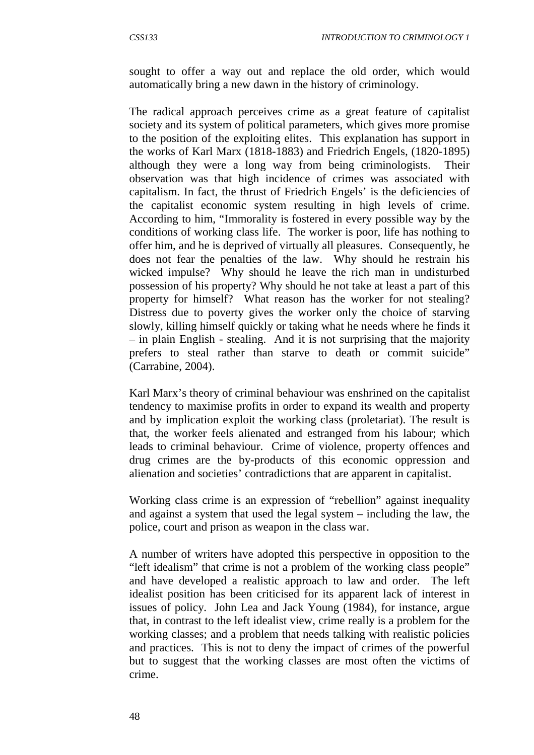sought to offer a way out and replace the old order, which would automatically bring a new dawn in the history of criminology.

The radical approach perceives crime as a great feature of capitalist society and its system of political parameters, which gives more promise to the position of the exploiting elites. This explanation has support in the works of Karl Marx (1818-1883) and Friedrich Engels, (1820-1895) although they were a long way from being criminologists. Their observation was that high incidence of crimes was associated with capitalism. In fact, the thrust of Friedrich Engels' is the deficiencies of the capitalist economic system resulting in high levels of crime. According to him, "Immorality is fostered in every possible way by the conditions of working class life. The worker is poor, life has nothing to offer him, and he is deprived of virtually all pleasures. Consequently, he does not fear the penalties of the law. Why should he restrain his wicked impulse? Why should he leave the rich man in undisturbed possession of his property? Why should he not take at least a part of this property for himself? What reason has the worker for not stealing? Distress due to poverty gives the worker only the choice of starving slowly, killing himself quickly or taking what he needs where he finds it – in plain English - stealing. And it is not surprising that the majority prefers to steal rather than starve to death or commit suicide" (Carrabine, 2004).

Karl Marx's theory of criminal behaviour was enshrined on the capitalist tendency to maximise profits in order to expand its wealth and property and by implication exploit the working class (proletariat). The result is that, the worker feels alienated and estranged from his labour; which leads to criminal behaviour. Crime of violence, property offences and drug crimes are the by-products of this economic oppression and alienation and societies' contradictions that are apparent in capitalist.

Working class crime is an expression of "rebellion" against inequality and against a system that used the legal system – including the law, the police, court and prison as weapon in the class war.

A number of writers have adopted this perspective in opposition to the "left idealism" that crime is not a problem of the working class people" and have developed a realistic approach to law and order. The left idealist position has been criticised for its apparent lack of interest in issues of policy. John Lea and Jack Young (1984), for instance, argue that, in contrast to the left idealist view, crime really is a problem for the working classes; and a problem that needs talking with realistic policies and practices. This is not to deny the impact of crimes of the powerful but to suggest that the working classes are most often the victims of crime.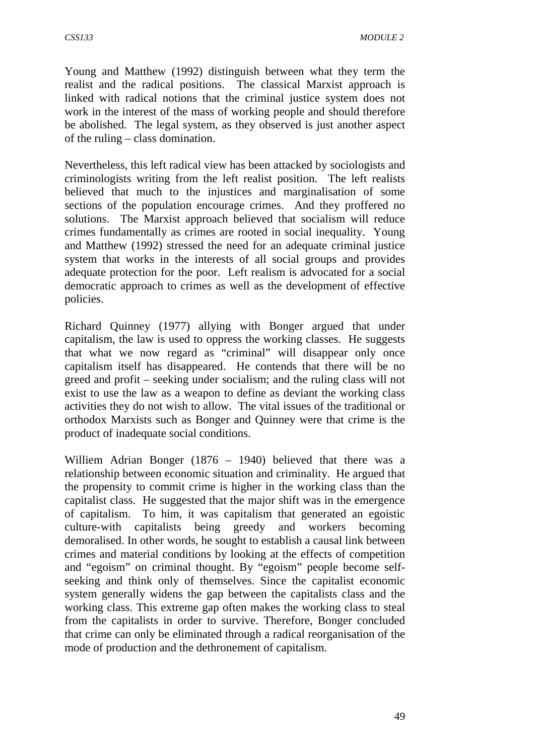Young and Matthew (1992) distinguish between what they term the realist and the radical positions. The classical Marxist approach is linked with radical notions that the criminal justice system does not work in the interest of the mass of working people and should therefore be abolished. The legal system, as they observed is just another aspect of the ruling – class domination.

Nevertheless, this left radical view has been attacked by sociologists and criminologists writing from the left realist position. The left realists believed that much to the injustices and marginalisation of some sections of the population encourage crimes. And they proffered no solutions. The Marxist approach believed that socialism will reduce crimes fundamentally as crimes are rooted in social inequality. Young and Matthew (1992) stressed the need for an adequate criminal justice system that works in the interests of all social groups and provides adequate protection for the poor. Left realism is advocated for a social democratic approach to crimes as well as the development of effective policies.

Richard Quinney (1977) allying with Bonger argued that under capitalism, the law is used to oppress the working classes. He suggests that what we now regard as "criminal" will disappear only once capitalism itself has disappeared. He contends that there will be no greed and profit – seeking under socialism; and the ruling class will not exist to use the law as a weapon to define as deviant the working class activities they do not wish to allow. The vital issues of the traditional or orthodox Marxists such as Bonger and Quinney were that crime is the product of inadequate social conditions.

Williem Adrian Bonger (1876 – 1940) believed that there was a relationship between economic situation and criminality. He argued that the propensity to commit crime is higher in the working class than the capitalist class. He suggested that the major shift was in the emergence of capitalism. To him, it was capitalism that generated an egoistic culture-with capitalists being greedy and workers becoming demoralised. In other words, he sought to establish a causal link between crimes and material conditions by looking at the effects of competition and "egoism" on criminal thought. By "egoism" people become selfseeking and think only of themselves. Since the capitalist economic system generally widens the gap between the capitalists class and the working class. This extreme gap often makes the working class to steal from the capitalists in order to survive. Therefore, Bonger concluded that crime can only be eliminated through a radical reorganisation of the mode of production and the dethronement of capitalism.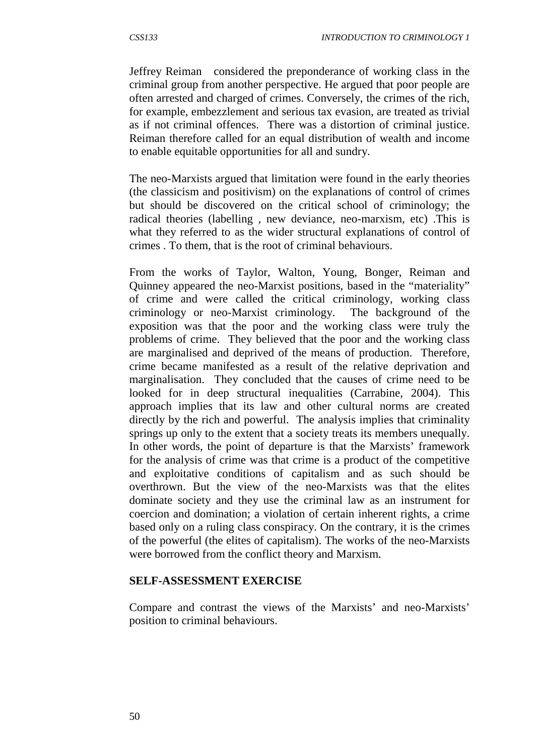Jeffrey Reiman considered the preponderance of working class in the criminal group from another perspective. He argued that poor people are often arrested and charged of crimes. Conversely, the crimes of the rich, for example, embezzlement and serious tax evasion, are treated as trivial as if not criminal offences. There was a distortion of criminal justice. Reiman therefore called for an equal distribution of wealth and income to enable equitable opportunities for all and sundry.

The neo-Marxists argued that limitation were found in the early theories (the classicism and positivism) on the explanations of control of crimes but should be discovered on the critical school of criminology; the radical theories (labelling , new deviance, neo-marxism, etc) .This is what they referred to as the wider structural explanations of control of crimes . To them, that is the root of criminal behaviours.

From the works of Taylor, Walton, Young, Bonger, Reiman and Quinney appeared the neo-Marxist positions, based in the "materiality" of crime and were called the critical criminology, working class criminology or neo-Marxist criminology. The background of the exposition was that the poor and the working class were truly the problems of crime. They believed that the poor and the working class are marginalised and deprived of the means of production. Therefore, crime became manifested as a result of the relative deprivation and marginalisation. They concluded that the causes of crime need to be looked for in deep structural inequalities (Carrabine, 2004). This approach implies that its law and other cultural norms are created directly by the rich and powerful. The analysis implies that criminality springs up only to the extent that a society treats its members unequally. In other words, the point of departure is that the Marxists' framework for the analysis of crime was that crime is a product of the competitive and exploitative conditions of capitalism and as such should be overthrown. But the view of the neo-Marxists was that the elites dominate society and they use the criminal law as an instrument for coercion and domination; a violation of certain inherent rights, a crime based only on a ruling class conspiracy. On the contrary, it is the crimes of the powerful (the elites of capitalism). The works of the neo-Marxists were borrowed from the conflict theory and Marxism.

#### **SELF-ASSESSMENT EXERCISE**

Compare and contrast the views of the Marxists' and neo-Marxists' position to criminal behaviours.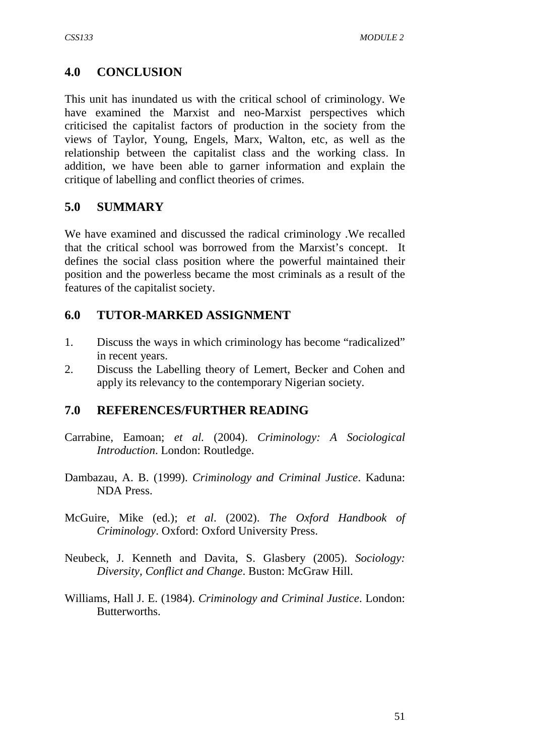# **4.0 CONCLUSION**

This unit has inundated us with the critical school of criminology. We have examined the Marxist and neo-Marxist perspectives which criticised the capitalist factors of production in the society from the views of Taylor, Young, Engels, Marx, Walton, etc, as well as the relationship between the capitalist class and the working class. In addition, we have been able to garner information and explain the critique of labelling and conflict theories of crimes.

### **5.0 SUMMARY**

We have examined and discussed the radical criminology .We recalled that the critical school was borrowed from the Marxist's concept. It defines the social class position where the powerful maintained their position and the powerless became the most criminals as a result of the features of the capitalist society.

### **6.0 TUTOR-MARKED ASSIGNMENT**

- 1. Discuss the ways in which criminology has become "radicalized" in recent years.
- 2. Discuss the Labelling theory of Lemert, Becker and Cohen and apply its relevancy to the contemporary Nigerian society.

### **7.0 REFERENCES/FURTHER READING**

- Carrabine, Eamoan; *et al.* (2004). *Criminology: A Sociological Introduction*. London: Routledge.
- Dambazau, A. B. (1999). *Criminology and Criminal Justice*. Kaduna: NDA Press.
- McGuire, Mike (ed.); *et al*. (2002). *The Oxford Handbook of Criminology*. Oxford: Oxford University Press.
- Neubeck, J. Kenneth and Davita, S. Glasbery (2005). *Sociology: Diversity, Conflict and Change*. Buston: McGraw Hill.
- Williams, Hall J. E. (1984). *Criminology and Criminal Justice*. London: Butterworths.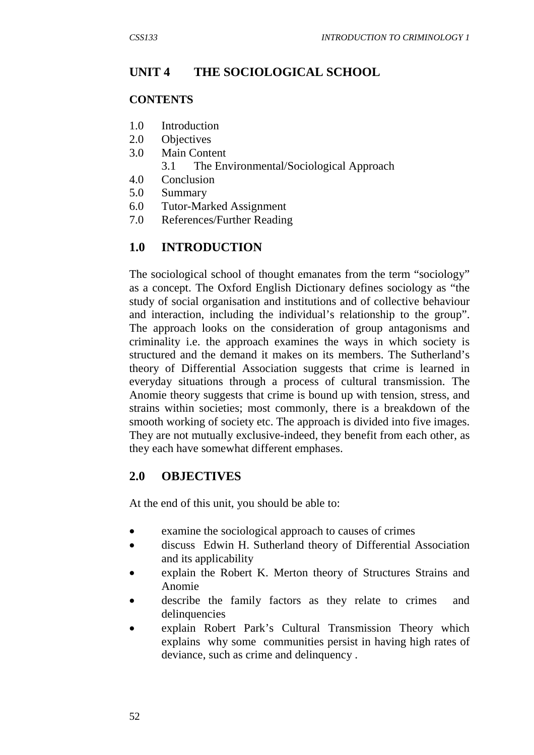# **UNIT 4 THE SOCIOLOGICAL SCHOOL**

#### **CONTENTS**

- 1.0 Introduction
- 2.0 Objectives
- 3.0 Main Content
	- 3.1 The Environmental/Sociological Approach
- 4.0 Conclusion
- 5.0 Summary
- 6.0 Tutor-Marked Assignment
- 7.0 References/Further Reading

# **1.0 INTRODUCTION**

The sociological school of thought emanates from the term "sociology" as a concept. The Oxford English Dictionary defines sociology as "the study of social organisation and institutions and of collective behaviour and interaction, including the individual's relationship to the group". The approach looks on the consideration of group antagonisms and criminality i.e. the approach examines the ways in which society is structured and the demand it makes on its members. The Sutherland's theory of Differential Association suggests that crime is learned in everyday situations through a process of cultural transmission. The Anomie theory suggests that crime is bound up with tension, stress, and strains within societies; most commonly, there is a breakdown of the smooth working of society etc. The approach is divided into five images. They are not mutually exclusive-indeed, they benefit from each other, as they each have somewhat different emphases.

# **2.0 OBJECTIVES**

At the end of this unit, you should be able to:

- examine the sociological approach to causes of crimes
- discuss Edwin H. Sutherland theory of Differential Association and its applicability
- explain the Robert K. Merton theory of Structures Strains and Anomie
- describe the family factors as they relate to crimes and delinquencies
- explain Robert Park's Cultural Transmission Theory which explains why some communities persist in having high rates of deviance, such as crime and delinquency .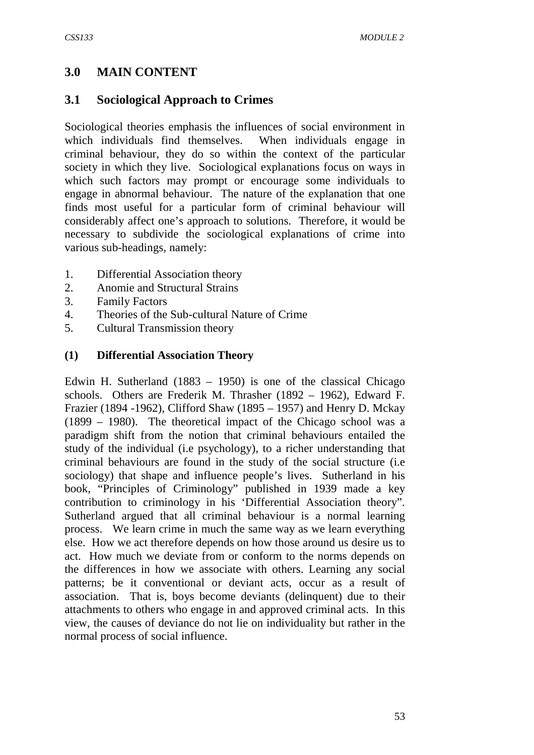## **3.0 MAIN CONTENT**

### **3.1 Sociological Approach to Crimes**

Sociological theories emphasis the influences of social environment in which individuals find themselves. When individuals engage in criminal behaviour, they do so within the context of the particular society in which they live. Sociological explanations focus on ways in which such factors may prompt or encourage some individuals to engage in abnormal behaviour. The nature of the explanation that one finds most useful for a particular form of criminal behaviour will considerably affect one's approach to solutions. Therefore, it would be necessary to subdivide the sociological explanations of crime into various sub-headings, namely:

- 1. Differential Association theory
- 2. Anomie and Structural Strains
- 3. Family Factors
- 4. Theories of the Sub-cultural Nature of Crime
- 5. Cultural Transmission theory

#### **(1) Differential Association Theory**

Edwin H. Sutherland (1883 – 1950) is one of the classical Chicago schools. Others are Frederik M. Thrasher (1892 – 1962), Edward F. Frazier (1894 -1962), Clifford Shaw (1895 – 1957) and Henry D. Mckay (1899 – 1980). The theoretical impact of the Chicago school was a paradigm shift from the notion that criminal behaviours entailed the study of the individual (i.e psychology), to a richer understanding that criminal behaviours are found in the study of the social structure (i.e sociology) that shape and influence people's lives. Sutherland in his book, "Principles of Criminology" published in 1939 made a key contribution to criminology in his 'Differential Association theory". Sutherland argued that all criminal behaviour is a normal learning process. We learn crime in much the same way as we learn everything else. How we act therefore depends on how those around us desire us to act. How much we deviate from or conform to the norms depends on the differences in how we associate with others. Learning any social patterns; be it conventional or deviant acts, occur as a result of association. That is, boys become deviants (delinquent) due to their attachments to others who engage in and approved criminal acts. In this view, the causes of deviance do not lie on individuality but rather in the normal process of social influence.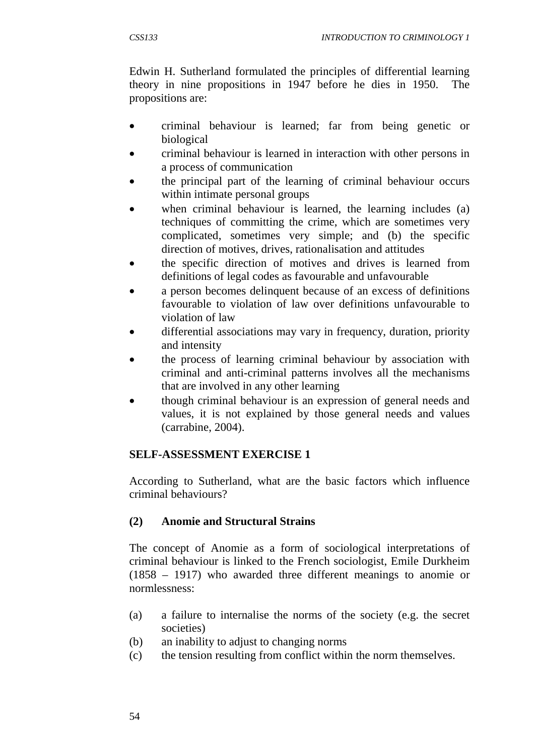Edwin H. Sutherland formulated the principles of differential learning theory in nine propositions in 1947 before he dies in 1950. The propositions are:

- criminal behaviour is learned; far from being genetic or biological
- criminal behaviour is learned in interaction with other persons in a process of communication
- the principal part of the learning of criminal behaviour occurs within intimate personal groups
- when criminal behaviour is learned, the learning includes (a) techniques of committing the crime, which are sometimes very complicated, sometimes very simple; and (b) the specific direction of motives, drives, rationalisation and attitudes
- the specific direction of motives and drives is learned from definitions of legal codes as favourable and unfavourable
- a person becomes delinquent because of an excess of definitions favourable to violation of law over definitions unfavourable to violation of law
- differential associations may vary in frequency, duration, priority and intensity
- the process of learning criminal behaviour by association with criminal and anti-criminal patterns involves all the mechanisms that are involved in any other learning
- though criminal behaviour is an expression of general needs and values, it is not explained by those general needs and values (carrabine, 2004).

### **SELF-ASSESSMENT EXERCISE 1**

According to Sutherland, what are the basic factors which influence criminal behaviours?

# **(2) Anomie and Structural Strains**

The concept of Anomie as a form of sociological interpretations of criminal behaviour is linked to the French sociologist, Emile Durkheim (1858 – 1917) who awarded three different meanings to anomie or normlessness:

- (a) a failure to internalise the norms of the society (e.g. the secret societies)
- (b) an inability to adjust to changing norms
- (c) the tension resulting from conflict within the norm themselves.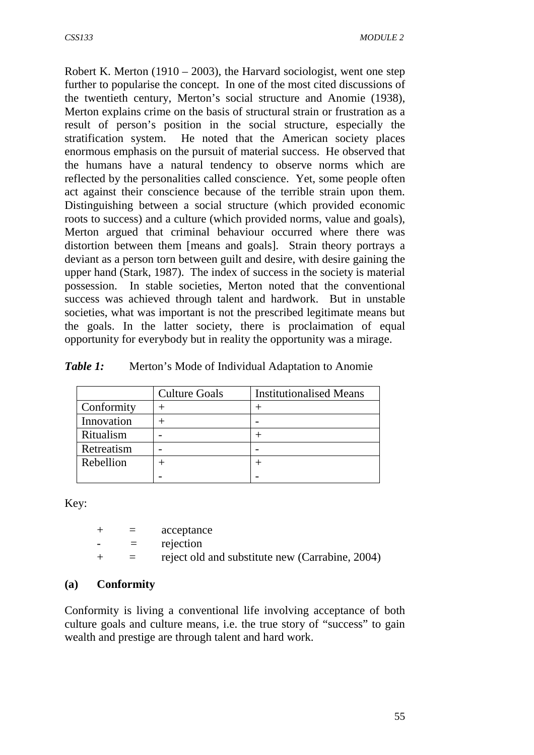Robert K. Merton  $(1910 - 2003)$ , the Harvard sociologist, went one step further to popularise the concept. In one of the most cited discussions of the twentieth century, Merton's social structure and Anomie (1938), Merton explains crime on the basis of structural strain or frustration as a result of person's position in the social structure, especially the stratification system. He noted that the American society places enormous emphasis on the pursuit of material success. He observed that the humans have a natural tendency to observe norms which are reflected by the personalities called conscience. Yet, some people often act against their conscience because of the terrible strain upon them. Distinguishing between a social structure (which provided economic roots to success) and a culture (which provided norms, value and goals), Merton argued that criminal behaviour occurred where there was distortion between them [means and goals]. Strain theory portrays a deviant as a person torn between guilt and desire, with desire gaining the upper hand (Stark, 1987). The index of success in the society is material possession. In stable societies, Merton noted that the conventional success was achieved through talent and hardwork. But in unstable societies, what was important is not the prescribed legitimate means but the goals. In the latter society, there is proclaimation of equal opportunity for everybody but in reality the opportunity was a mirage.

| Table 1: |  |  | Merton's Mode of Individual Adaptation to Anomie |
|----------|--|--|--------------------------------------------------|
|          |  |  |                                                  |

|            | <b>Culture Goals</b> | <b>Institutionalised Means</b> |
|------------|----------------------|--------------------------------|
| Conformity |                      |                                |
| Innovation |                      |                                |
| Ritualism  |                      |                                |
| Retreatism |                      |                                |
| Rebellion  |                      |                                |
|            |                      |                                |

Key:

|                          | $=$      | acceptance                                      |
|--------------------------|----------|-------------------------------------------------|
| $\overline{\phantom{0}}$ | $\equiv$ | rejection                                       |
|                          | $=$      | reject old and substitute new (Carrabine, 2004) |

#### **(a) Conformity**

Conformity is living a conventional life involving acceptance of both culture goals and culture means, i.e. the true story of "success" to gain wealth and prestige are through talent and hard work.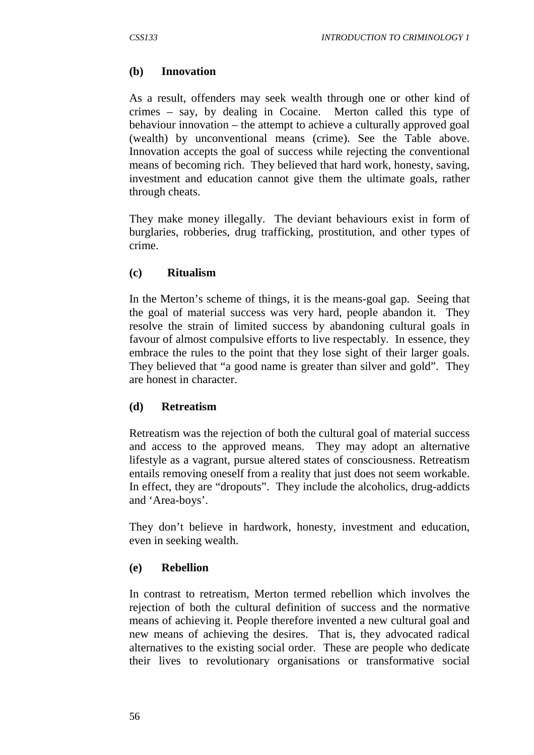### **(b) Innovation**

As a result, offenders may seek wealth through one or other kind of crimes – say, by dealing in Cocaine. Merton called this type of behaviour innovation – the attempt to achieve a culturally approved goal (wealth) by unconventional means (crime). See the Table above. Innovation accepts the goal of success while rejecting the conventional means of becoming rich. They believed that hard work, honesty, saving, investment and education cannot give them the ultimate goals, rather through cheats.

They make money illegally. The deviant behaviours exist in form of burglaries, robberies, drug trafficking, prostitution, and other types of crime.

#### **(c) Ritualism**

In the Merton's scheme of things, it is the means-goal gap. Seeing that the goal of material success was very hard, people abandon it. They resolve the strain of limited success by abandoning cultural goals in favour of almost compulsive efforts to live respectably. In essence, they embrace the rules to the point that they lose sight of their larger goals. They believed that "a good name is greater than silver and gold". They are honest in character.

#### **(d) Retreatism**

Retreatism was the rejection of both the cultural goal of material success and access to the approved means. They may adopt an alternative lifestyle as a vagrant, pursue altered states of consciousness. Retreatism entails removing oneself from a reality that just does not seem workable. In effect, they are "dropouts". They include the alcoholics, drug-addicts and 'Area-boys'.

They don't believe in hardwork, honesty, investment and education, even in seeking wealth.

#### **(e) Rebellion**

In contrast to retreatism, Merton termed rebellion which involves the rejection of both the cultural definition of success and the normative means of achieving it. People therefore invented a new cultural goal and new means of achieving the desires. That is, they advocated radical alternatives to the existing social order. These are people who dedicate their lives to revolutionary organisations or transformative social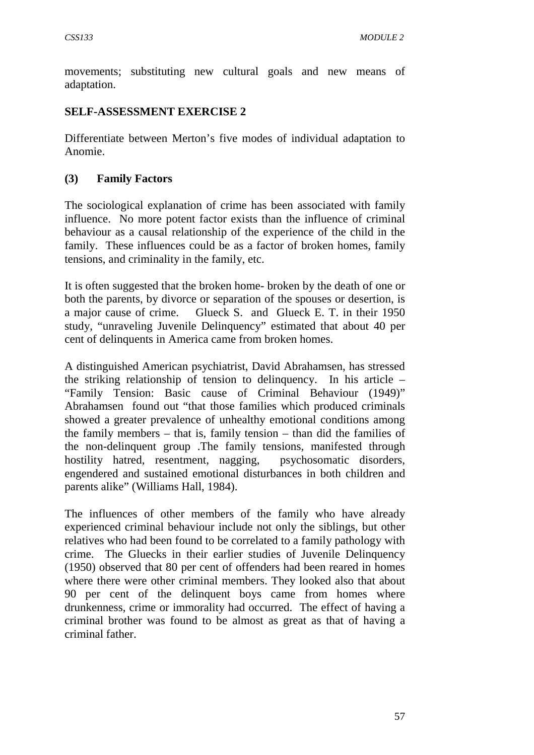movements; substituting new cultural goals and new means of adaptation.

## **SELF-ASSESSMENT EXERCISE 2**

Differentiate between Merton's five modes of individual adaptation to Anomie.

### **(3) Family Factors**

The sociological explanation of crime has been associated with family influence. No more potent factor exists than the influence of criminal behaviour as a causal relationship of the experience of the child in the family. These influences could be as a factor of broken homes, family tensions, and criminality in the family, etc.

It is often suggested that the broken home- broken by the death of one or both the parents, by divorce or separation of the spouses or desertion, is a major cause of crime. Glueck S. and Glueck E. T. in their 1950 study, "unraveling Juvenile Delinquency" estimated that about 40 per cent of delinquents in America came from broken homes.

A distinguished American psychiatrist, David Abrahamsen, has stressed the striking relationship of tension to delinquency. In his article – "Family Tension: Basic cause of Criminal Behaviour (1949)" Abrahamsen found out "that those families which produced criminals showed a greater prevalence of unhealthy emotional conditions among the family members – that is, family tension – than did the families of the non-delinquent group .The family tensions, manifested through hostility hatred, resentment, nagging, psychosomatic disorders, engendered and sustained emotional disturbances in both children and parents alike" (Williams Hall, 1984).

The influences of other members of the family who have already experienced criminal behaviour include not only the siblings, but other relatives who had been found to be correlated to a family pathology with crime. The Gluecks in their earlier studies of Juvenile Delinquency (1950) observed that 80 per cent of offenders had been reared in homes where there were other criminal members. They looked also that about 90 per cent of the delinquent boys came from homes where drunkenness, crime or immorality had occurred. The effect of having a criminal brother was found to be almost as great as that of having a criminal father.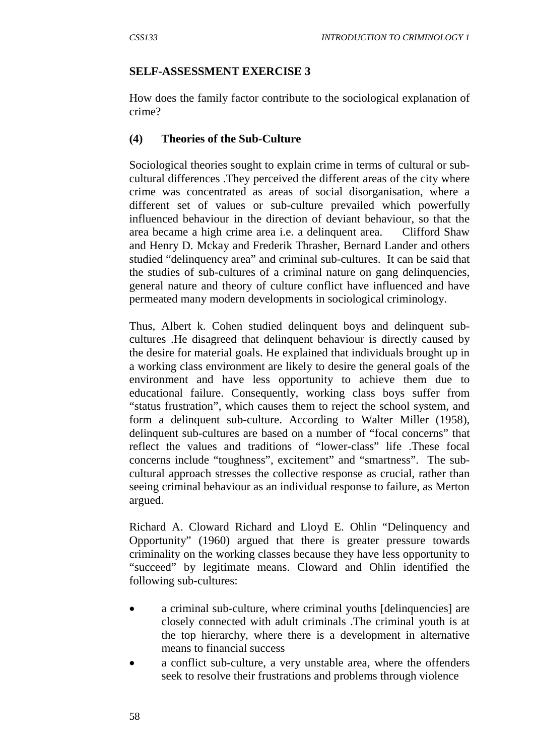#### **SELF-ASSESSMENT EXERCISE 3**

How does the family factor contribute to the sociological explanation of crime?

### **(4) Theories of the Sub-Culture**

Sociological theories sought to explain crime in terms of cultural or subcultural differences .They perceived the different areas of the city where crime was concentrated as areas of social disorganisation, where a different set of values or sub-culture prevailed which powerfully influenced behaviour in the direction of deviant behaviour, so that the area became a high crime area i.e. a delinquent area. Clifford Shaw and Henry D. Mckay and Frederik Thrasher, Bernard Lander and others studied "delinquency area" and criminal sub-cultures. It can be said that the studies of sub-cultures of a criminal nature on gang delinquencies, general nature and theory of culture conflict have influenced and have permeated many modern developments in sociological criminology.

Thus, Albert k. Cohen studied delinquent boys and delinquent subcultures .He disagreed that delinquent behaviour is directly caused by the desire for material goals. He explained that individuals brought up in a working class environment are likely to desire the general goals of the environment and have less opportunity to achieve them due to educational failure. Consequently, working class boys suffer from "status frustration", which causes them to reject the school system, and form a delinquent sub-culture. According to Walter Miller (1958), delinquent sub-cultures are based on a number of "focal concerns" that reflect the values and traditions of "lower-class" life .These focal concerns include "toughness", excitement" and "smartness". The subcultural approach stresses the collective response as crucial, rather than seeing criminal behaviour as an individual response to failure, as Merton argued.

Richard A. Cloward Richard and Lloyd E. Ohlin "Delinquency and Opportunity" (1960) argued that there is greater pressure towards criminality on the working classes because they have less opportunity to "succeed" by legitimate means. Cloward and Ohlin identified the following sub-cultures:

- a criminal sub-culture, where criminal youths [delinquencies] are closely connected with adult criminals .The criminal youth is at the top hierarchy, where there is a development in alternative means to financial success
- a conflict sub-culture, a very unstable area, where the offenders seek to resolve their frustrations and problems through violence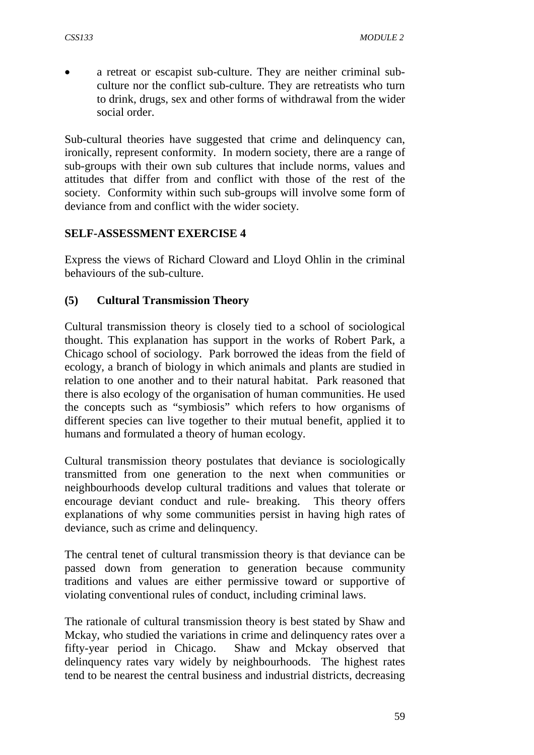• a retreat or escapist sub-culture. They are neither criminal subculture nor the conflict sub-culture. They are retreatists who turn to drink, drugs, sex and other forms of withdrawal from the wider social order.

Sub-cultural theories have suggested that crime and delinquency can, ironically, represent conformity. In modern society, there are a range of sub-groups with their own sub cultures that include norms, values and attitudes that differ from and conflict with those of the rest of the society. Conformity within such sub-groups will involve some form of deviance from and conflict with the wider society.

### **SELF-ASSESSMENT EXERCISE 4**

Express the views of Richard Cloward and Lloyd Ohlin in the criminal behaviours of the sub-culture.

### **(5) Cultural Transmission Theory**

Cultural transmission theory is closely tied to a school of sociological thought. This explanation has support in the works of Robert Park, a Chicago school of sociology. Park borrowed the ideas from the field of ecology, a branch of biology in which animals and plants are studied in relation to one another and to their natural habitat. Park reasoned that there is also ecology of the organisation of human communities. He used the concepts such as "symbiosis" which refers to how organisms of different species can live together to their mutual benefit, applied it to humans and formulated a theory of human ecology.

Cultural transmission theory postulates that deviance is sociologically transmitted from one generation to the next when communities or neighbourhoods develop cultural traditions and values that tolerate or encourage deviant conduct and rule- breaking. This theory offers explanations of why some communities persist in having high rates of deviance, such as crime and delinquency.

The central tenet of cultural transmission theory is that deviance can be passed down from generation to generation because community traditions and values are either permissive toward or supportive of violating conventional rules of conduct, including criminal laws.

The rationale of cultural transmission theory is best stated by Shaw and Mckay, who studied the variations in crime and delinquency rates over a fifty-year period in Chicago. Shaw and Mckay observed that delinquency rates vary widely by neighbourhoods. The highest rates tend to be nearest the central business and industrial districts, decreasing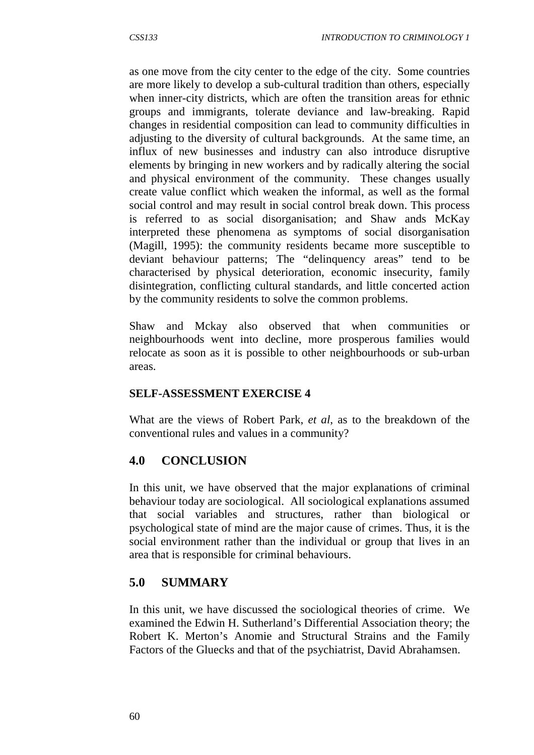as one move from the city center to the edge of the city. Some countries are more likely to develop a sub-cultural tradition than others, especially when inner-city districts, which are often the transition areas for ethnic groups and immigrants, tolerate deviance and law-breaking. Rapid changes in residential composition can lead to community difficulties in adjusting to the diversity of cultural backgrounds. At the same time, an influx of new businesses and industry can also introduce disruptive elements by bringing in new workers and by radically altering the social and physical environment of the community. These changes usually create value conflict which weaken the informal, as well as the formal social control and may result in social control break down. This process is referred to as social disorganisation; and Shaw ands McKay interpreted these phenomena as symptoms of social disorganisation (Magill, 1995): the community residents became more susceptible to deviant behaviour patterns; The "delinquency areas" tend to be characterised by physical deterioration, economic insecurity, family disintegration, conflicting cultural standards, and little concerted action by the community residents to solve the common problems.

Shaw and Mckay also observed that when communities or neighbourhoods went into decline, more prosperous families would relocate as soon as it is possible to other neighbourhoods or sub-urban areas.

#### **SELF-ASSESSMENT EXERCISE 4**

What are the views of Robert Park, *et al*, as to the breakdown of the conventional rules and values in a community?

### **4.0 CONCLUSION**

In this unit, we have observed that the major explanations of criminal behaviour today are sociological. All sociological explanations assumed that social variables and structures, rather than biological or psychological state of mind are the major cause of crimes. Thus, it is the social environment rather than the individual or group that lives in an area that is responsible for criminal behaviours.

### **5.0 SUMMARY**

In this unit, we have discussed the sociological theories of crime. We examined the Edwin H. Sutherland's Differential Association theory; the Robert K. Merton's Anomie and Structural Strains and the Family Factors of the Gluecks and that of the psychiatrist, David Abrahamsen.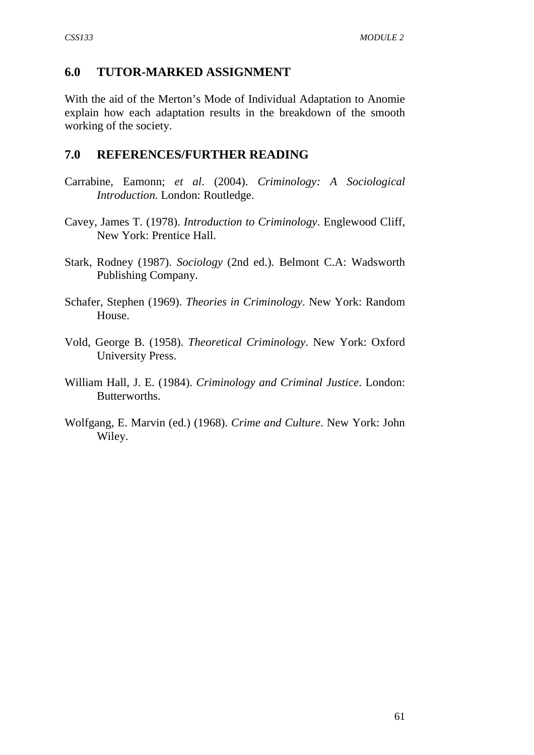### **6.0 TUTOR-MARKED ASSIGNMENT**

With the aid of the Merton's Mode of Individual Adaptation to Anomie explain how each adaptation results in the breakdown of the smooth working of the society.

#### **7.0 REFERENCES/FURTHER READING**

- Carrabine, Eamonn; *et al*. (2004). *Criminology: A Sociological Introduction.* London: Routledge.
- Cavey, James T. (1978). *Introduction to Criminology*. Englewood Cliff, New York: Prentice Hall.
- Stark, Rodney (1987). *Sociology* (2nd ed.). Belmont C.A: Wadsworth Publishing Company.
- Schafer, Stephen (1969). *Theories in Criminology*. New York: Random House.
- Vold, George B. (1958). *Theoretical Criminology*. New York: Oxford University Press.
- William Hall, J. E. (1984). *Criminology and Criminal Justice*. London: Butterworths.
- Wolfgang, E. Marvin (ed.) (1968). *Crime and Culture*. New York: John Wiley.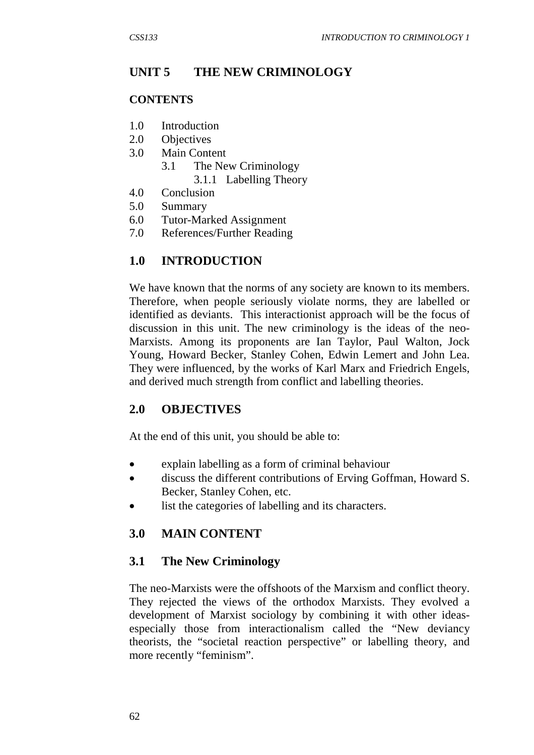# **UNIT 5 THE NEW CRIMINOLOGY**

### **CONTENTS**

- 1.0 Introduction
- 2.0 Objectives
- 3.0 Main Content
	- 3.1 The New Criminology 3.1.1 Labelling Theory
- 4.0 Conclusion
- 5.0 Summary
- 6.0 Tutor-Marked Assignment
- 7.0 References/Further Reading

# **1.0 INTRODUCTION**

We have known that the norms of any society are known to its members. Therefore, when people seriously violate norms, they are labelled or identified as deviants. This interactionist approach will be the focus of discussion in this unit. The new criminology is the ideas of the neo-Marxists. Among its proponents are Ian Taylor, Paul Walton, Jock Young, Howard Becker, Stanley Cohen, Edwin Lemert and John Lea. They were influenced, by the works of Karl Marx and Friedrich Engels, and derived much strength from conflict and labelling theories.

# **2.0 OBJECTIVES**

At the end of this unit, you should be able to:

- explain labelling as a form of criminal behaviour
- discuss the different contributions of Erving Goffman, Howard S. Becker, Stanley Cohen, etc.
- list the categories of labelling and its characters.

# **3.0 MAIN CONTENT**

## **3.1 The New Criminology**

The neo-Marxists were the offshoots of the Marxism and conflict theory. They rejected the views of the orthodox Marxists. They evolved a development of Marxist sociology by combining it with other ideasespecially those from interactionalism called the "New deviancy theorists, the "societal reaction perspective" or labelling theory, and more recently "feminism".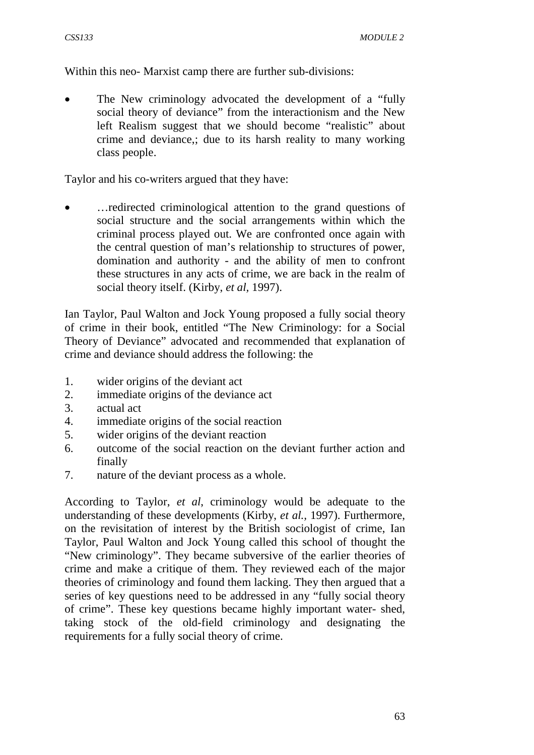Within this neo- Marxist camp there are further sub-divisions:

The New criminology advocated the development of a "fully" social theory of deviance" from the interactionism and the New left Realism suggest that we should become "realistic" about crime and deviance,; due to its harsh reality to many working class people.

Taylor and his co-writers argued that they have:

• …redirected criminological attention to the grand questions of social structure and the social arrangements within which the criminal process played out. We are confronted once again with the central question of man's relationship to structures of power, domination and authority - and the ability of men to confront these structures in any acts of crime, we are back in the realm of social theory itself. (Kirby, *et al,* 1997).

Ian Taylor, Paul Walton and Jock Young proposed a fully social theory of crime in their book, entitled "The New Criminology: for a Social Theory of Deviance" advocated and recommended that explanation of crime and deviance should address the following: the

- 1. wider origins of the deviant act
- 2. immediate origins of the deviance act
- 3. actual act
- 4. immediate origins of the social reaction
- 5. wider origins of the deviant reaction
- 6. outcome of the social reaction on the deviant further action and finally
- 7. nature of the deviant process as a whole.

According to Taylor, *et al*, criminology would be adequate to the understanding of these developments (Kirby, *et al.,* 1997). Furthermore, on the revisitation of interest by the British sociologist of crime, Ian Taylor, Paul Walton and Jock Young called this school of thought the "New criminology". They became subversive of the earlier theories of crime and make a critique of them. They reviewed each of the major theories of criminology and found them lacking. They then argued that a series of key questions need to be addressed in any "fully social theory of crime". These key questions became highly important water- shed, taking stock of the old-field criminology and designating the requirements for a fully social theory of crime.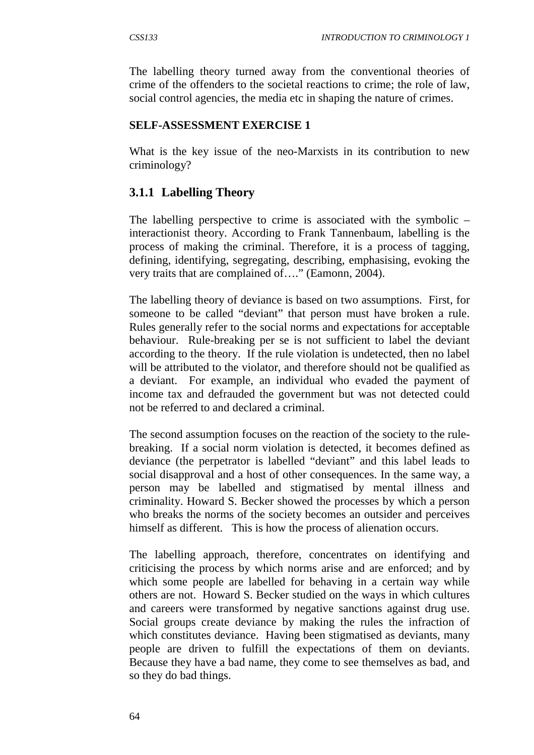The labelling theory turned away from the conventional theories of crime of the offenders to the societal reactions to crime; the role of law, social control agencies, the media etc in shaping the nature of crimes.

### **SELF-ASSESSMENT EXERCISE 1**

What is the key issue of the neo-Marxists in its contribution to new criminology?

# **3.1.1 Labelling Theory**

The labelling perspective to crime is associated with the symbolic – interactionist theory. According to Frank Tannenbaum, labelling is the process of making the criminal. Therefore, it is a process of tagging, defining, identifying, segregating, describing, emphasising, evoking the very traits that are complained of…." (Eamonn, 2004).

The labelling theory of deviance is based on two assumptions. First, for someone to be called "deviant" that person must have broken a rule. Rules generally refer to the social norms and expectations for acceptable behaviour. Rule-breaking per se is not sufficient to label the deviant according to the theory. If the rule violation is undetected, then no label will be attributed to the violator, and therefore should not be qualified as a deviant. For example, an individual who evaded the payment of income tax and defrauded the government but was not detected could not be referred to and declared a criminal.

The second assumption focuses on the reaction of the society to the rulebreaking. If a social norm violation is detected, it becomes defined as deviance (the perpetrator is labelled "deviant" and this label leads to social disapproval and a host of other consequences. In the same way, a person may be labelled and stigmatised by mental illness and criminality. Howard S. Becker showed the processes by which a person who breaks the norms of the society becomes an outsider and perceives himself as different. This is how the process of alienation occurs.

The labelling approach, therefore, concentrates on identifying and criticising the process by which norms arise and are enforced; and by which some people are labelled for behaving in a certain way while others are not. Howard S. Becker studied on the ways in which cultures and careers were transformed by negative sanctions against drug use. Social groups create deviance by making the rules the infraction of which constitutes deviance. Having been stigmatised as deviants, many people are driven to fulfill the expectations of them on deviants. Because they have a bad name, they come to see themselves as bad, and so they do bad things.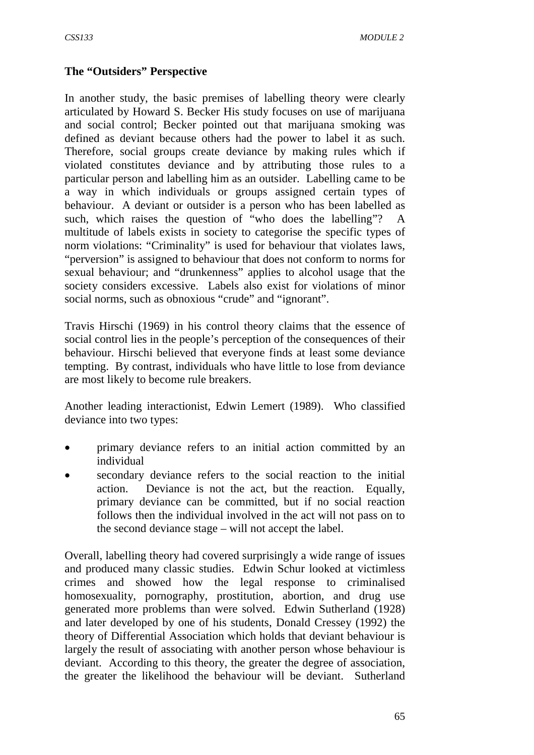### **The "Outsiders" Perspective**

In another study, the basic premises of labelling theory were clearly articulated by Howard S. Becker His study focuses on use of marijuana and social control; Becker pointed out that marijuana smoking was defined as deviant because others had the power to label it as such. Therefore, social groups create deviance by making rules which if violated constitutes deviance and by attributing those rules to a particular person and labelling him as an outsider. Labelling came to be a way in which individuals or groups assigned certain types of behaviour. A deviant or outsider is a person who has been labelled as such, which raises the question of "who does the labelling"? multitude of labels exists in society to categorise the specific types of norm violations: "Criminality" is used for behaviour that violates laws, "perversion" is assigned to behaviour that does not conform to norms for sexual behaviour; and "drunkenness" applies to alcohol usage that the society considers excessive. Labels also exist for violations of minor social norms, such as obnoxious "crude" and "ignorant".

Travis Hirschi (1969) in his control theory claims that the essence of social control lies in the people's perception of the consequences of their behaviour. Hirschi believed that everyone finds at least some deviance tempting. By contrast, individuals who have little to lose from deviance are most likely to become rule breakers.

Another leading interactionist, Edwin Lemert (1989). Who classified deviance into two types:

- primary deviance refers to an initial action committed by an individual
- secondary deviance refers to the social reaction to the initial action. Deviance is not the act, but the reaction. Equally, primary deviance can be committed, but if no social reaction follows then the individual involved in the act will not pass on to the second deviance stage – will not accept the label.

Overall, labelling theory had covered surprisingly a wide range of issues and produced many classic studies. Edwin Schur looked at victimless crimes and showed how the legal response to criminalised homosexuality, pornography, prostitution, abortion, and drug use generated more problems than were solved. Edwin Sutherland (1928) and later developed by one of his students, Donald Cressey (1992) the theory of Differential Association which holds that deviant behaviour is largely the result of associating with another person whose behaviour is deviant. According to this theory, the greater the degree of association, the greater the likelihood the behaviour will be deviant. Sutherland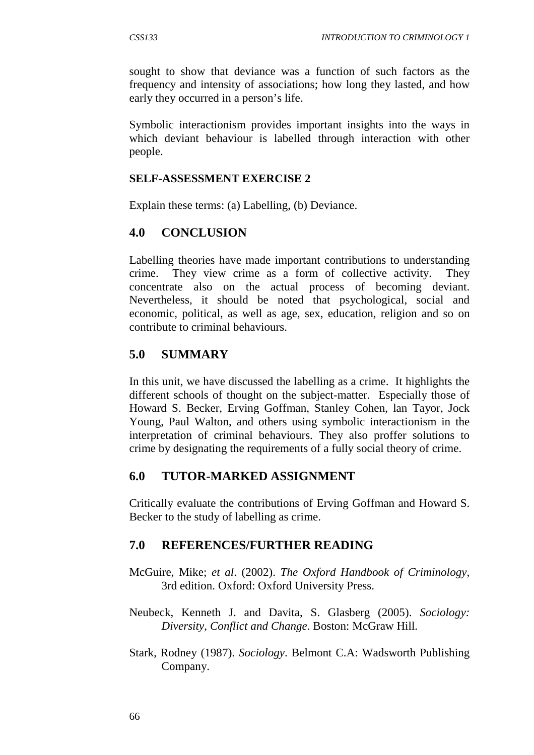sought to show that deviance was a function of such factors as the frequency and intensity of associations; how long they lasted, and how early they occurred in a person's life.

Symbolic interactionism provides important insights into the ways in which deviant behaviour is labelled through interaction with other people.

### **SELF-ASSESSMENT EXERCISE 2**

Explain these terms: (a) Labelling, (b) Deviance.

## **4.0 CONCLUSION**

Labelling theories have made important contributions to understanding crime. They view crime as a form of collective activity. They concentrate also on the actual process of becoming deviant. Nevertheless, it should be noted that psychological, social and economic, political, as well as age, sex, education, religion and so on contribute to criminal behaviours.

## **5.0 SUMMARY**

In this unit, we have discussed the labelling as a crime. It highlights the different schools of thought on the subject-matter. Especially those of Howard S. Becker, Erving Goffman, Stanley Cohen, lan Tayor, Jock Young, Paul Walton, and others using symbolic interactionism in the interpretation of criminal behaviours. They also proffer solutions to crime by designating the requirements of a fully social theory of crime.

## **6.0 TUTOR-MARKED ASSIGNMENT**

Critically evaluate the contributions of Erving Goffman and Howard S. Becker to the study of labelling as crime.

## **7.0 REFERENCES/FURTHER READING**

- McGuire, Mike; *et al*. (2002). *The Oxford Handbook of Criminology*, 3rd edition. Oxford: Oxford University Press.
- Neubeck, Kenneth J. and Davita, S. Glasberg (2005). *Sociology: Diversity, Conflict and Change*. Boston: McGraw Hill.
- Stark, Rodney (1987). *Sociology*. Belmont C.A: Wadsworth Publishing Company.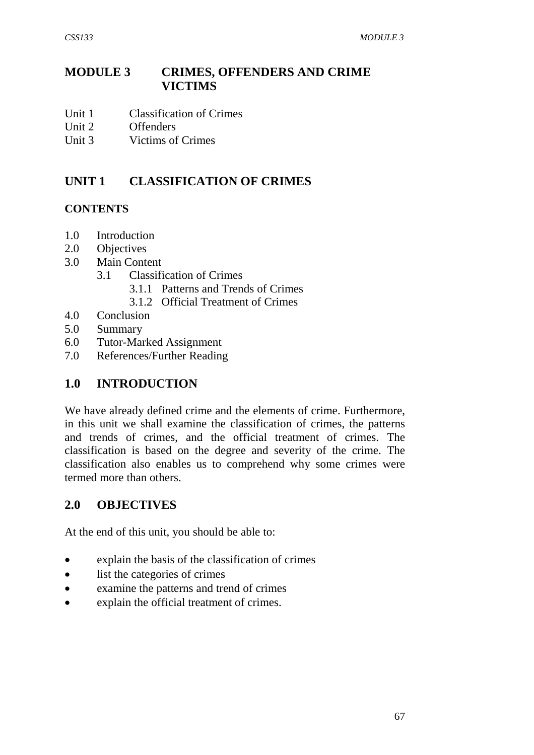# **MODULE 3 CRIMES, OFFENDERS AND CRIME VICTIMS**

- Unit 1 Classification of Crimes
- Unit 2 Offenders
- Unit 3 Victims of Crimes

# **UNIT 1 CLASSIFICATION OF CRIMES**

### **CONTENTS**

- 1.0 Introduction
- 2.0 Objectives
- 3.0 Main Content
	- 3.1 Classification of Crimes
		- 3.1.1 Patterns and Trends of Crimes
		- 3.1.2 Official Treatment of Crimes
- 4.0 Conclusion
- 5.0 Summary
- 6.0 Tutor-Marked Assignment
- 7.0 References/Further Reading

## **1.0 INTRODUCTION**

We have already defined crime and the elements of crime. Furthermore, in this unit we shall examine the classification of crimes, the patterns and trends of crimes, and the official treatment of crimes. The classification is based on the degree and severity of the crime. The classification also enables us to comprehend why some crimes were termed more than others.

## **2.0 OBJECTIVES**

At the end of this unit, you should be able to:

- explain the basis of the classification of crimes
- list the categories of crimes
- examine the patterns and trend of crimes
- explain the official treatment of crimes.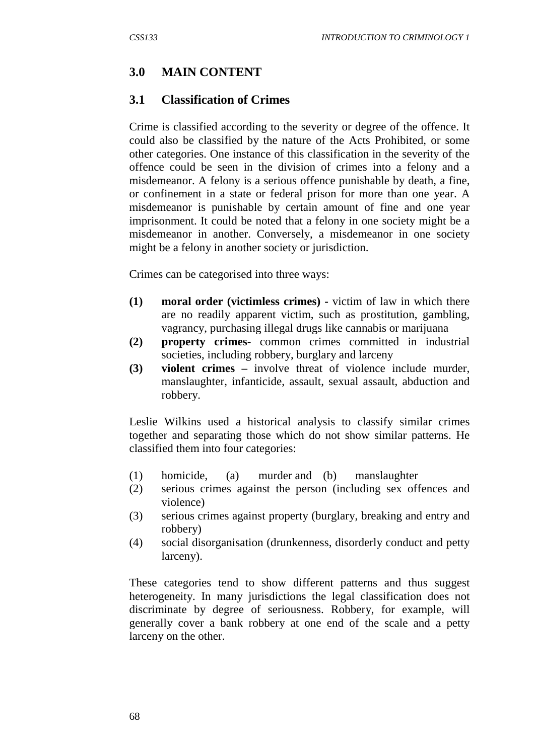### **3.0 MAIN CONTENT**

#### **3.1 Classification of Crimes**

Crime is classified according to the severity or degree of the offence. It could also be classified by the nature of the Acts Prohibited, or some other categories. One instance of this classification in the severity of the offence could be seen in the division of crimes into a felony and a misdemeanor. A felony is a serious offence punishable by death, a fine, or confinement in a state or federal prison for more than one year. A misdemeanor is punishable by certain amount of fine and one year imprisonment. It could be noted that a felony in one society might be a misdemeanor in another. Conversely, a misdemeanor in one society might be a felony in another society or jurisdiction.

Crimes can be categorised into three ways:

- **(1) moral order (victimless crimes) -** victim of law in which there are no readily apparent victim, such as prostitution, gambling, vagrancy, purchasing illegal drugs like cannabis or marijuana
- **(2) property crimes-** common crimes committed in industrial societies, including robbery, burglary and larceny
- **(3) violent crimes –** involve threat of violence include murder, manslaughter, infanticide, assault, sexual assault, abduction and robbery.

Leslie Wilkins used a historical analysis to classify similar crimes together and separating those which do not show similar patterns. He classified them into four categories:

- (1) homicide, (a) murder and (b) manslaughter
- (2) serious crimes against the person (including sex offences and violence)
- (3) serious crimes against property (burglary, breaking and entry and robbery)
- (4) social disorganisation (drunkenness, disorderly conduct and petty larceny).

These categories tend to show different patterns and thus suggest heterogeneity. In many jurisdictions the legal classification does not discriminate by degree of seriousness. Robbery, for example, will generally cover a bank robbery at one end of the scale and a petty larceny on the other.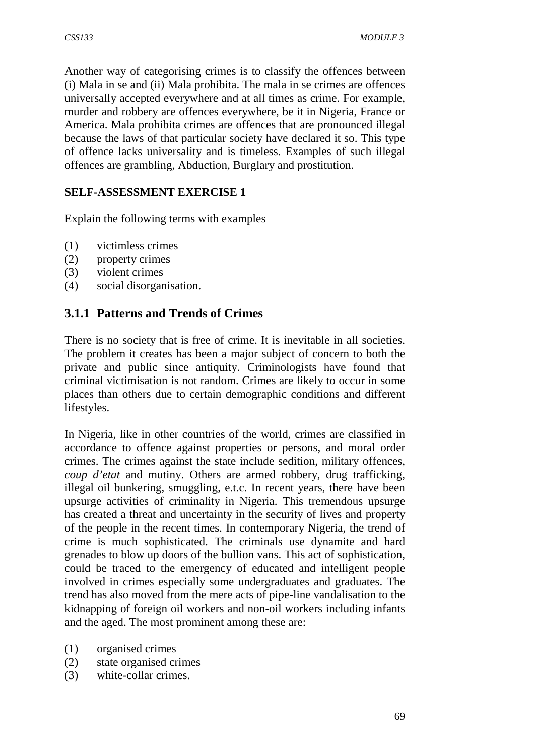Another way of categorising crimes is to classify the offences between (i) Mala in se and (ii) Mala prohibita. The mala in se crimes are offences universally accepted everywhere and at all times as crime. For example, murder and robbery are offences everywhere, be it in Nigeria, France or America. Mala prohibita crimes are offences that are pronounced illegal because the laws of that particular society have declared it so. This type of offence lacks universality and is timeless. Examples of such illegal offences are grambling, Abduction, Burglary and prostitution.

## **SELF-ASSESSMENT EXERCISE 1**

Explain the following terms with examples

- (1) victimless crimes
- (2) property crimes
- (3) violent crimes
- (4) social disorganisation.

## **3.1.1 Patterns and Trends of Crimes**

There is no society that is free of crime. It is inevitable in all societies. The problem it creates has been a major subject of concern to both the private and public since antiquity. Criminologists have found that criminal victimisation is not random. Crimes are likely to occur in some places than others due to certain demographic conditions and different lifestyles.

In Nigeria, like in other countries of the world, crimes are classified in accordance to offence against properties or persons, and moral order crimes. The crimes against the state include sedition, military offences, *coup d'etat* and mutiny. Others are armed robbery, drug trafficking, illegal oil bunkering, smuggling, e.t.c. In recent years, there have been upsurge activities of criminality in Nigeria. This tremendous upsurge has created a threat and uncertainty in the security of lives and property of the people in the recent times. In contemporary Nigeria, the trend of crime is much sophisticated. The criminals use dynamite and hard grenades to blow up doors of the bullion vans. This act of sophistication, could be traced to the emergency of educated and intelligent people involved in crimes especially some undergraduates and graduates. The trend has also moved from the mere acts of pipe-line vandalisation to the kidnapping of foreign oil workers and non-oil workers including infants and the aged. The most prominent among these are:

- (1) organised crimes
- (2) state organised crimes
- (3) white-collar crimes.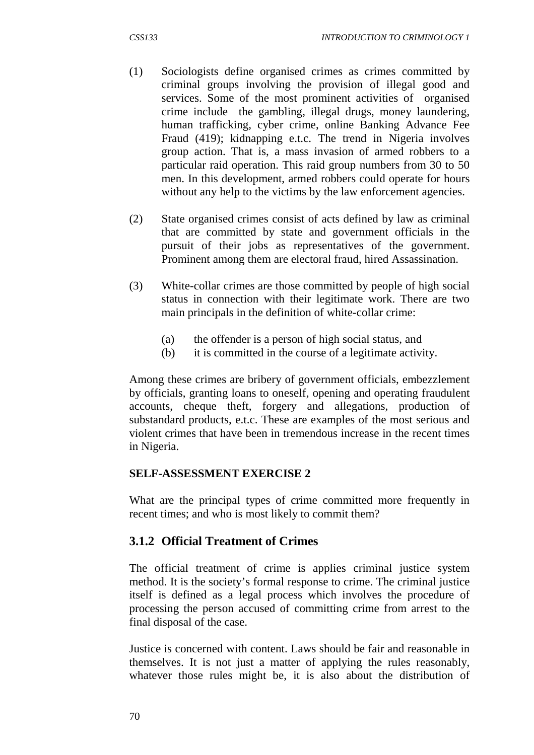- (1) Sociologists define organised crimes as crimes committed by criminal groups involving the provision of illegal good and services. Some of the most prominent activities of organised crime include the gambling, illegal drugs, money laundering, human trafficking, cyber crime, online Banking Advance Fee Fraud (419); kidnapping e.t.c. The trend in Nigeria involves group action. That is, a mass invasion of armed robbers to a particular raid operation. This raid group numbers from 30 to 50 men. In this development, armed robbers could operate for hours without any help to the victims by the law enforcement agencies.
- (2) State organised crimes consist of acts defined by law as criminal that are committed by state and government officials in the pursuit of their jobs as representatives of the government. Prominent among them are electoral fraud, hired Assassination.
- (3) White-collar crimes are those committed by people of high social status in connection with their legitimate work. There are two main principals in the definition of white-collar crime:
	- (a) the offender is a person of high social status, and
	- (b) it is committed in the course of a legitimate activity.

Among these crimes are bribery of government officials, embezzlement by officials, granting loans to oneself, opening and operating fraudulent accounts, cheque theft, forgery and allegations, production of substandard products, e.t.c. These are examples of the most serious and violent crimes that have been in tremendous increase in the recent times in Nigeria.

#### **SELF-ASSESSMENT EXERCISE 2**

What are the principal types of crime committed more frequently in recent times; and who is most likely to commit them?

## **3.1.2 Official Treatment of Crimes**

The official treatment of crime is applies criminal justice system method. It is the society's formal response to crime. The criminal justice itself is defined as a legal process which involves the procedure of processing the person accused of committing crime from arrest to the final disposal of the case.

Justice is concerned with content. Laws should be fair and reasonable in themselves. It is not just a matter of applying the rules reasonably, whatever those rules might be, it is also about the distribution of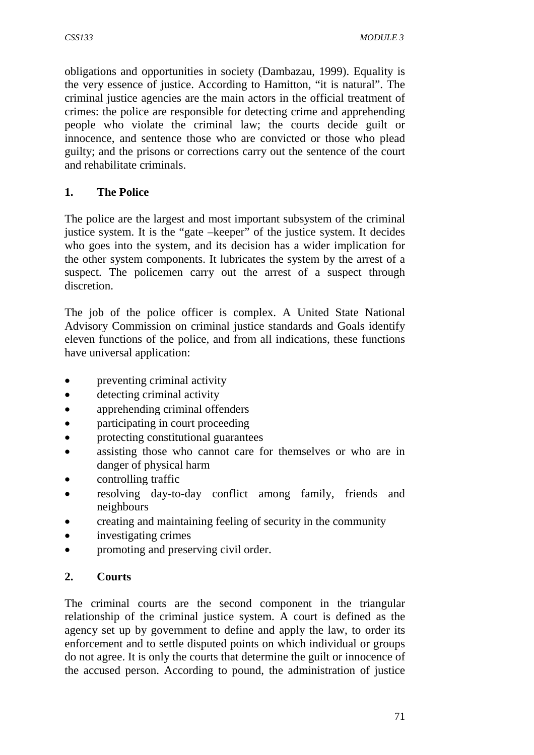obligations and opportunities in society (Dambazau, 1999). Equality is the very essence of justice. According to Hamitton, "it is natural". The criminal justice agencies are the main actors in the official treatment of crimes: the police are responsible for detecting crime and apprehending people who violate the criminal law; the courts decide guilt or innocence, and sentence those who are convicted or those who plead guilty; and the prisons or corrections carry out the sentence of the court and rehabilitate criminals.

## **1. The Police**

The police are the largest and most important subsystem of the criminal justice system. It is the "gate –keeper" of the justice system. It decides who goes into the system, and its decision has a wider implication for the other system components. It lubricates the system by the arrest of a suspect. The policemen carry out the arrest of a suspect through discretion.

The job of the police officer is complex. A United State National Advisory Commission on criminal justice standards and Goals identify eleven functions of the police, and from all indications, these functions have universal application:

- preventing criminal activity
- detecting criminal activity
- apprehending criminal offenders
- participating in court proceeding
- protecting constitutional guarantees
- assisting those who cannot care for themselves or who are in danger of physical harm
- controlling traffic
- resolving day-to-day conflict among family, friends and neighbours
- creating and maintaining feeling of security in the community
- investigating crimes
- promoting and preserving civil order.

## **2. Courts**

The criminal courts are the second component in the triangular relationship of the criminal justice system. A court is defined as the agency set up by government to define and apply the law, to order its enforcement and to settle disputed points on which individual or groups do not agree. It is only the courts that determine the guilt or innocence of the accused person. According to pound, the administration of justice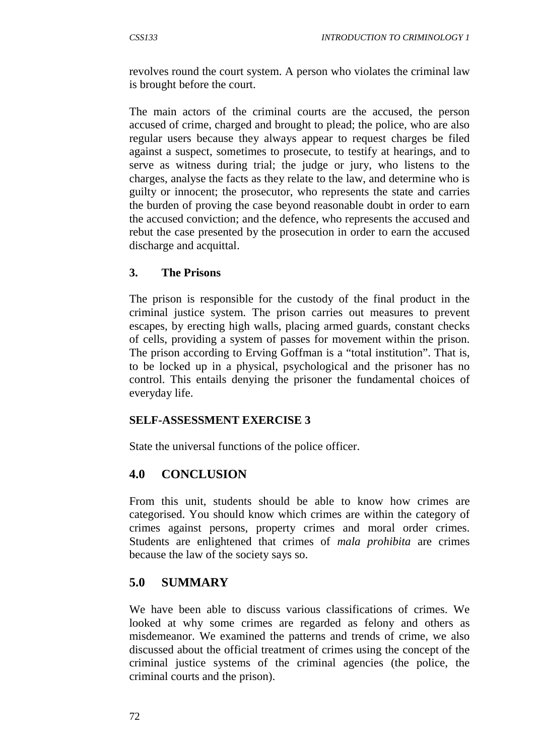revolves round the court system. A person who violates the criminal law is brought before the court.

The main actors of the criminal courts are the accused, the person accused of crime, charged and brought to plead; the police, who are also regular users because they always appear to request charges be filed against a suspect, sometimes to prosecute, to testify at hearings, and to serve as witness during trial; the judge or jury, who listens to the charges, analyse the facts as they relate to the law, and determine who is guilty or innocent; the prosecutor, who represents the state and carries the burden of proving the case beyond reasonable doubt in order to earn the accused conviction; and the defence, who represents the accused and rebut the case presented by the prosecution in order to earn the accused discharge and acquittal.

#### **3. The Prisons**

The prison is responsible for the custody of the final product in the criminal justice system. The prison carries out measures to prevent escapes, by erecting high walls, placing armed guards, constant checks of cells, providing a system of passes for movement within the prison. The prison according to Erving Goffman is a "total institution". That is, to be locked up in a physical, psychological and the prisoner has no control. This entails denying the prisoner the fundamental choices of everyday life.

#### **SELF-ASSESSMENT EXERCISE 3**

State the universal functions of the police officer.

## **4.0 CONCLUSION**

From this unit, students should be able to know how crimes are categorised. You should know which crimes are within the category of crimes against persons, property crimes and moral order crimes. Students are enlightened that crimes of *mala prohibita* are crimes because the law of the society says so.

## **5.0 SUMMARY**

We have been able to discuss various classifications of crimes. We looked at why some crimes are regarded as felony and others as misdemeanor. We examined the patterns and trends of crime, we also discussed about the official treatment of crimes using the concept of the criminal justice systems of the criminal agencies (the police, the criminal courts and the prison).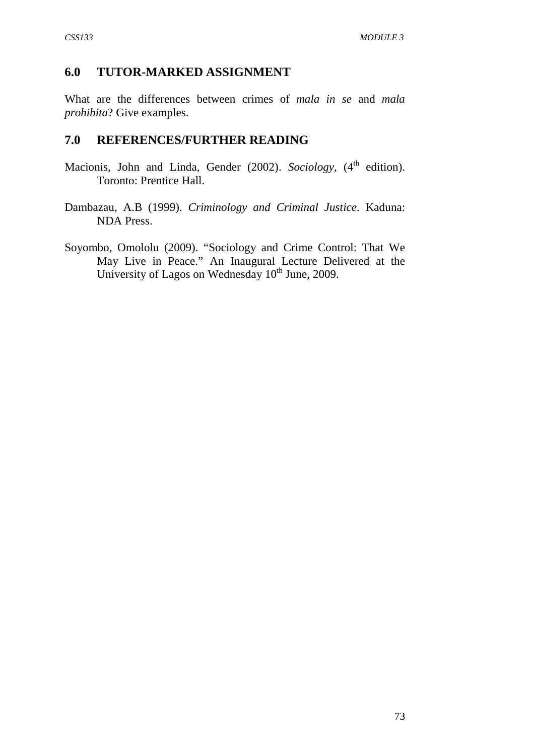## **6.0 TUTOR-MARKED ASSIGNMENT**

What are the differences between crimes of *mala in se* and *mala prohibita*? Give examples.

### **7.0 REFERENCES/FURTHER READING**

- Macionis, John and Linda, Gender (2002). *Sociology*, (4<sup>th</sup> edition). Toronto: Prentice Hall.
- Dambazau, A.B (1999). *Criminology and Criminal Justice*. Kaduna: NDA Press.
- Soyombo, Omololu (2009). "Sociology and Crime Control: That We May Live in Peace." An Inaugural Lecture Delivered at the University of Lagos on Wednesday  $10^{th}$  June, 2009.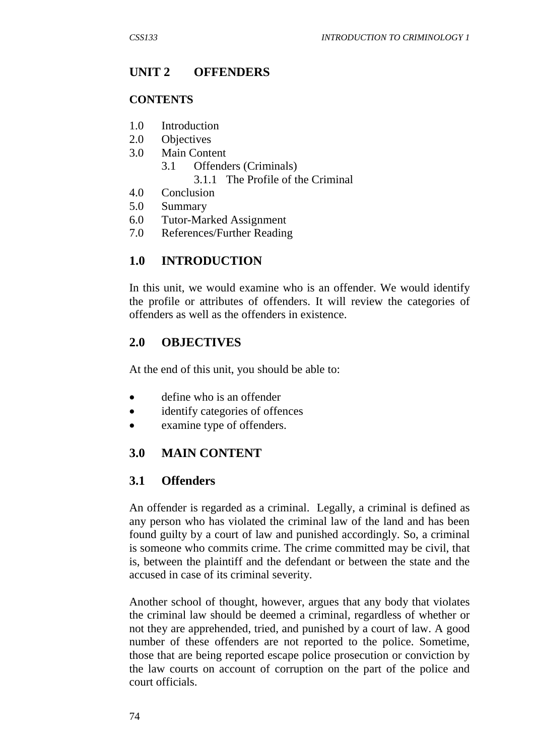# **UNIT 2 OFFENDERS**

### **CONTENTS**

- 1.0 Introduction
- 2.0 Objectives
- 3.0 Main Content
	- 3.1 Offenders (Criminals) 3.1.1 The Profile of the Criminal
- 4.0 Conclusion
- 5.0 Summary
- 6.0 Tutor-Marked Assignment
- 7.0 References/Further Reading

# **1.0 INTRODUCTION**

In this unit, we would examine who is an offender. We would identify the profile or attributes of offenders. It will review the categories of offenders as well as the offenders in existence.

## **2.0 OBJECTIVES**

At the end of this unit, you should be able to:

- define who is an offender
- identify categories of offences
- examine type of offenders.

# **3.0 MAIN CONTENT**

## **3.1 Offenders**

An offender is regarded as a criminal. Legally, a criminal is defined as any person who has violated the criminal law of the land and has been found guilty by a court of law and punished accordingly. So, a criminal is someone who commits crime. The crime committed may be civil, that is, between the plaintiff and the defendant or between the state and the accused in case of its criminal severity.

Another school of thought, however, argues that any body that violates the criminal law should be deemed a criminal, regardless of whether or not they are apprehended, tried, and punished by a court of law. A good number of these offenders are not reported to the police. Sometime, those that are being reported escape police prosecution or conviction by the law courts on account of corruption on the part of the police and court officials.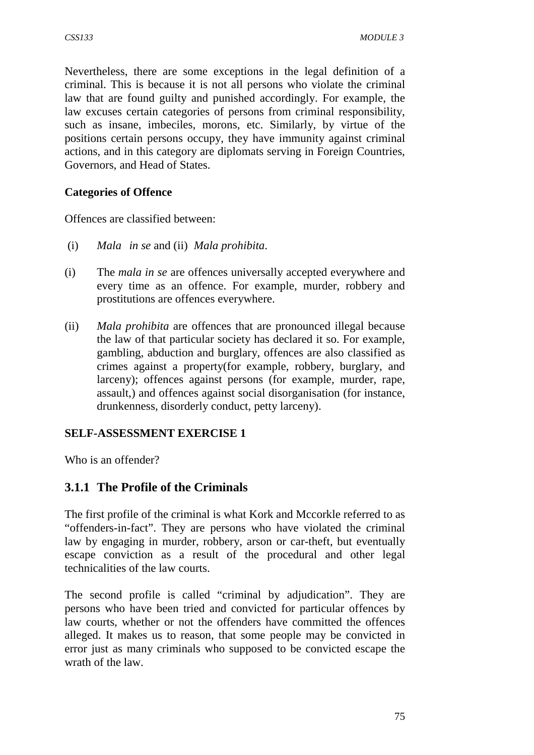Nevertheless, there are some exceptions in the legal definition of a criminal. This is because it is not all persons who violate the criminal law that are found guilty and punished accordingly. For example, the law excuses certain categories of persons from criminal responsibility, such as insane, imbeciles, morons, etc. Similarly, by virtue of the positions certain persons occupy, they have immunity against criminal actions, and in this category are diplomats serving in Foreign Countries, Governors, and Head of States.

### **Categories of Offence**

Offences are classified between:

- (i) *Mala in se* and (ii) *Mala prohibita*.
- (i) The *mala in se* are offences universally accepted everywhere and every time as an offence. For example, murder, robbery and prostitutions are offences everywhere.
- (ii) *Mala prohibita* are offences that are pronounced illegal because the law of that particular society has declared it so. For example, gambling, abduction and burglary, offences are also classified as crimes against a property(for example, robbery, burglary, and larceny); offences against persons (for example, murder, rape, assault,) and offences against social disorganisation (for instance, drunkenness, disorderly conduct, petty larceny).

#### **SELF-ASSESSMENT EXERCISE 1**

Who is an offender?

## **3.1.1 The Profile of the Criminals**

The first profile of the criminal is what Kork and Mccorkle referred to as "offenders-in-fact". They are persons who have violated the criminal law by engaging in murder, robbery, arson or car-theft, but eventually escape conviction as a result of the procedural and other legal technicalities of the law courts.

The second profile is called "criminal by adjudication". They are persons who have been tried and convicted for particular offences by law courts, whether or not the offenders have committed the offences alleged. It makes us to reason, that some people may be convicted in error just as many criminals who supposed to be convicted escape the wrath of the law.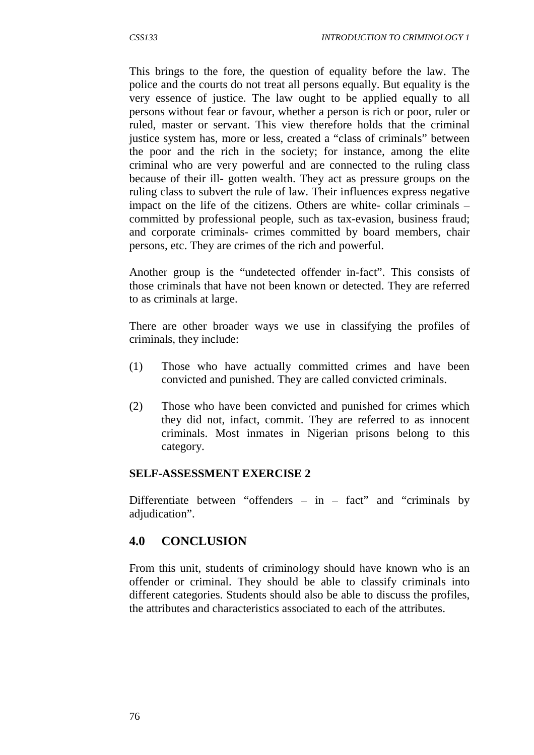This brings to the fore, the question of equality before the law. The police and the courts do not treat all persons equally. But equality is the very essence of justice. The law ought to be applied equally to all persons without fear or favour, whether a person is rich or poor, ruler or ruled, master or servant. This view therefore holds that the criminal justice system has, more or less, created a "class of criminals" between the poor and the rich in the society; for instance, among the elite criminal who are very powerful and are connected to the ruling class because of their ill- gotten wealth. They act as pressure groups on the ruling class to subvert the rule of law. Their influences express negative impact on the life of the citizens. Others are white- collar criminals – committed by professional people, such as tax-evasion, business fraud; and corporate criminals- crimes committed by board members, chair persons, etc. They are crimes of the rich and powerful.

Another group is the "undetected offender in-fact". This consists of those criminals that have not been known or detected. They are referred to as criminals at large.

There are other broader ways we use in classifying the profiles of criminals, they include:

- (1) Those who have actually committed crimes and have been convicted and punished. They are called convicted criminals.
- (2) Those who have been convicted and punished for crimes which they did not, infact, commit. They are referred to as innocent criminals. Most inmates in Nigerian prisons belong to this category.

#### **SELF-ASSESSMENT EXERCISE 2**

Differentiate between "offenders  $-$  in  $-$  fact" and "criminals by adjudication".

## **4.0 CONCLUSION**

From this unit, students of criminology should have known who is an offender or criminal. They should be able to classify criminals into different categories. Students should also be able to discuss the profiles, the attributes and characteristics associated to each of the attributes.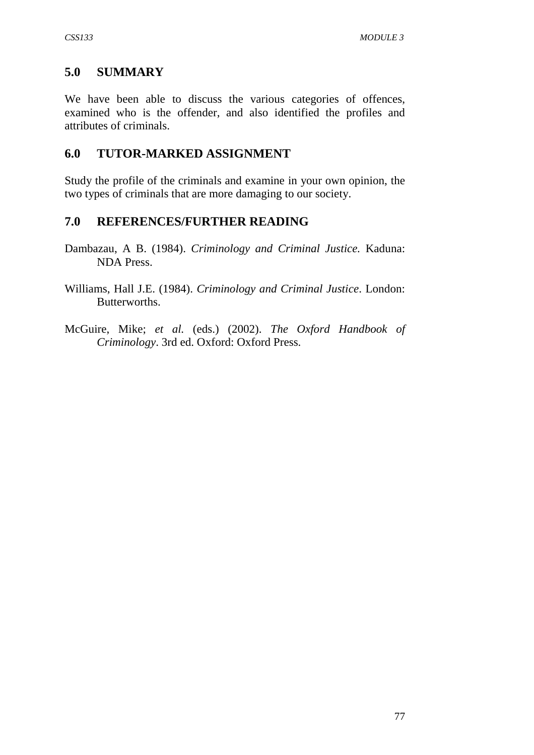## **5.0 SUMMARY**

We have been able to discuss the various categories of offences, examined who is the offender, and also identified the profiles and attributes of criminals.

## **6.0 TUTOR-MARKED ASSIGNMENT**

Study the profile of the criminals and examine in your own opinion, the two types of criminals that are more damaging to our society.

# **7.0 REFERENCES/FURTHER READING**

- Dambazau, A B. (1984). *Criminology and Criminal Justice.* Kaduna: NDA Press.
- Williams, Hall J.E. (1984). *Criminology and Criminal Justice*. London: Butterworths.
- McGuire, Mike; *et al.* (eds.) (2002). *The Oxford Handbook of Criminology*. 3rd ed. Oxford: Oxford Press.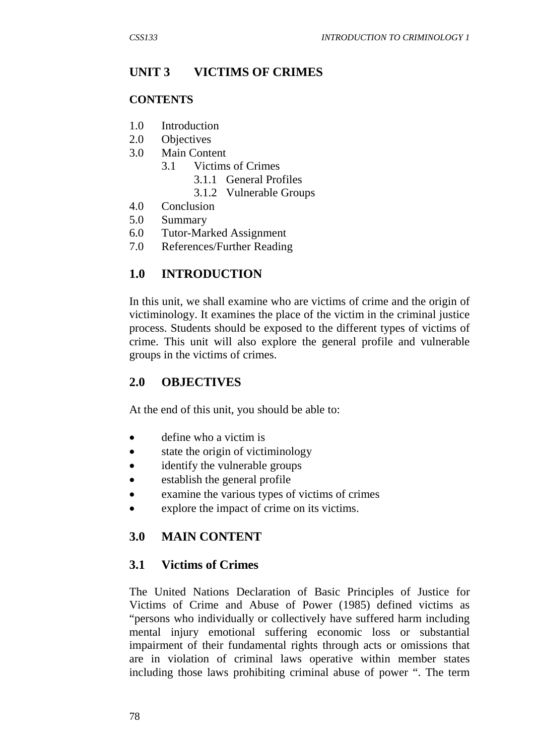# **UNIT 3 VICTIMS OF CRIMES**

### **CONTENTS**

- 1.0 Introduction
- 2.0 Objectives
- 3.0 Main Content
	- 3.1 Victims of Crimes
		- 3.1.1 General Profiles
		- 3.1.2 Vulnerable Groups
- 4.0 Conclusion
- 5.0 Summary
- 6.0 Tutor-Marked Assignment
- 7.0 References/Further Reading

## **1.0 INTRODUCTION**

In this unit, we shall examine who are victims of crime and the origin of victiminology. It examines the place of the victim in the criminal justice process. Students should be exposed to the different types of victims of crime. This unit will also explore the general profile and vulnerable groups in the victims of crimes.

## **2.0 OBJECTIVES**

At the end of this unit, you should be able to:

- define who a victim is
- state the origin of victiminology
- identify the vulnerable groups
- establish the general profile
- examine the various types of victims of crimes
- explore the impact of crime on its victims.

# **3.0 MAIN CONTENT**

## **3.1 Victims of Crimes**

The United Nations Declaration of Basic Principles of Justice for Victims of Crime and Abuse of Power (1985) defined victims as "persons who individually or collectively have suffered harm including mental injury emotional suffering economic loss or substantial impairment of their fundamental rights through acts or omissions that are in violation of criminal laws operative within member states including those laws prohibiting criminal abuse of power ". The term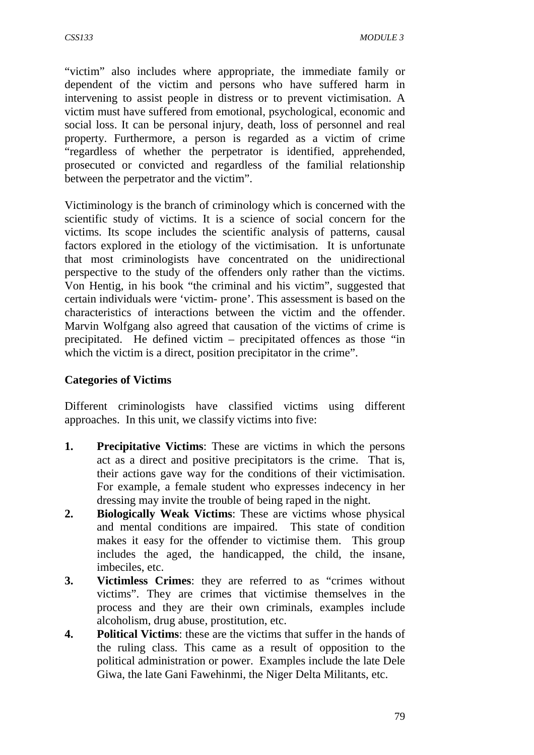"victim" also includes where appropriate, the immediate family or dependent of the victim and persons who have suffered harm in intervening to assist people in distress or to prevent victimisation. A victim must have suffered from emotional, psychological, economic and social loss. It can be personal injury, death, loss of personnel and real property. Furthermore, a person is regarded as a victim of crime "regardless of whether the perpetrator is identified, apprehended, prosecuted or convicted and regardless of the familial relationship between the perpetrator and the victim".

Victiminology is the branch of criminology which is concerned with the scientific study of victims. It is a science of social concern for the victims. Its scope includes the scientific analysis of patterns, causal factors explored in the etiology of the victimisation. It is unfortunate that most criminologists have concentrated on the unidirectional perspective to the study of the offenders only rather than the victims. Von Hentig, in his book "the criminal and his victim", suggested that certain individuals were 'victim- prone'. This assessment is based on the characteristics of interactions between the victim and the offender. Marvin Wolfgang also agreed that causation of the victims of crime is precipitated. He defined victim – precipitated offences as those "in which the victim is a direct, position precipitator in the crime".

### **Categories of Victims**

Different criminologists have classified victims using different approaches. In this unit, we classify victims into five:

- **1. Precipitative Victims**: These are victims in which the persons act as a direct and positive precipitators is the crime. That is, their actions gave way for the conditions of their victimisation. For example, a female student who expresses indecency in her dressing may invite the trouble of being raped in the night.
- **2. Biologically Weak Victims**: These are victims whose physical and mental conditions are impaired. This state of condition makes it easy for the offender to victimise them. This group includes the aged, the handicapped, the child, the insane, imbeciles, etc.
- **3. Victimless Crimes**: they are referred to as "crimes without victims". They are crimes that victimise themselves in the process and they are their own criminals, examples include alcoholism, drug abuse, prostitution, etc.
- **4. Political Victims**: these are the victims that suffer in the hands of the ruling class. This came as a result of opposition to the political administration or power. Examples include the late Dele Giwa, the late Gani Fawehinmi, the Niger Delta Militants, etc.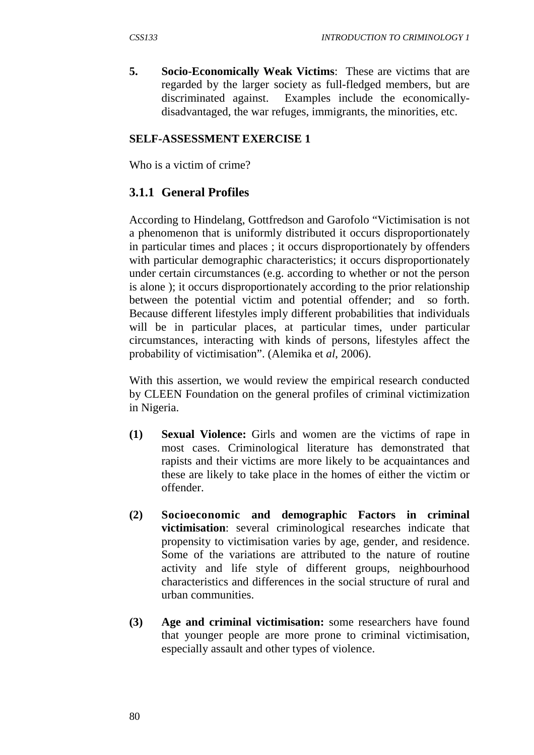**5. Socio-Economically Weak Victims**: These are victims that are regarded by the larger society as full-fledged members, but are discriminated against. Examples include the economicallydisadvantaged, the war refuges, immigrants, the minorities, etc.

#### **SELF-ASSESSMENT EXERCISE 1**

Who is a victim of crime?

# **3.1.1 General Profiles**

According to Hindelang, Gottfredson and Garofolo "Victimisation is not a phenomenon that is uniformly distributed it occurs disproportionately in particular times and places ; it occurs disproportionately by offenders with particular demographic characteristics; it occurs disproportionately under certain circumstances (e.g. according to whether or not the person is alone ); it occurs disproportionately according to the prior relationship between the potential victim and potential offender; and so forth. Because different lifestyles imply different probabilities that individuals will be in particular places, at particular times, under particular circumstances, interacting with kinds of persons, lifestyles affect the probability of victimisation". (Alemika et *al*, 2006).

With this assertion, we would review the empirical research conducted by CLEEN Foundation on the general profiles of criminal victimization in Nigeria.

- **(1) Sexual Violence:** Girls and women are the victims of rape in most cases. Criminological literature has demonstrated that rapists and their victims are more likely to be acquaintances and these are likely to take place in the homes of either the victim or offender.
- **(2) Socioeconomic and demographic Factors in criminal victimisation**: several criminological researches indicate that propensity to victimisation varies by age, gender, and residence. Some of the variations are attributed to the nature of routine activity and life style of different groups, neighbourhood characteristics and differences in the social structure of rural and urban communities.
- **(3) Age and criminal victimisation:** some researchers have found that younger people are more prone to criminal victimisation, especially assault and other types of violence.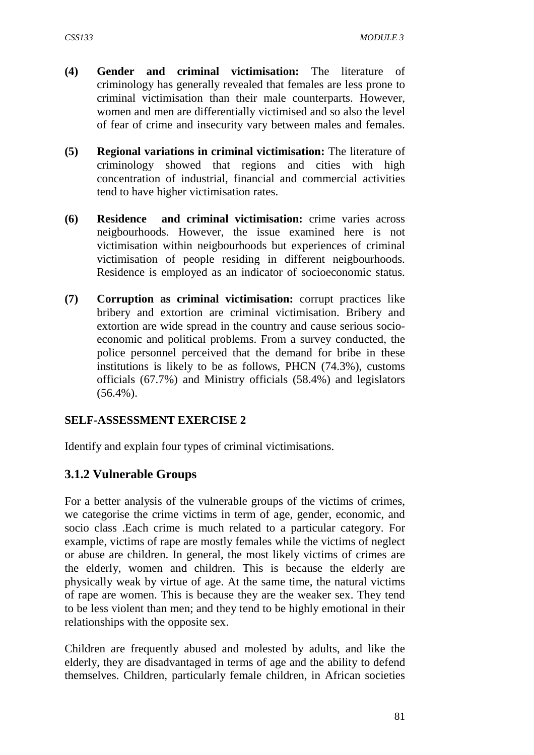- **(4) Gender and criminal victimisation:** The literature of criminology has generally revealed that females are less prone to criminal victimisation than their male counterparts. However, women and men are differentially victimised and so also the level of fear of crime and insecurity vary between males and females.
- **(5) Regional variations in criminal victimisation:** The literature of criminology showed that regions and cities with high concentration of industrial, financial and commercial activities tend to have higher victimisation rates.
- **(6) Residence and criminal victimisation:** crime varies across neigbourhoods. However, the issue examined here is not victimisation within neigbourhoods but experiences of criminal victimisation of people residing in different neigbourhoods. Residence is employed as an indicator of socioeconomic status.
- **(7) Corruption as criminal victimisation:** corrupt practices like bribery and extortion are criminal victimisation. Bribery and extortion are wide spread in the country and cause serious socioeconomic and political problems. From a survey conducted, the police personnel perceived that the demand for bribe in these institutions is likely to be as follows, PHCN (74.3%), customs officials (67.7%) and Ministry officials (58.4%) and legislators  $(56.4\%)$ .

## **SELF-ASSESSMENT EXERCISE 2**

Identify and explain four types of criminal victimisations.

## **3.1.2 Vulnerable Groups**

For a better analysis of the vulnerable groups of the victims of crimes, we categorise the crime victims in term of age, gender, economic, and socio class .Each crime is much related to a particular category. For example, victims of rape are mostly females while the victims of neglect or abuse are children. In general, the most likely victims of crimes are the elderly, women and children. This is because the elderly are physically weak by virtue of age. At the same time, the natural victims of rape are women. This is because they are the weaker sex. They tend to be less violent than men; and they tend to be highly emotional in their relationships with the opposite sex.

Children are frequently abused and molested by adults, and like the elderly, they are disadvantaged in terms of age and the ability to defend themselves. Children, particularly female children, in African societies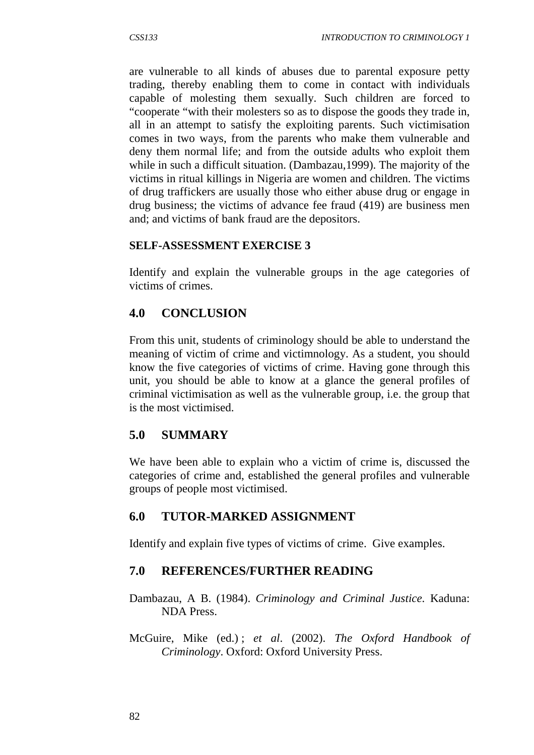are vulnerable to all kinds of abuses due to parental exposure petty trading, thereby enabling them to come in contact with individuals capable of molesting them sexually. Such children are forced to "cooperate "with their molesters so as to dispose the goods they trade in, all in an attempt to satisfy the exploiting parents. Such victimisation comes in two ways, from the parents who make them vulnerable and deny them normal life; and from the outside adults who exploit them while in such a difficult situation. (Dambazau,1999). The majority of the victims in ritual killings in Nigeria are women and children. The victims of drug traffickers are usually those who either abuse drug or engage in drug business; the victims of advance fee fraud (419) are business men and; and victims of bank fraud are the depositors.

#### **SELF-ASSESSMENT EXERCISE 3**

Identify and explain the vulnerable groups in the age categories of victims of crimes.

## **4.0 CONCLUSION**

From this unit, students of criminology should be able to understand the meaning of victim of crime and victimnology. As a student, you should know the five categories of victims of crime. Having gone through this unit, you should be able to know at a glance the general profiles of criminal victimisation as well as the vulnerable group, i.e. the group that is the most victimised.

#### **5.0 SUMMARY**

We have been able to explain who a victim of crime is, discussed the categories of crime and, established the general profiles and vulnerable groups of people most victimised.

#### **6.0 TUTOR-MARKED ASSIGNMENT**

Identify and explain five types of victims of crime. Give examples.

## **7.0 REFERENCES/FURTHER READING**

Dambazau, A B. (1984). *Criminology and Criminal Justice.* Kaduna: NDA Press.

McGuire, Mike (ed.) ; *et al*. (2002). *The Oxford Handbook of Criminology*. Oxford: Oxford University Press.